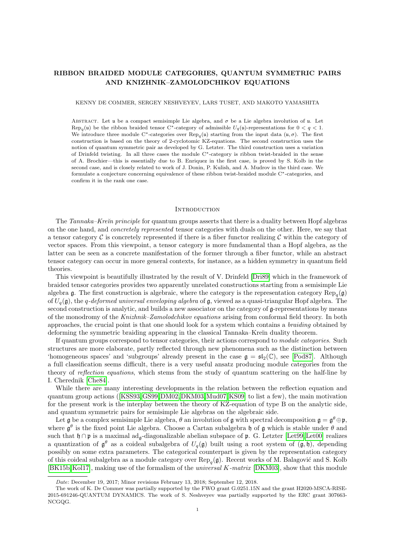# RIBBON BRAIDED MODULE CATEGORIES, QUANTUM SYMMETRIC PAIRS AND KNIZHNIK–ZAMOLODCHIKOV EQUATIONS

#### KENNY DE COMMER, SERGEY NESHVEYEV, LARS TUSET, AND MAKOTO YAMASHITA

ABSTRACT. Let u be a compact semisimple Lie algebra, and  $\sigma$  be a Lie algebra involution of u. Let  $\text{Rep}_q(\mathfrak{u})$  be the ribbon braided tensor C<sup>∗</sup>-category of admissible  $U_q(\mathfrak{u})$ -representations for  $0 < q < 1$ . We introduce three module C<sup>∗</sup>-categories over  $\text{Rep}_q(\mathfrak{u})$  starting from the input data  $(\mathfrak{u}, \sigma)$ . The first construction is based on the theory of 2-cyclotomic KZ-equations. The second construction uses the notion of quantum symmetric pair as developed by G. Letzter. The third construction uses a variation of Drinfeld twisting. In all three cases the module C∗-category is ribbon twist-braided in the sense of A. Brochier—this is essentially due to B. Enriquez in the first case, is proved by S. Kolb in the second case, and is closely related to work of J. Donin, P. Kulish, and A. Mudrov in the third case. We formulate a conjecture concerning equivalence of these ribbon twist-braided module C∗-categories, and confirm it in the rank one case.

#### **INTRODUCTION**

The Tannaka–Kreĭn principle for quantum groups asserts that there is a duality between Hopf algebras on the one hand, and concretely represented tensor categories with duals on the other. Here, we say that a tensor category  $\mathcal C$  is concretely represented if there is a fiber functor realizing  $\mathcal C$  within the category of vector spaces. From this viewpoint, a tensor category is more fundamental than a Hopf algebra, as the latter can be seen as a concrete manifestation of the former through a fiber functor, while an abstract tensor category can occur in more general contexts, for instance, as a hidden symmetry in quantum field theories.

This viewpoint is beautifully illustrated by the result of V. Drinfeld [\[Dri89\]](#page-36-0) which in the framework of braided tensor categories provides two apparently unrelated constructions starting from a semisimple Lie algebra g. The first construction is algebraic, where the category is the representation category  $\text{Rep}_q(\mathfrak{g})$ of  $U_q(\mathfrak{g})$ , the q-deformed universal enveloping algebra of  $\mathfrak{g}$ , viewed as a quasi-triangular Hopf algebra. The second construction is analytic, and builds a new associator on the category of g-representations by means of the monodromy of the Knizhnik–Zamolodchikov equations arising from conformal field theory. In both approaches, the crucial point is that one should look for a system which contains a braiding obtained by deforming the symmetric braiding appearing in the classical Tannaka–Kreĭn duality theorem.

If quantum groups correspond to tensor categories, their actions correspond to module categories. Such structures are more elaborate, partly reflected through new phenomena such as the distinction between 'homogeneous spaces' and 'subgroups' already present in the case  $\mathfrak{g} = \mathfrak{sl}_2(\mathbb{C})$ , see [\[Pod87\]](#page-37-0). Although a full classification seems difficult, there is a very useful ansatz producing module categories from the theory of reflection equations, which stems from the study of quantum scattering on the half-line by I. Cherednik [\[Che84\]](#page-36-1).

While there are many interesting developments in the relation between the reflection equation and quantum group actions ([\[KSS93,](#page-36-2)[GS99,](#page-36-3)[DM02,](#page-36-4)[DKM03,](#page-36-5)[Mud07,](#page-37-1)[KS09\]](#page-36-6) to list a few), the main motivation for the present work is the interplay between the theory of KZ-equation of type B on the analytic side, and quantum symmetric pairs for semisimple Lie algebras on the algebraic side.

Let  $\mathfrak g$  be a complex semisimple Lie algebra,  $\theta$  an involution of  $\mathfrak g$  with spectral decomposition  $\mathfrak g = \mathfrak g^\theta \oplus \mathfrak p$ , where  $\mathfrak{g}^{\theta}$  is the fixed point Lie algebra. Choose a Cartan subalgebra h of g which is stable under  $\theta$  and such that  $\mathfrak{h} \cap \mathfrak{p}$  is a maximal ad<sub>g</sub>-diagonalizable abelian subspace of  $\mathfrak{p}$ . G. Letzter [\[Let99,](#page-36-7) [Let00\]](#page-36-8) realizes a quantization of  $\mathfrak{g}^{\theta}$  as a coideal subalgebra of  $U_q(\mathfrak{g})$  built using a root system of  $(\mathfrak{g}, \mathfrak{h})$ , depending possibly on some extra parameters. The categorical counterpart is given by the representation category of this coideal subalgebra as a module category over  $\text{Rep}_q(\mathfrak{g})$ . Recent works of M. Balagović and S. Kolb [\[BK15b,](#page-35-0)[Kol17\]](#page-36-9), making use of the formalism of the universal K-matrix [\[DKM03\]](#page-36-5), show that this module

Date: December 19, 2017; Minor revisions February 13, 2018; September 12, 2018.

The work of K. De Commer was partially supported by the FWO grant G.0251.15N and the grant H2020-MSCA-RISE-2015-691246-QUANTUM DYNAMICS. The work of S. Neshveyev was partially supported by the ERC grant 307663- NCGQG.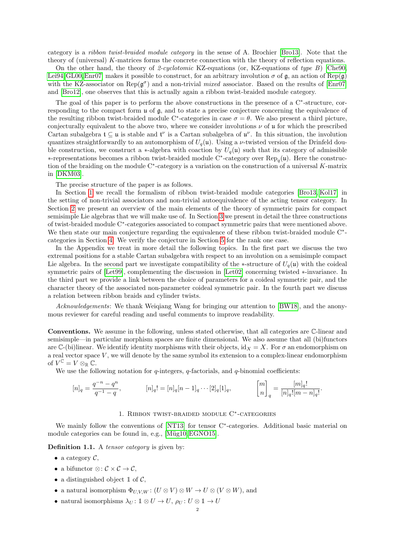category is a ribbon twist-braided module category in the sense of A. Brochier [\[Bro13\]](#page-35-1). Note that the theory of (universal) K-matrices forms the concrete connection with the theory of reflection equations.

On the other hand, the theory of 2-cyclotomic KZ-equations (or, KZ-equations of type  $B$ ) [\[Che90,](#page-36-10) [Lei94,](#page-36-11) [GL00,](#page-36-12) [Enr07\]](#page-36-13) makes it possible to construct, for an arbitrary involution  $\sigma$  of  $\mathfrak{g}$ , an action of Rep( $\mathfrak{g}$ ) with the KZ-associator on  $\text{Rep}(\mathfrak{g}^{\sigma})$  and a non-trivial *mixed* associator. Based on the results of [\[Enr07\]](#page-36-13) and [\[Bro12\]](#page-35-2), one observes that this is actually again a ribbon twist-braided module category.

The goal of this paper is to perform the above constructions in the presence of a C<sup>∗</sup>-structure, corresponding to the compact form u of g, and to state a precise conjecture concerning the equivalence of the resulting ribbon twist-braided module C<sup>\*</sup>-categories in case  $\sigma = \theta$ . We also present a third picture, conjecturally equivalent to the above two, where we consider involutions  $\nu$  of u for which the prescribed Cartan subalgebra  $\mathfrak{t} \subseteq \mathfrak{u}$  is stable and  $\mathfrak{t}^{\nu}$  is a Cartan subalgebra of  $\mathfrak{u}^{\nu}$ . In this situation, the involution quantizes straightforwardly to an automorphism of  $U_q(\mathfrak{u})$ . Using a *v*-twisted version of the Drinfeld double construction, we construct a ∗-algebra with coaction by  $U_q(\mathfrak{u})$  such that its category of admissible ∗-representations becomes a ribbon twist-braided module C<sup>∗</sup> -category over Rep<sup>q</sup> (u). Here the construction of the braiding on the module  $C^*$ -category is a variation on the construction of a universal K-matrix in [\[DKM03\]](#page-36-5).

The precise structure of the paper is as follows.

In Section [1](#page-1-0) we recall the formalism of ribbon twist-braided module categories [\[Bro13,](#page-35-1) [Kol17\]](#page-36-9) in the setting of non-trivial associators and non-trivial autoequivalence of the acting tensor category. In Section [2](#page-6-0) we present an overview of the main elements of the theory of symmetric pairs for compact semisimple Lie algebras that we will make use of. In Section [3](#page-8-0) we present in detail the three constructions of twist-braided module C<sup>∗</sup> -categories associated to compact symmetric pairs that were mentioned above. We then state our main conjecture regarding the equivalence of these ribbon twist-braided module C<sup>∗</sup>categories in Section [4.](#page-21-0) We verify the conjecture in Section [5](#page-21-1) for the rank one case.

In the Appendix we treat in more detail the following topics. In the first part we discuss the two extremal positions for a stable Cartan subalgebra with respect to an involution on a semisimple compact Lie algebra. In the second part we investigate compatibility of the ∗-structure of  $U_q(\mathfrak{u})$  with the coideal symmetric pairs of [\[Let99\]](#page-36-7), complementing the discussion in [\[Let02\]](#page-36-14) concerning twisted ∗-invariance. In the third part we provide a link between the choice of parameters for a coideal symmetric pair, and the character theory of the associated non-parameter coideal symmetric pair. In the fourth part we discuss a relation between ribbon braids and cylinder twists.

Acknowledgements: We thank Weigiang Wang for bringing our attention to [\[BW18\]](#page-35-3), and the anonymous reviewer for careful reading and useful comments to improve readability.

Conventions. We assume in the following, unless stated otherwise, that all categories are C-linear and semisimple—in particular morphism spaces are finite dimensional. We also assume that all (bi)functors are C-(bi)linear. We identify identity morphisms with their objects, id  $X = X$ . For  $\sigma$  an endomorphism on a real vector space  $V$ , we will denote by the same symbol its extension to a complex-linear endomorphism of  $V^{\mathbb{C}} = V \otimes_{\mathbb{R}} \mathbb{C}$ .

We use the following notation for  $q$ -integers,  $q$ -factorials, and  $q$ -binomial coefficients:

$$
[n]_q = \frac{q^{-n} - q^n}{q^{-1} - q}, \qquad [n]_q! = [n]_q [n-1]_q \cdots [2]_q [1]_q, \qquad \begin{bmatrix} m \\ n \end{bmatrix}_q = \frac{[m]_q!}{[n]_q! [m-n]_q!}.
$$

# 1. Ribbon twist-braided module C<sup>∗</sup> -categories

<span id="page-1-0"></span>We mainly follow the conventions of [\[NT13\]](#page-37-2) for tensor C<sup>∗</sup> -categories. Additional basic material on module categories can be found in, e.g., [Müg10, [EGNO15\]](#page-36-15).

Definition 1.1. A *tensor category* is given by:

- a category  $\mathcal{C},$
- a bifunctor  $\otimes: \mathcal{C} \times \mathcal{C} \rightarrow \mathcal{C}$ ,
- a distinguished object  $\mathbb{1}$  of  $\mathcal{C}$ ,
- a natural isomorphism  $\Phi_{UVW}$ :  $(U \otimes V) \otimes W \to U \otimes (V \otimes W)$ , and
- natural isomorphisms  $\lambda_U: \mathbb{1} \otimes U \to U$ ,  $\rho_U: U \otimes \mathbb{1} \to U$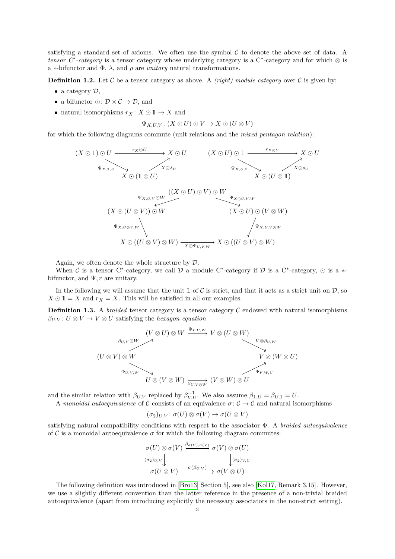satisfying a standard set of axioms. We often use the symbol  $\mathcal C$  to denote the above set of data. A tensor  $C^*$ -category is a tensor category whose underlying category is a  $C^*$ -category and for which  $\otimes$  is a ∗-bifunctor and  $\Phi$ ,  $\lambda$ , and  $\rho$  are *unitary* natural transformations.

**Definition 1.2.** Let C be a tensor category as above. A *(right) module category* over C is given by:

- a category  $\mathcal{D},$
- a bifunctor  $\odot: \mathcal{D} \times \mathcal{C} \rightarrow \mathcal{D}$ , and
- natural isomorphisms  $r_X: X \odot \mathbb{1} \rightarrow X$  and

$$
\Psi_{X,U,V} \colon (X \odot U) \odot V \to X \odot (U \otimes V)
$$

for which the following diagrams commute (unit relations and the mixed pentagon relation):

(X  1)  U X  U X  (1 ⊗ U) r<sup>X</sup>U ΨX,1,U Xλ<sup>U</sup> (X  U)  1 X  U X  (U ⊗ 1) r<sup>X</sup> <sup>U</sup> ΨX,U,<sup>1</sup> Xρ<sup>U</sup> ((X  U)  V )  W (X  (U ⊗ V ))  W X  ((U ⊗ V ) ⊗ W) X  ((U ⊗ V ) ⊗ W) (X  U)  (V ⊗ W) ΨX,U,V W ΨX,U⊗V,W XΦU,V,W ΨX,U,V <sup>⊗</sup><sup>W</sup> Ψ<sup>X</sup>U,V,W

Again, we often denote the whole structure by D.

When C is a tensor C<sup>\*</sup>-category, we call  $D$  a module C<sup>\*</sup>-category if D is a C<sup>\*</sup>-category,  $\odot$  is a  $*$ bifunctor, and  $\Psi$ , r are unitary.

In the following we will assume that the unit  $\mathbb{1}$  of C is strict, and that it acts as a strict unit on  $\mathcal{D}$ , so  $X \odot 1 = X$  and  $r_X = X$ . This will be satisfied in all our examples.

**Definition 1.3.** A *braided* tensor category is a tensor category  $\mathcal C$  endowed with natural isomorphisms  $\beta_{UV}$ :  $U \otimes V \rightarrow V \otimes U$  satisfying the *hexagon equation* 

$$
(U \otimes U) \otimes W \xrightarrow{\Phi_{V,U,W}} V \otimes (U \otimes W)
$$
  
\n
$$
(U \otimes V) \otimes W \xrightarrow{\Phi_{U,V,W}} V \otimes (U \otimes W)
$$
  
\n
$$
V \otimes \beta_{U,W}
$$
  
\n
$$
V \otimes (W \otimes U)
$$
  
\n
$$
U \otimes (V \otimes W) \xrightarrow{\beta_{U,V \otimes W}} (V \otimes W) \otimes U
$$

and the similar relation with  $\beta_{U,V}$  replaced by  $\beta_{V,U}^{-1}$ . We also assume  $\beta_{1,U} = \beta_{U,1} = U$ .

A monoidal autoequivalence of C consists of an equivalence  $\sigma: \mathcal{C} \to \mathcal{C}$  and natural isomorphisms

$$
(\sigma_2)_{U,V} \colon \sigma(U) \otimes \sigma(V) \to \sigma(U \otimes V)
$$

satisfying natural compatibility conditions with respect to the associator  $\Phi$ . A braided autoequivalence of C is a monoidal autoequivalence  $\sigma$  for which the following diagram commutes:

$$
\sigma(U) \otimes \sigma(V) \xrightarrow{\beta_{\sigma(U), \sigma(V)}} \sigma(V) \otimes \sigma(U)
$$
  
\n
$$
\sigma_{2)U,V} \downarrow \qquad \qquad \downarrow (\sigma_{2})_{V,U}
$$
  
\n
$$
\sigma(U \otimes V) \xrightarrow{\sigma(\beta_{U,V})} \sigma(V \otimes U)
$$

The following definition was introduced in [\[Bro13,](#page-35-1) Section 5], see also [\[Kol17,](#page-36-9) Remark 3.15]. However, we use a slightly different convention than the latter reference in the presence of a non-trivial braided autoequivalence (apart from introducing explicitly the necessary associators in the non-strict setting).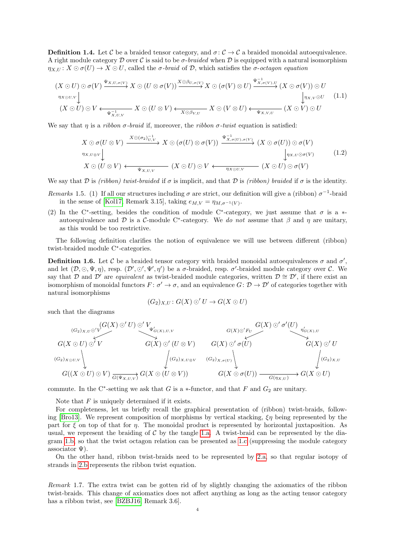**Definition 1.4.** Let C be a braided tensor category, and  $\sigma: \mathcal{C} \to \mathcal{C}$  a braided monoidal autoequivalence. A right module category  $\mathcal D$  over C is said to be  $\sigma$ -braided when  $\mathcal D$  is equipped with a natural isomorphism  $\eta_{X,U}: X \odot \sigma(U) \rightarrow X \odot U$ , called the  $\sigma$ -braid of  $D$ , which satisfies the  $\sigma$ -octagon equation

<span id="page-3-0"></span>
$$
(X \odot U) \odot \sigma(V) \xrightarrow{\Psi_{X,U,\sigma(V)}} X \odot (U \otimes \sigma(V)) \xrightarrow{X \odot \beta_{U,\sigma(V)}} X \odot (\sigma(V) \otimes U) \xrightarrow{\Psi_{X,\sigma(V),U}^{-1}} (X \odot \sigma(V)) \odot U
$$
  
\n
$$
\eta_{X \odot U, V} \downarrow \qquad \qquad \downarrow \eta_{X,V} \odot U
$$
  
\n
$$
(X \odot U) \odot V \longleftarrow \frac{1}{\Psi_{X,U,V}} X \odot (U \otimes V) \longleftarrow \frac{X \odot \beta_{V,U}}{X \odot \beta_{V,U}} X \odot (V \otimes U) \longleftarrow \frac{1}{\Psi_{X,V,U}} (X \odot V) \odot U
$$
 (1.1)

We say that  $\eta$  is a *ribbon*  $\sigma$ *-braid* if, moreover, the *ribbon*  $\sigma$ -twist equation is satisfied:

<span id="page-3-1"></span>
$$
X \odot \sigma(U \otimes V) \xrightarrow{X \odot (\sigma_2)_{U,V}^{-1}} X \odot (\sigma(U) \otimes \sigma(V)) \xrightarrow{\Psi_{X,\sigma(U),\sigma(V)}^{-1}} (X \odot \sigma(U)) \odot \sigma(V)
$$
  
\n
$$
\eta_{X,U \otimes V} \downarrow \qquad \qquad \downarrow \eta_{X,U} \odot \sigma(V) \qquad (1.2)
$$
  
\n
$$
X \odot (U \otimes V) \longleftarrow \qquad \qquad \downarrow \eta_{X,U,V} \qquad (X \odot U) \odot V \longleftarrow \qquad \qquad \eta_{X \odot U,V} \qquad (X \odot U) \odot \sigma(V)
$$

We say that D is (ribbon) twist-braided if  $\sigma$  is implicit, and that D is (ribbon) braided if  $\sigma$  is the identity.

- Remarks 1.5. (1) If all our structures including  $\sigma$  are strict, our definition will give a (ribbon)  $\sigma^{-1}$ -braid in the sense of [\[Kol17,](#page-36-9) Remark 3.15], taking  $e_{M,V} = \eta_{M,\sigma^{-1}(V)}$ .
- (2) In the C<sup>\*</sup>-setting, besides the condition of module C<sup>\*</sup>-category, we just assume that  $\sigma$  is a \*autoequivalence and D is a C-module C<sup>\*</sup>-category. We do not assume that  $\beta$  and  $\eta$  are unitary, as this would be too restrictive.

The following definition clarifies the notion of equivalence we will use between different (ribbon) twist-braided module C<sup>∗</sup> -categories.

**Definition 1.6.** Let C be a braided tensor category with braided monoidal autoequivalences  $\sigma$  and  $\sigma'$ , and let  $(\mathcal{D}, \odot, \Psi, \eta)$ , resp.  $(\mathcal{D}', \odot', \Psi', \eta')$  be a  $\sigma$ -braided, resp.  $\sigma'$ -braided module category over C. We say that D and D' are *equivalent* as twist-braided module categories, written  $D \cong D'$ , if there exist an isomorphism of monoidal functors  $F: \sigma' \to \sigma$ , and an equivalence  $G: \mathcal{D} \to \mathcal{D}'$  of categories together with natural isomorphisms

$$
(G_2)_{X,U}: G(X) \odot' U \rightarrow G(X \odot U)
$$

such that the diagrams

$$
(G_2)_{X,U} \circ 'V
$$
\n
$$
G(X \odot U) \odot' V
$$
\n
$$
G(X) \odot' \odot' V
$$
\n
$$
G(X) \odot' \odot' V
$$
\n
$$
G(X) \odot' \odot' \odot' V
$$
\n
$$
G(X) \odot' \odot' \odot' V
$$
\n
$$
G(X) \odot' \odot' \odot' V
$$
\n
$$
G(X) \odot' \odot' \odot' V
$$
\n
$$
G(X) \odot' \odot' \odot' V
$$
\n
$$
G(X) \odot' \odot' \odot' V
$$
\n
$$
G(X) \odot' \odot' \odot' V
$$
\n
$$
G(X) \odot' \odot' V
$$
\n
$$
G(X) \odot' \odot' V
$$
\n
$$
G(X) \odot' \odot' V
$$
\n
$$
G(X) \odot' \odot' V
$$
\n
$$
G(X) \odot' \odot' V
$$
\n
$$
G(X) \odot' \odot' V
$$
\n
$$
G(X) \odot' \odot' V
$$
\n
$$
G(X) \odot' \odot' V
$$
\n
$$
G(X) \odot' \odot' V
$$
\n
$$
G(X) \odot' \odot' V
$$
\n
$$
G(X) \odot' \odot' V
$$
\n
$$
G(X) \odot' \odot' V
$$
\n
$$
G(X) \odot' \odot' V
$$
\n
$$
G(X) \odot' V
$$
\n
$$
G(X) \odot' V
$$
\n
$$
G(X) \odot' V
$$
\n
$$
G(X) \odot' V
$$
\n
$$
G(X) \odot' V
$$
\n
$$
G(X) \odot' V
$$
\n
$$
G(X) \odot' V
$$
\n
$$
G(X) \odot' V
$$
\n
$$
G(X) \odot' V
$$
\n
$$
G(X) \odot' V
$$
\n
$$
G(X) \odot' V
$$
\n
$$
G(X) \od
$$

commute. In the C<sup>\*</sup>-setting we ask that G is a  $*$ -functor, and that F and  $G_2$  are unitary.

Note that  $F$  is uniquely determined if it exists.

For completeness, let us briefly recall the graphical presentation of (ribbon) twist-braids, follow-ing [\[Bro13\]](#page-35-1). We represent composition of morphisms by vertical stacking,  $\xi \eta$  being represented by the part for  $\xi$  on top of that for  $\eta$ . The monoidal product is represented by horizontal juxtaposition. As usual, we represent the braiding of  $\mathcal C$  by the tangle [1.a.](#page-4-0) A twist-braid can be represented by the diagram [1.b,](#page-4-0) so that the twist octagon relation can be presented as [1.c](#page-4-0) (suppressing the module category associator  $\Psi$ ).

On the other hand, ribbon twist-braids need to be represented by [2.a,](#page-4-1) so that regular isotopy of strands in [2.b](#page-4-1) represents the ribbon twist equation.

Remark 1.7. The extra twist can be gotten rid of by slightly changing the axiomatics of the ribbon twist-braids. This change of axiomatics does not affect anything as long as the acting tensor category has a ribbon twist, see [\[BZBJ16,](#page-35-4) Remark 3.6].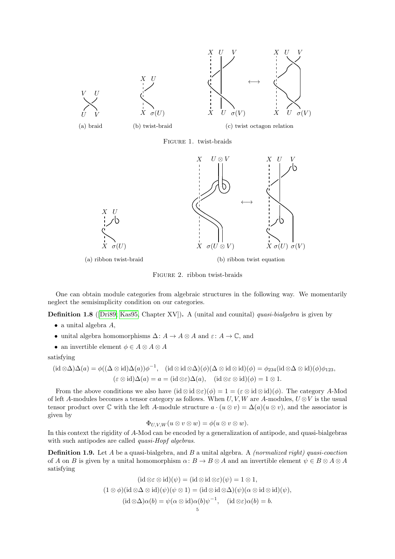<span id="page-4-0"></span>

<span id="page-4-1"></span>

Figure 2. ribbon twist-braids

One can obtain module categories from algebraic structures in the following way. We momentarily neglect the semisimplicity condition on our categories.

**Definition 1.8** (Dri89; [Kas95,](#page-36-16) Chapter XV)). A (unital and counital) *quasi-bialgebra* is given by

- $\bullet$  a unital algebra  $A$ ,
- unital algebra homomorphisms  $\Delta: A \to A \otimes A$  and  $\varepsilon: A \to \mathbb{C}$ , and
- an invertible element  $\phi \in A \otimes A \otimes A$

satisfying

$$
(\mathrm{id}\otimes\Delta)\Delta(a) = \phi((\Delta\otimes\mathrm{id})\Delta(a))\phi^{-1}, \quad (\mathrm{id}\otimes\mathrm{id}\otimes\Delta)(\phi)(\Delta\otimes\mathrm{id}\otimes\mathrm{id})(\phi) = \phi_{234}(\mathrm{id}\otimes\Delta\otimes\mathrm{id})(\phi)\phi_{123}, (\varepsilon\otimes\mathrm{id})\Delta(a) = a = (\mathrm{id}\otimes\varepsilon)\Delta(a), \quad (\mathrm{id}\otimes\varepsilon\otimes\mathrm{id})(\phi) = 1\otimes 1.
$$

From the above conditions we also have  $(id \otimes id \otimes \varepsilon)(\phi) = 1 = (\varepsilon \otimes id \otimes id)(\phi)$ . The category A-Mod of left A-modules becomes a tensor category as follows. When  $U, V, W$  are A-modules,  $U \otimes V$  is the usual tensor product over  $\mathbb C$  with the left A-module structure  $a \cdot (u \otimes v) = \Delta(a)(u \otimes v)$ , and the associator is given by

$$
\Phi_{U,V,W}(u\otimes v\otimes w)=\phi(u\otimes v\otimes w).
$$

In this context the rigidity of A-Mod can be encoded by a generalization of antipode, and quasi-bialgebras with such antipodes are called *quasi-Hopf algebras*.

**Definition 1.9.** Let A be a quasi-bialgebra, and B a unital algebra. A *(normalized right) quasi-coaction* of A on B is given by a unital homomorphism  $\alpha: B \to B \otimes A$  and an invertible element  $\psi \in B \otimes A \otimes A$ satisfying

$$
(\mathrm{id}\otimes \varepsilon \otimes \mathrm{id})(\psi) = (\mathrm{id}\otimes \mathrm{id}\otimes \varepsilon)(\psi) = 1 \otimes 1,
$$
  

$$
(1 \otimes \phi)(\mathrm{id}\otimes \Delta \otimes \mathrm{id})(\psi)(\psi \otimes 1) = (\mathrm{id}\otimes \mathrm{id}\otimes \Delta)(\psi)(\alpha \otimes \mathrm{id}\otimes \mathrm{id})(\psi),
$$
  

$$
(\mathrm{id}\otimes \Delta)\alpha(b) = \psi(\alpha \otimes \mathrm{id})\alpha(b)\psi^{-1}, \quad (\mathrm{id}\otimes \varepsilon)\alpha(b) = b.
$$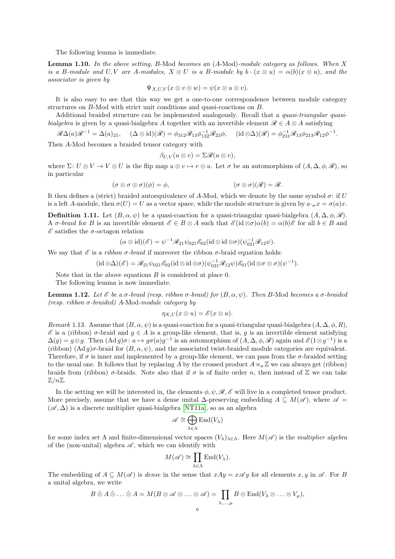The following lemma is immediate.

Lemma 1.10. In the above setting, B-Mod becomes an (A-Mod)-module category as follows. When X is a B-module and U, V are A-modules,  $X \otimes U$  is a B-module by  $b \cdot (x \otimes u) = \alpha(b)(x \otimes u)$ , and the associator is given by

$$
\Psi_{X,U,V}(x\otimes v\otimes w)=\psi(x\otimes u\otimes v).
$$

It is also easy to see that this way we get a one-to-one correspondence between module category structures on B-Mod with strict unit conditions and quasi-coactions on B.

Additional braided structure can be implemented analogously. Recall that a quasi-triangular quasibialgebra is given by a quasi-bialgebra A together with an invertible element  $\mathscr{R} \in A \otimes A$  satisfying

$$
\mathscr{R}\Delta(a)\mathscr{R}^{-1}=\Delta(a)_{21}, \quad (\Delta\otimes id)(\mathscr{R})=\phi_{312}\mathscr{R}_{13}\phi_{132}^{-1}\mathscr{R}_{23}\phi, \quad (\mathrm{id}\otimes\Delta)(\mathscr{R})=\phi_{231}^{-1}\mathscr{R}_{13}\phi_{213}\mathscr{R}_{12}\phi^{-1}.
$$

Then A-Mod becomes a braided tensor category with

$$
\beta_{U,V}(u\otimes v)=\Sigma\mathscr{R}(u\otimes v),
$$

where  $\Sigma: U \otimes V \to V \otimes U$  is the flip map  $u \otimes v \to v \otimes u$ . Let  $\sigma$  be an automorphism of  $(A, \Delta, \phi, \mathscr{R})$ , so in particular

$$
(\sigma \otimes \sigma \otimes \sigma)(\phi) = \phi, \qquad (\sigma \otimes \sigma)(\mathscr{R}) = \mathscr{R}.
$$

It then defines a (strict) braided autoequivalence of A-Mod, which we denote by the same symbol  $\sigma$ : if U is a left A-module, then  $\sigma(U) = U$  as a vector space, while the module structure is given by  $a \cdot_\sigma x = \sigma(a)x$ .

**Definition 1.11.** Let  $(B, \alpha, \psi)$  be a quasi-coaction for a quasi-triangular quasi-bialgebra  $(A, \Delta, \phi, \mathcal{R})$ . A  $\sigma$ -braid for B is an invertible element  $\mathscr{E} \in B \otimes A$  such that  $\mathscr{E}(\text{id} \otimes \sigma) \alpha(b) = \alpha(b)\mathscr{E}$  for all  $b \in B$  and  $\mathscr E$  satisfies the  $\sigma$ -octagon relation

$$
(\alpha \otimes id)(\mathscr{E}) = \psi^{-1} \mathscr{R}_{21} \psi_{021} \mathscr{E}_{02} (id \otimes id \otimes \sigma)(\psi_{021}^{-1} \mathscr{R}_{12} \psi).
$$

We say that  $\mathscr E$  is a *ribbon*  $\sigma$ *-braid* if moreover the ribbon  $\sigma$ -braid equation holds:

$$
(\mathrm{id}\otimes\Delta)(\mathscr{E})=\mathscr{R}_{21}\psi_{021}\mathscr{E}_{02}(\mathrm{id}\otimes\mathrm{id}\otimes\sigma)(\psi_{021}^{-1}\mathscr{R}_{12}\psi)\mathscr{E}_{01}(\mathrm{id}\otimes\sigma\otimes\sigma)(\psi^{-1}).
$$

Note that in the above equations  $B$  is considered at place 0.

The following lemma is now immediate.

**Lemma 1.12.** Let *ε* be a σ-braid (resp. ribbon σ-braid) for  $(B, \alpha, \psi)$ . Then B-Mod becomes a σ-braided (resp. ribbon  $\sigma$ -braided) A-Mod-module category by

$$
\eta_{X,U}(x\otimes u)=\mathscr{E}(x\otimes u).
$$

<span id="page-5-0"></span>Remark 1.13. Assume that  $(B, \alpha, \psi)$  is a quasi-coaction for a quasi-triangular quasi-bialgebra  $(A, \Delta, \phi, R)$ ,  $\mathscr E$  is a (ribbon)  $\sigma$ -braid and  $g \in A$  is a group-like element, that is, g is an invertible element satisfying  $\Delta(g) = g \otimes g$ . Then  $(\text{Ad } g)\sigma : a \mapsto g\sigma(a)g^{-1}$  is an automorphism of  $(A, \Delta, \phi, \mathscr{R})$  again and  $\mathscr{E}(1 \otimes g^{-1})$  is a (ribbon)  $(\text{Ad } g)\sigma$ -braid for  $(B, \alpha, \psi)$ , and the associated twist-braided module categories are equivalent. Therefore, if  $\sigma$  is inner and implemented by a group-like element, we can pass from the  $\sigma$ -braided setting to the usual one. It follows that by replacing A by the crossed product  $A \rtimes_{\sigma} \mathbb{Z}$  we can always get (ribbon) braids from (ribbon)  $\sigma$ -braids. Note also that if  $\sigma$  is of finite order n, then instead of Z we can take  $\mathbb{Z}/n\mathbb{Z}$ .

In the setting we will be interested in, the elements  $\phi, \psi, \mathscr{R}, \mathscr{E}$  will live in a completed tensor product. More precisely, assume that we have a dense unital  $\Delta$ -preserving embedding  $A \subseteq M(\mathscr{A})$ , where  $\mathscr{A} =$  $(\mathscr{A}, \Delta)$  is a discrete multiplier quasi-bialgebra [\[NT11a\]](#page-37-4), so as an algebra

$$
\mathscr{A} \cong \bigoplus_{\lambda \in \Lambda} \mathrm{End}(V_{\lambda})
$$

for some index set  $\Lambda$  and finite-dimensional vector spaces  $(V_\lambda)_{\lambda \in \Lambda}$ . Here  $M(\mathscr{A})$  is the multiplier algebra of the (non-unital) algebra  $\mathscr A$ , which we can identify with

$$
M(\mathscr{A}) \cong \prod_{\lambda \in \Lambda} \mathrm{End}(V_{\lambda}).
$$

The embedding of  $A \subseteq M(\mathscr{A})$  is dense in the sense that  $xAy = x\mathscr{A}y$  for all elements  $x, y$  in  $\mathscr{A}$ . For B a unital algebra, we write

$$
B\hat{\otimes} A\hat{\otimes} \ldots \hat{\otimes} A = M(B\otimes \mathscr{A} \otimes \ldots \otimes \mathscr{A}) = \prod_{\lambda,\ldots,\mu} B \otimes \mathrm{End}(V_{\lambda} \otimes \ldots \otimes V_{\mu}),
$$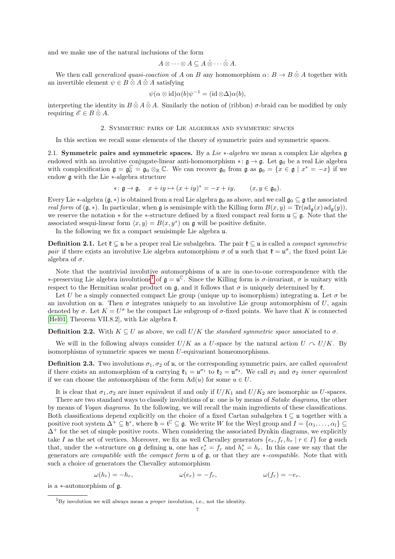and we make use of the natural inclusions of the form

$$
A\otimes\cdots\otimes A\subseteq A\hat{\otimes}\cdots\hat{\otimes} A.
$$

We then call *generalized quasi-coaction* of A on B any homomorphism  $\alpha: B \to B \hat{\otimes} A$  together with an invertible element  $\psi \in B \hat{\otimes} A \hat{\otimes} A$  satisfying

$$
\psi(\alpha \otimes id)\alpha(b)\psi^{-1} = (id \otimes \Delta)\alpha(b),
$$

interpreting the identity in  $B \hat{\otimes} A \hat{\otimes} A$ . Similarly the notion of (ribbon)  $\sigma$ -braid can be modified by only requiring  $\mathscr{E} \in B \hat{\otimes} A$ .

#### 2. Symmetric pairs of Lie algebras and symmetric spaces

<span id="page-6-0"></span>In this section we recall some elements of the theory of symmetric pairs and symmetric spaces.

2.1. Symmetric pairs and symmetric spaces. By a Lie  $*$ -algebra we mean a complex Lie algebra g endowed with an involutive conjugate-linear anti-homomorphism ∗:  $\mathfrak{g} \to \mathfrak{g}$ . Let  $\mathfrak{g}_0$  be a real Lie algebra with complexification  $\mathfrak{g} = \mathfrak{g}_0^{\mathbb{C}} = \mathfrak{g}_0 \otimes_{\mathbb{R}} \mathbb{C}$ . We can recover  $\mathfrak{g}_0$  from  $\mathfrak{g}$  as  $\mathfrak{g}_0 = \{x \in \mathfrak{g} \mid x^* = -x\}$  if we endow g with the Lie ∗-algebra structure

$$
* : \mathfrak{g} \to \mathfrak{g}, \quad x + iy \mapsto (x + iy)^* = -x + iy, \qquad (x, y \in \mathfrak{g}_0).
$$

Every Lie  $*$ -algebra  $(\mathfrak{g}, *)$  is obtained from a real Lie algebra  $\mathfrak{g}_0$  as above, and we call  $\mathfrak{g}_0 \subseteq \mathfrak{g}$  the associated real form of  $(\mathfrak{g},*)$ . In particular, when  $\mathfrak{g}$  is semisimple with the Killing form  $B(x,y) = \text{Tr}(\text{ad}_{\mathfrak{g}}(x) \text{ad}_{\mathfrak{g}}(y)),$ we reserve the notation  $*$  for the  $*$ -structure defined by a fixed compact real form  $\mathfrak{u} \subseteq \mathfrak{g}$ . Note that the associated sesqui-linear form  $\langle x, y \rangle = B(x, y^*)$  on g will be positive definite.

In the following we fix a compact semisimple Lie algebra u.

**Definition 2.1.** Let  $\mathfrak{k} \subset \mathfrak{u}$  be a proper real Lie subalgebra. The pair  $\mathfrak{k} \subset \mathfrak{u}$  is called a *compact symmetric* pair if there exists an involutive Lie algebra automorphism  $\sigma$  of u such that  $\mathfrak{k} = \mathfrak{u}^{\sigma}$ , the fixed point Lie algebra of  $\sigma$ .

Note that the nontrivial involutive automorphisms of u are in one-to-one correspondence with the  $\ast$ -preserving Lie algebra involutions<sup>[1](#page-6-1)</sup> of **g** = **u**<sup>€</sup>. Since the Killing form is σ-invariant, σ is unitary with respect to the Hermitian scalar product on g, and it follows that  $\sigma$  is uniquely determined by  $\mathfrak{k}$ .

Let U be a simply connected compact Lie group (unique up to isomorphism) integrating u. Let  $\sigma$  be an involution on **u**. Then  $\sigma$  integrates uniquely to an involutive Lie group automorphism of U, again denoted by  $\sigma$ . Let  $K = U^{\sigma}$  be the compact Lie subgroup of  $\sigma$ -fixed points. We have that K is connected [\[Hel01,](#page-36-17) Theorem VII.8.2], with Lie algebra  $\mathfrak{k}$ .

**Definition 2.2.** With  $K \subseteq U$  as above, we call  $U/K$  the *standard symmetric space* associated to  $\sigma$ .

We will in the following always consider  $U/K$  as a U-space by the natural action  $U \sim U/K$ . By isomorphisms of symmetric spaces we mean U-equivariant homeomorphisms.

**Definition 2.3.** Two involutions  $\sigma_1, \sigma_2$  of u, or the corresponding symmetric pairs, are called *equivalent* if there exists an automorphism of **u** carrying  $\mathfrak{k}_1 = \mathfrak{u}^{\sigma_1}$  to  $\mathfrak{k}_2 = \mathfrak{u}^{\sigma_2}$ . We call  $\sigma_1$  and  $\sigma_2$  *inner equivalent* if we can choose the automorphism of the form  $\mathrm{Ad}(u)$  for some  $u \in U$ .

It is clear that  $\sigma_1, \sigma_2$  are inner equivalent if and only if  $U/K_1$  and  $U/K_2$  are isomorphic as U-spaces.

There are two standard ways to classify involutions of u: one is by means of *Satake diagrams*, the other by means of Vogan diagrams. In the following, we will recall the main ingredients of these classifications. Both classifications depend explicitly on the choice of a fixed Cartan subalgebra  $\mathfrak{t} \subseteq \mathfrak{u}$  together with a positive root system  $\Delta^+ \subseteq \mathfrak{h}^*$ , where  $\mathfrak{h} = \mathfrak{t}^{\mathbb{C}} \subseteq \mathfrak{g}$ . We write W for the Weyl group and  $I = \{ \alpha_1, \ldots, \alpha_l \} \subseteq$  $\Delta^+$  for the set of simple positive roots. When considering the associated Dynkin diagrams, we explicitly take I as the set of vertices. Moreover, we fix as well Chevalley generators  $\{e_r, f_r, h_r | r \in I\}$  for g such that, under the ∗-structure on  $\mathfrak g$  defining  $\mathfrak u$ , one has  $e_r^* = f_r$  and  $h_r^* = h_r$ . In this case we say that the generators are *compatible with the compact form*  $\mu$  of  $\mu$ , or that they are *∗-compatible*. Note that with such a choice of generators the Chevalley automorphism

$$
\omega(h_r) = -h_r, \qquad \qquad \omega(e_r) = -f_r, \qquad \qquad \omega(f_r) = -e_r.
$$

is a ∗-automorphism of g.

<span id="page-6-1"></span> $1_{\text{By involution}}$  we will always mean a *proper* involution, i.e., not the identity.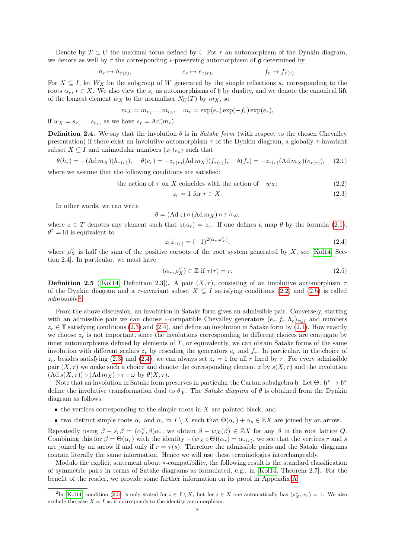Denote by  $T \subset U$  the maximal torus defined by t. For  $\tau$  an automorphism of the Dynkin diagram, we denote as well by  $\tau$  the corresponding \*-preserving automorphism of  $\mathfrak g$  determined by

$$
h_r \mapsto h_{\tau(r)}, \qquad \qquad e_r \mapsto e_{\tau(r)}, \qquad \qquad f_r \mapsto f_{\tau(r)}
$$

For  $X \subseteq I$ , let  $W_X$  be the subgroup of W generated by the simple reflections  $s_r$  corresponding to the roots  $\alpha_r$ ,  $r \in X$ . We also view the  $s_r$  as automorphisms of h by duality, and we denote the canonical lift of the longest element  $w_X$  to the normalizer  $N_U(T)$  by  $m_X$ , so

$$
m_X = m_{r_1} \dots m_{r_k}, \quad m_r = \exp(e_r) \exp(-f_r) \exp(e_r),
$$

if  $w_X = s_{r_1} \dots s_{r_k}$ , as we have  $s_r = \text{Ad}(m_r)$ .

**Definition 2.4.** We say that the involution  $\theta$  is in *Satake form* (with respect to the chosen Chevalley presentation) if there exist an involutive automorphism  $\tau$  of the Dynkin diagram, a globally  $\tau$ -invariant subset  $X \subseteq I$  and unimodular numbers  $(z_r)_{r \in I}$  such that

$$
\theta(h_r) = -(\text{Ad}\,m_X)(h_{\tau(r)}), \quad \theta(e_r) = -\bar{z}_{\tau(r)}(\text{Ad}\,m_X)(f_{\tau(r)}), \quad \theta(f_r) = -z_{\tau(r)}(\text{Ad}\,m_X)(e_{\tau(r)}), \quad (2.1)
$$

where we assume that the following conditions are satisfied:

the action of  $\tau$  on X coincides with the action of  $-w_X$ ; (2.2)

$$
z_r = 1 \text{ for } r \in X. \tag{2.3}
$$

<span id="page-7-4"></span><span id="page-7-1"></span><span id="page-7-0"></span>.

In other words, we can write

$$
\theta = (\mathrm{Ad}\, z) \circ (\mathrm{Ad}\, m_X) \circ \tau \circ \omega,
$$

where  $z \in T$  denotes any element such that  $z(\alpha_r) = z_r$ . If one defines a map  $\theta$  by the formula [\(2.1\)](#page-7-0),  $\theta^2 = id$  is equivalent to

<span id="page-7-5"></span>
$$
z_r \bar{z}_{\tau(r)} = (-1)^{2(\alpha_r, \rho_X^{\vee})},\tag{2.4}
$$

where  $\rho_X^{\vee}$  is half the sum of the positive coroots of the root system generated by X, see [\[Kol14,](#page-36-18) Section 2.4]. In particular, we must have

<span id="page-7-2"></span>
$$
(\alpha_r, \rho_X^{\vee}) \in \mathbb{Z} \text{ if } \tau(r) = r. \tag{2.5}
$$

**Definition 2.5** ([\[Kol14,](#page-36-18) Definition 2.3]). A pair  $(X, \tau)$ , consisting of an involutive automorphism  $\tau$ of the Dynkin diagram and a  $\tau$ -invariant subset  $X \subsetneq I$  satisfying conditions [\(2.2\)](#page-7-1) and [\(2.5\)](#page-7-2) is called admissible. [2](#page-7-3)

From the above discussion, an involution in Satake form gives an admissible pair. Conversely, starting with an admissible pair we can choose \*-compatible Chevalley generators  $(e_r, f_r, h_r)_{r \in I}$  and numbers  $z_r \in \mathbb{T}$  satisfying conditions [\(2.3\)](#page-7-4) and [\(2.4\)](#page-7-5), and define an involution in Satake form by [\(2.1\)](#page-7-0). How exactly we choose  $z_r$  is not important, since the involutions corresponding to different choices are conjugate by inner automorphisms defined by elements of  $T$ , or equivalently, we can obtain Satake forms of the same involution with different scalars  $z_r$  by rescaling the generators  $e_r$  and  $f_r$ . In particular, in the choice of  $z_r$ , besides satisfying [\(2.3\)](#page-7-4) and [\(2.4\)](#page-7-5), we can always set  $z_r = 1$  for all r fixed by  $\tau$ . For every admissible pair  $(X, \tau)$  we make such a choice and denote the corresponding element z by  $s(X, \tau)$  and the involution  $(Ad s(X, \tau)) \circ (Ad m_X) \circ \tau \circ \omega$  by  $\theta(X, \tau)$ .

Note that an involution in Satake form preserves in particular the Cartan subalgebra h. Let  $\Theta: \mathfrak{h}^* \to \mathfrak{h}^*$ define the involutive transformation dual to  $\theta_{\vert h}$ . The *Satake diagram* of  $\theta$  is obtained from the Dynkin diagram as follows:

- $\bullet$  the vertices corresponding to the simple roots in  $X$  are painted black, and
- two distinct simple roots  $\alpha_r$  and  $\alpha_s$  in  $I \setminus X$  such that  $\Theta(\alpha_r) + \alpha_s \in \mathbb{Z}X$  are joined by an arrow.

Repeatedly using  $\beta - s_r \beta = (\alpha_r^{\vee}, \beta) \alpha_r$ , we obtain  $\beta - w_X(\beta) \in \mathbb{Z}X$  for any  $\beta$  in the root lattice Q. Combining this for  $\beta = \Theta(\alpha_r)$  with the identity  $-(w_X \circ \Theta)(\alpha_r) = \alpha_{\tau(r)}$ , we see that the vertices r and s are joined by an arrow if and only if  $r = \tau(s)$ . Therefore the admissible pairs and the Satake diagrams contain literally the same information. Hence we will use these terminologies interchangeably.

Modulo the explicit statement about ∗-compatibility, the following result is the standard classification of symmetric pairs in terms of Satake diagrams as formulated, e.g., in [\[Kol14,](#page-36-18) Theorem 2.7]. For the benefit of the reader, we provide some further information on its proof in Appendix [A.](#page-25-0)

<span id="page-7-3"></span><sup>&</sup>lt;sup>2</sup>In [\[Kol14\]](#page-36-18) condition [\(2.5\)](#page-7-2) is only stated for  $i \in I \setminus X$ , but for  $i \in X$  one automatically has  $(\rho_X^{\vee}, \alpha_r) = 1$ . We also exclude the case  $X = I$  as it corresponds to the identity automorphism.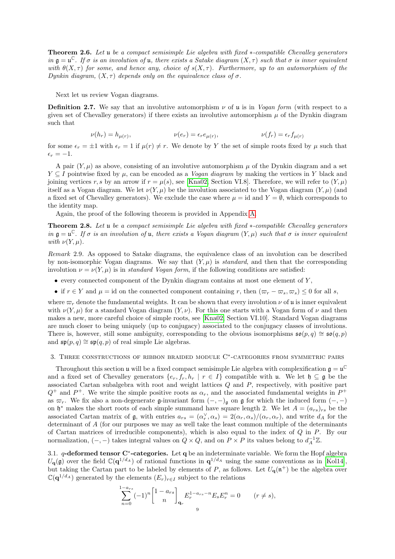<span id="page-8-1"></span>Theorem 2.6. Let u be a compact semisimple Lie algebra with fixed ∗-compatible Chevalley generators in  $\mathfrak{g} = \mathfrak{u}^{\mathbb{C}}$ . If  $\sigma$  is an involution of  $\mathfrak{u}$ , there exists a Satake diagram  $(X, \tau)$  such that  $\sigma$  is inner equivalent with  $\theta(X,\tau)$  for some, and hence any, choice of  $s(X,\tau)$ . Furthermore, up to an automorphism of the Dynkin diagram,  $(X, \tau)$  depends only on the equivalence class of  $\sigma$ .

Next let us review Vogan diagrams.

**Definition 2.7.** We say that an involutive automorphism  $\nu$  of u is in *Vogan form* (with respect to a given set of Chevalley generators) if there exists an involutive automorphism  $\mu$  of the Dynkin diagram such that

$$
\nu(h_r) = h_{\mu(r)}, \qquad \nu(e_r) = \epsilon_r e_{\mu(r)}, \qquad \nu(f_r) = \epsilon_r f_{\mu(r)}
$$

for some  $\epsilon_r = \pm 1$  with  $\epsilon_r = 1$  if  $\mu(r) \neq r$ . We denote by Y the set of simple roots fixed by  $\mu$  such that  $\epsilon_r = -1.$ 

A pair  $(Y, \mu)$  as above, consisting of an involutive automorphism  $\mu$  of the Dynkin diagram and a set  $Y \subseteq I$  pointwise fixed by  $\mu$ , can be encoded as a *Vogan diagram* by making the vertices in Y black and joining vertices r, s by an arrow if  $r = \mu(s)$ , see [\[Kna02,](#page-36-19) Section VI.8]. Therefore, we will refer to  $(Y, \mu)$ itself as a Vogan diagram. We let  $\nu(Y,\mu)$  be the involution associated to the Vogan diagram  $(Y,\mu)$  (and a fixed set of Chevalley generators). We exclude the case where  $\mu = id$  and  $Y = \emptyset$ , which corresponds to the identity map.

Again, the proof of the following theorem is provided in Appendix [A.](#page-25-0)

<span id="page-8-2"></span>Theorem 2.8. Let u be a compact semisimple Lie algebra with fixed ∗-compatible Chevalley generators in  $\mathfrak{g} = \mathfrak{u}^{\mathbb{C}}$ . If  $\sigma$  is an involution of  $\mathfrak{u}$ , there exists a Vogan diagram  $(Y, \mu)$  such that  $\sigma$  is inner equivalent with  $\nu(Y,\mu)$ .

Remark 2.9. As opposed to Satake diagrams, the equivalence class of an involution can be described by non-isomorphic Vogan diagrams. We say that  $(Y, \mu)$  is *standard*, and then that the corresponding involution  $\nu = \nu(Y, \mu)$  is in standard Vogan form, if the following conditions are satisfied:

- $\bullet$  every connected component of the Dynkin diagram contains at most one element of  $Y$ ,
- if  $r \in Y$  and  $\mu = id$  on the connected component containing r, then  $(\varpi_r \varpi_s, \varpi_s) \leq 0$  for all s,

where  $\varpi_r$  denote the fundamental weights. It can be shown that every involution  $\nu$  of u is inner equivalent with  $\nu(Y, \mu)$  for a standard Vogan diagram  $(Y, \nu)$ . For this one starts with a Vogan form of  $\nu$  and then makes a new, more careful choice of simple roots, see [\[Kna02,](#page-36-19) Section VI.10]. Standard Vogan diagrams are much closer to being uniquely (up to conjugacy) associated to the conjugacy classes of involutions. There is, however, still some ambiguity, corresponding to the obvious isomorphisms  $\mathfrak{so}(p,q) \cong \mathfrak{so}(q,p)$ and  $\mathfrak{sp}(p,q) \cong \mathfrak{sp}(q,p)$  of real simple Lie algebras.

# <span id="page-8-0"></span>3. THREE CONSTRUCTIONS OF RIBBON BRAIDED MODULE  $C^*$ -CATEGORIES FROM SYMMETRIC PAIRS

Throughout this section **u** will be a fixed compact semisimple Lie algebra with complexification  $\mathfrak{g} = \mathfrak{u}^{\mathbb{C}}$ and a fixed set of Chevalley generators  $\{e_r, f_r, h_r \mid r \in I\}$  compatible with u. We let  $\mathfrak{h} \subseteq \mathfrak{g}$  be the associated Cartan subalgebra with root and weight lattices Q and P, respectively, with positive part  $Q^+$  and  $P^+$ . We write the simple positive roots as  $\alpha_r$ , and the associated fundamental weights in  $P^+$ as  $\varpi_r$ . We fix also a non-degenerate g-invariant form  $(-, -)$ g on g for which the induced form  $(-, -)$ on  $\mathfrak{h}^*$  makes the short roots of each simple summand have square length 2. We let  $A = (a_{rs})_{rs}$  be the associated Cartan matrix of  $\mathfrak{g}$ , with entries  $a_{rs} = (\alpha_r^{\vee}, \alpha_s) = 2(\alpha_r, \alpha_s)/(\alpha_r, \alpha_r)$ , and write  $d_A$  for the determinant of A (for our purposes we may as well take the least common multiple of the determinants of Cartan matrices of irreducible components), which is also equal to the index of  $Q$  in  $P$ . By our normalization,  $(-,-)$  takes integral values on  $Q \times Q$ , and on  $P \times P$  its values belong to  $d_A^{-1}\mathbb{Z}$ .

3.1.  $q$ -deformed tensor C<sup>\*</sup>-categories. Let q be an indeterminate variable. We form the Hopf algebra  $U_{\mathbf{q}}(\mathfrak{g})$  over the field  $\mathbb{C}(\mathbf{q}^{1/d_A})$  of rational functions in  $\mathbf{q}^{1/d_A}$  using the same conventions as in [\[Kol14\]](#page-36-18), but taking the Cartan part to be labeled by elements of P, as follows. Let  $U_q(\mathfrak{n}^+)$  be the algebra over  $\mathbb{C}(\mathbf{q}^{1/d_A})$  generated by the elements  $(E_r)_{r\in I}$  subject to the relations

$$
\sum_{n=0}^{1-a_{rs}} (-1)^n \begin{bmatrix} 1 - a_{rs} \\ n \end{bmatrix}_{\mathbf{q}_r} E_r^{1-a_{rs} - n} E_s E_r^n = 0 \qquad (r \neq s),
$$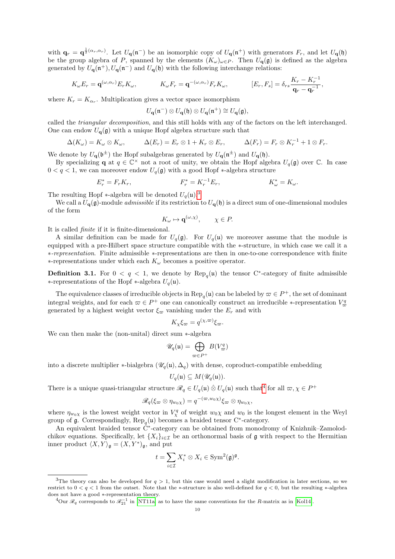with  $\mathbf{q}_r = \mathbf{q}^{\frac{1}{2}(\alpha_r, \alpha_r)}$ . Let  $U_{\mathbf{q}}(\mathfrak{n}^-)$  be an isomorphic copy of  $U_{\mathbf{q}}(\mathfrak{n}^+)$  with generators  $F_r$ , and let  $U_{\mathbf{q}}(\mathfrak{h})$ be the group algebra of P, spanned by the elements  $(K_{\omega})_{\omega \in P}$ . Then  $U_{q}(g)$  is defined as the algebra generated by  $U_{\mathbf{q}}(\mathfrak{n}^+), U_{\mathbf{q}}(\mathfrak{n}^-)$  and  $U_{\mathbf{q}}(\mathfrak{h})$  with the following interchange relations:

$$
K_{\omega}E_r = \mathbf{q}^{(\omega,\alpha_r)}E_rK_{\omega}, \qquad K_{\omega}F_r = \mathbf{q}^{-(\omega,\alpha_r)}F_rK_{\omega}, \qquad [E_r, F_s] = \delta_{rs}\frac{K_r - K_r^{-1}}{\mathbf{q}_r - \mathbf{q}_r^{-1}},
$$

where  $K_r = K_{\alpha_r}$ . Multiplication gives a vector space isomorphism

$$
U_{\mathbf{q}}(\mathfrak{n}^-) \otimes U_{\mathbf{q}}(\mathfrak{h}) \otimes U_{\mathbf{q}}(\mathfrak{n}^+) \cong U_{\mathbf{q}}(\mathfrak{g}),
$$

called the triangular decomposition, and this still holds with any of the factors on the left interchanged. One can endow  $U_{\mathbf{q}}(\mathfrak{g})$  with a unique Hopf algebra structure such that

$$
\Delta(K_{\omega}) = K_{\omega} \otimes K_{\omega}, \qquad \Delta(E_r) = E_r \otimes 1 + K_r \otimes E_r, \qquad \Delta(F_r) = F_r \otimes K_r^{-1} + 1 \otimes F_r.
$$

We denote by  $U_{\mathbf{q}}(\mathfrak{b}^{\pm})$  the Hopf subalgebras generated by  $U_{\mathbf{q}}(\mathfrak{n}^{\pm})$  and  $U_{\mathbf{q}}(\mathfrak{h})$ .

By specializing **q** at  $q \in \mathbb{C}^\times$  not a root of unity, we obtain the Hopf algebra  $U_q(\mathfrak{g})$  over  $\mathbb{C}$ . In case  $0 < q < 1$ , we can moreover endow  $U_q(\mathfrak{g})$  with a good Hopf  $\ast$ -algebra structure

$$
E_r^* = F_r K_r, \qquad F_r^* = K_r^{-1} E_r, \qquad K_\omega^* = K_\omega.
$$

The resulting Hopf  $*$ -algebra will be denoted  $U_q(\mathfrak{u})$ .<sup>[3](#page-9-0)</sup>

We call a  $U_{\mathbf{q}}(\mathfrak{g})$ -module *admissible* if its restriction to  $U_{\mathbf{q}}(\mathfrak{h})$  is a direct sum of one-dimensional modules of the form

$$
K_{\omega} \mapsto \mathbf{q}^{(\omega,\chi)}, \qquad \chi \in P.
$$

It is called finite if it is finite-dimensional.

A similar definition can be made for  $U_q(\mathfrak{g})$ . For  $U_q(\mathfrak{u})$  we moreover assume that the module is equipped with a pre-Hilbert space structure compatible with the ∗-structure, in which case we call it a ∗-representation. Finite admissible ∗-representations are then in one-to-one correspondence with finite ∗-representations under which each K<sup>ω</sup> becomes a positive operator.

**Definition 3.1.** For  $0 < q < 1$ , we denote by  $\text{Rep}_q(\mathfrak{u})$  the tensor C<sup>\*</sup>-category of finite admissible ∗-representations of the Hopf ∗-algebra  $U_q(\mathfrak{u})$ .

The equivalence classes of irreducible objects in  $\text{Rep}_q(\mathfrak{u})$  can be labeled by  $\varpi \in P^+$ , the set of dominant integral weights, and for each  $\omega \in P^+$  one can canonically construct an irreducible ∗-representation  $V^q_{\omega}$ generated by a highest weight vector  $\xi_{\infty}$  vanishing under the  $E_r$  and with

$$
K_{\chi}\xi_{\varpi} = q^{(\chi,\varpi)}\xi_{\varpi}.
$$

We can then make the (non-unital) direct sum ∗-algebra

$$
\mathscr{U}_q(\mathfrak{u}) = \bigoplus_{\varpi \in P^+} B(V^q_\varpi)
$$

into a discrete multiplier \*-bialgebra  $(\mathscr{U}_q(\mathfrak{u}), \Delta_q)$  with dense, coproduct-compatible embedding

$$
U_q(\mathfrak{u}) \subseteq M(\mathscr{U}_q(\mathfrak{u})).
$$

There is a unique quasi-triangular structure  $\mathscr{R}_q \in U_q(\mathfrak{u}) \otimes U_q(\mathfrak{u})$  such that<sup>[4](#page-9-1)</sup> for all  $\varpi, \chi \in P^+$ 

$$
\mathscr{R}_q(\xi_\varpi \otimes \eta_{w_0\chi}) = q^{-(\varpi,w_0\chi)} \xi_\varpi \otimes \eta_{w_0\chi},
$$

where  $\eta_{w_0\chi}$  is the lowest weight vector in  $V^q_\chi$  of weight  $w_0\chi$  and  $w_0$  is the longest element in the Weyl group of  $\mathfrak g$ . Correspondingly,  $\operatorname{Rep}_q(\mathfrak u)$  becomes a braided tensor C<sup>∗</sup>-category.

An equivalent braided tensor  $\hat{C}^*$ -category can be obtained from monodromy of Knizhnik–Zamolodchikov equations. Specifically, let  $\{X_i\}_{i\in\mathcal{I}}$  be an orthonormal basis of g with respect to the Hermitian inner product  $\langle X, Y \rangle_{\mathfrak{g}} = (X, Y^*)_{\mathfrak{g}}$ , and put

$$
t = \sum_{i \in \mathcal{I}} X_i^* \otimes X_i \in \text{Sym}^2(\mathfrak{g})^{\mathfrak{g}}.
$$

<span id="page-9-0"></span><sup>&</sup>lt;sup>3</sup>The theory can also be developed for  $q > 1$ , but this case would need a slight modification in later sections, so we restrict to  $0 < q < 1$  from the outset. Note that the ∗-structure is also well-defined for  $q < 0$ , but the resulting ∗-algebra does not have a good ∗-representation theory.

<span id="page-9-1"></span><sup>&</sup>lt;sup>4</sup>Our  $\mathcal{R}_q$  corresponds to  $\mathcal{R}_{21}^{-1}$  in [\[NT11a\]](#page-37-4) as to have the same conventions for the R-matrix as in [\[Kol14\]](#page-36-18).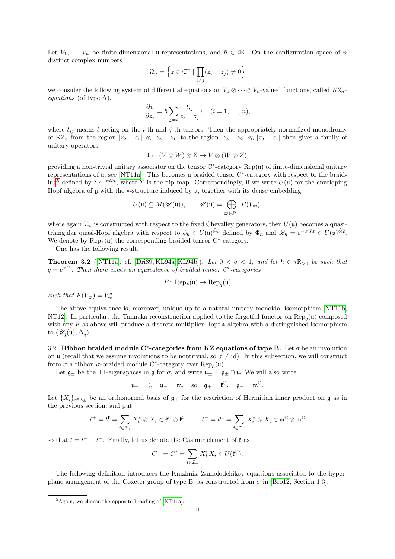Let  $V_1, \ldots, V_n$  be finite-dimensional u-representations, and  $\hbar \in i\mathbb{R}$ . On the configuration space of n distinct complex numbers

$$
\Omega_n = \left\{ z \in \mathbb{C}^n \mid \prod_{i \neq j} (z_i - z_j) \neq 0 \right\}
$$

we consider the following system of differential equations on  $V_1 \otimes \cdots \otimes V_n$ -valued functions, called  $KZ_n$ equations (of type A),

$$
\frac{\partial v}{\partial z_i} = \hbar \sum_{j \neq i} \frac{t_{ij}}{z_i - z_j} v \quad (i = 1, \dots, n),
$$

where  $t_{ij}$  means t acting on the i-th and j-th tensors. Then the appropriately normalized monodromy of KZ<sub>3</sub> from the region  $|z_2 - z_1| \ll |z_3 - z_1|$  to the region  $|z_3 - z_2| \ll |z_3 - z_1|$  then gives a family of unitary operators

$$
\Phi_{\hbar}: (V \otimes W) \otimes Z \to V \otimes (W \otimes Z),
$$

providing a non-trivial unitary associator on the tensor  $C^*$ -category  $Rep(u)$  of finite-dimensional unitary representations of u, see [\[NT11a\]](#page-37-4). This becomes a braided tensor C<sup>∗</sup> -category with respect to the braid- $\text{ing}^5$  $\text{ing}^5$  defined by  $\Sigma e^{-\pi i \hbar t}$ , where  $\Sigma$  is the flip map. Correspondingly, if we write  $U(\mathfrak{u})$  for the enveloping Hopf algebra of  $\mathfrak g$  with the ∗-structure induced by  $\mathfrak u$ , together with its dense embedding

$$
U(\mathfrak{u}) \subseteq M(\mathscr{U}(\mathfrak{u})), \qquad \mathscr{U}(\mathfrak{u}) = \bigoplus_{\varpi \in P^+} B(V_{\varpi}),
$$

where again  $V_{\varpi}$  is constructed with respect to the fixed Chevalley generators, then  $U(\mathfrak{u})$  becomes a quasitriangular quasi-Hopf algebra with respect to  $\phi_{\hbar} \in U(\mathfrak{u})^{\hat{\otimes}3}$  defined by  $\Phi_{\hbar}$  and  $\mathscr{R}_{\hbar} = e^{-\pi i \hbar t} \in U(\mathfrak{u})^{\hat{\otimes}2}$ . We denote by  $\text{Rep}_{\hbar}(u)$  the corresponding braided tensor C<sup>\*</sup>-category.

One has the following result.

**Theorem 3.2** ([\[NT11a\]](#page-37-4), cf. [\[Dri89,](#page-36-0) [KL94a,](#page-36-20) [KL94b\]](#page-36-21)). Let  $0 < q < 1$ , and let  $\hbar \in i\mathbb{R}_{>0}$  be such that  $q = e^{\pi i \hbar}$ . Then there exists an equivalence of braided tensor  $C^*$ -categories

$$
F\colon \operatorname{Rep}_{\hbar}(\mathfrak{u}) \to \operatorname{Rep}_q(\mathfrak{u})
$$

such that  $F(V_{\varpi}) = V_{\varpi}^q$ .

The above equivalence is, moreover, unique up to a natural unitary monoidal isomorphism [\[NT11b,](#page-37-5) [NT12\]](#page-37-6). In particular, the Tannaka reconstruction applied to the forgetful functor on  $\text{Rep}_q(\mathfrak{u})$  composed with any  $F$  as above will produce a discrete multiplier Hopf  $*$ -algebra with a distinguished isomorphism to  $(\mathscr{U}_q(\mathfrak{u}), \Delta_q)$ .

3.2. Ribbon braided module C<sup>\*</sup>-categories from KZ equations of type B. Let  $\sigma$  be an involution on u (recall that we assume involutions to be nontrivial, so  $\sigma \neq id$ ). In this subsection, we will construct from  $\sigma$  a ribbon  $\sigma$ -braided module C<sup>\*</sup>-category over  $\text{Rep}_{\hbar}(u)$ .

Let  $\mathfrak{g}_\pm$  be the  $\pm 1$ -eigenspaces in  $\mathfrak{g}$  for  $\sigma$ , and write  $\mathfrak{u}_\pm = \mathfrak{g}_\pm \cap \mathfrak{u}$ . We will also write

$$
\mathfrak{u}_+=\mathfrak{k},\quad \mathfrak{u}_-=\mathfrak{m},\quad\text{so}\quad \mathfrak{g}_+=\mathfrak{k}^\mathbb{C},\quad \mathfrak{g}_-=\mathfrak{m}^\mathbb{C}.
$$

Let  $\{X_i\}_{i\in\mathcal{I}_\pm}$  be an orthonormal basis of  $\mathfrak{g}_\pm$  for the restriction of Hermitian inner product on  $\mathfrak{g}$  as in the previous section, and put

$$
t^+ = t^{\mathfrak{k}} = \sum_{i \in \mathcal{I}_+} X_i^* \otimes X_i \in \mathfrak{k}^{\mathbb{C}} \otimes \mathfrak{k}^{\mathbb{C}}, \qquad t^- = t^{\mathfrak{m}} = \sum_{i \in \mathcal{I}_-} X_i^* \otimes X_i \in \mathfrak{m}^{\mathbb{C}} \otimes \mathfrak{m}^{\mathbb{C}}
$$

so that  $t = t^+ + t^-$ . Finally, let us denote the Casimir element of  $\mathfrak{k}$  as

$$
C^+ = C^{\mathfrak{k}} = \sum_{i \in \mathcal{I}_+} X_i^* X_i \in U(\mathfrak{k}^\mathbb{C}).
$$

The following definition introduces the Knizhnik–Zamolodchikov equations associated to the hyperplane arrangement of the Coxeter group of type B, as constructed from  $\sigma$  in [\[Bro12,](#page-35-2) Section 1.3].

<span id="page-10-0"></span> ${}^{5}$ Again, we choose the opposite braiding of [\[NT11a\]](#page-37-4).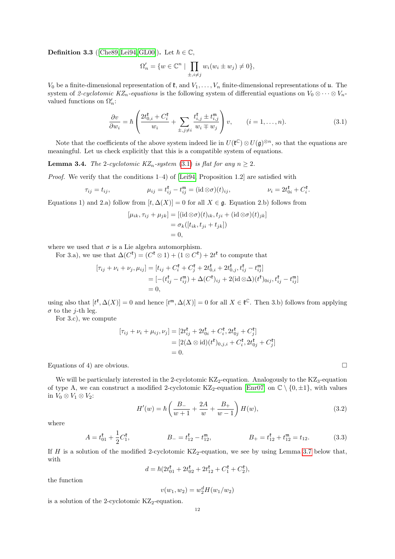**Definition 3.3** ([\[Che89,](#page-36-22) [Lei94,](#page-36-11) [GL00\]](#page-36-12)). Let  $\hbar \in \mathbb{C}$ ,

$$
\Omega'_n = \{ w \in \mathbb{C}^n \mid \prod_{\pm, i \neq j} w_i (w_i \pm w_j) \neq 0 \},
$$

 $V_0$  be a finite-dimensional representation of  $\mathfrak{k}$ , and  $V_1, \ldots, V_n$  finite-dimensional representations of  $\mathfrak{u}$ . The system of 2-cyclotomic KZ<sub>n</sub>-equations is the following system of differential equations on  $V_0 \otimes \cdots \otimes V_n$ valued functions on  $\Omega'_n$ :

<span id="page-11-0"></span>
$$
\frac{\partial v}{\partial w_i} = \hbar \left( \frac{2t_{0,i}^{\mathfrak{k}} + C_i^{\mathfrak{k}}}{w_i} + \sum_{\pm, j \neq i} \frac{t_{i,j}^{\mathfrak{k}} \pm t_{i,j}^{\mathfrak{m}}}{w_i \mp w_j} \right) v, \qquad (i = 1, \dots, n). \tag{3.1}
$$

Note that the coefficients of the above system indeed lie in  $U(\mathfrak{k}^{\mathbb{C}}) \otimes U(\mathfrak{g})^{\otimes n}$ , so that the equations are meaningful. Let us check explicitly that this is a compatible system of equations.

**Lemma 3.4.** The 2-cyclotomic  $KZ_n$ -system [\(3.1\)](#page-11-0) is flat for any  $n \geq 2$ .

*Proof.* We verify that the conditions  $1-4$ ) of [\[Lei94,](#page-36-11) Proposition 1.2] are satisfied with

$$
\tau_{ij} = t_{ij}, \qquad \qquad \mu_{ij} = t_{ij}^{\mathfrak{k}} - t_{ij}^{\mathfrak{m}} = (\mathrm{id} \otimes \sigma)(t)_{ij}, \qquad \qquad \nu_i = 2t_{0i}^{\mathfrak{k}} + C_i^{\mathfrak{k}}.
$$

Equations 1) and 2.a) follow from  $[t, \Delta(X)] = 0$  for all  $X \in \mathfrak{g}$ . Equation 2.b) follows from

$$
[\mu_{ik}, \tau_{ij} + \mu_{jk}] = [(\mathrm{id} \otimes \sigma)(t)_{ik}, t_{ji} + (\mathrm{id} \otimes \sigma)(t)_{jk}]
$$
  
=  $\sigma_k([t_{ik}, t_{ji} + t_{jk}])$   
= 0,

where we used that  $\sigma$  is a Lie algebra automorphism.

For 3.a), we use that  $\Delta(C^{\mathfrak{k}}) = (C^{\mathfrak{k}} \otimes 1) + (1 \otimes C^{\mathfrak{k}}) + 2t^{\mathfrak{k}}$  to compute that

$$
[\tau_{ij} + \nu_i + \nu_j, \mu_{ij}] = [t_{ij} + C_i^{\ell} + C_j^{\ell} + 2t_{0,i}^{\ell} + 2t_{0,j}^{\ell}, t_{ij}^{\ell} - t_{ij}^{\mathfrak{m}}] = [-(t_{ij}^{\ell} - t_{ij}^{\mathfrak{m}}) + \Delta(C^{\ell})_{ij} + 2(\mathrm{id} \otimes \Delta)(t^{\ell})_{0ij}, t_{ij}^{\ell} - t_{ij}^{\mathfrak{m}}] = 0,
$$

using also that  $[t^{\mathfrak{k}}, \Delta(X)] = 0$  and hence  $[t^{\mathfrak{m}}, \Delta(X)] = 0$  for all  $X \in \mathfrak{k}^{\mathbb{C}}$ . Then 3.b) follows from applying  $\sigma$  to the *j*-th leg.

For 3.c), we compute

$$
[\tau_{ij} + \nu_i + \mu_{ij}, \nu_j] = [2t_{ij}^{\mathfrak{k}} + 2t_{0i}^{\mathfrak{k}} + C_i^{\mathfrak{k}}, 2t_{0j}^{\mathfrak{k}} + C_j^{\mathfrak{k}}] = [2(\Delta \otimes id)(t^{\mathfrak{k}})_{0,j,i} + C_i^{\mathfrak{k}}, 2t_{0j}^{\mathfrak{k}} + C_j^{\mathfrak{k}}] = 0.
$$

Equations of 4) are obvious.

We will be particularly interested in the 2-cyclotomic  $KZ_2$ -equation. Analogously to the  $KZ_3$ -equation of type A, we can construct a modified 2-cyclotomic KZ<sub>2</sub>-equation [\[Enr07\]](#page-36-13) on  $\mathbb{C} \setminus \{0, \pm 1\}$ , with values in  $V_0 \otimes V_1 \otimes V_2$ :

<span id="page-11-1"></span>
$$
H'(w) = \hbar \left( \frac{B_-}{w+1} + \frac{2A}{w} + \frac{B_+}{w-1} \right) H(w), \tag{3.2}
$$

where

$$
A = t_{01}^{\mathfrak{k}} + \frac{1}{2} C_1^{\mathfrak{k}}, \qquad B_- = t_{12}^{\mathfrak{k}} - t_{12}^{\mathfrak{m}}, \qquad B_+ = t_{12}^{\mathfrak{k}} + t_{12}^{\mathfrak{m}} = t_{12}. \qquad (3.3)
$$

If H is a solution of the modified 2-cyclotomic  $KZ_2$ -equation, we see by using Lemma [3.7](#page-13-0) below that, with

$$
d = \hbar (2t_{01}^{\mathfrak{k}} + 2t_{02}^{\mathfrak{k}} + 2t_{12}^{\mathfrak{k}} + C_1^{\mathfrak{k}} + C_2^{\mathfrak{k}}),
$$

the function

$$
v(w_1, w_2) = w_2^d H(w_1/w_2)
$$

is a solution of the 2-cyclotomic  $KZ_2$ -equation.

<span id="page-11-2"></span>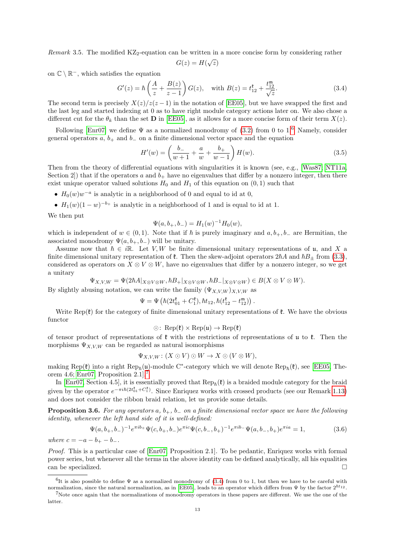Remark 3.5. The modified  $KZ_2$ -equation can be written in a more concise form by considering rather

$$
G(z) = H(\sqrt{z})
$$

on  $\mathbb{C} \setminus \mathbb{R}^-$ , which satisfies the equation

<span id="page-12-2"></span>
$$
G'(z) = \hbar \left(\frac{A}{z} + \frac{B(z)}{z - 1}\right) G(z), \text{ with } B(z) = t_{12}^{\mathfrak{k}} + \frac{t_{12}^{\mathfrak{m}}}{\sqrt{z}}.
$$
 (3.4)

The second term is precisely  $X(z)/z(z-1)$  in the notation of [\[EE05\]](#page-36-23), but we have swapped the first and the last leg and started indexing at 0 as to have right module category actions later on. We also chose a different cut for the  $\theta_k$  than the set **D** in [\[EE05\]](#page-36-23), as it allows for a more concise form of their term  $X(z)$ .

Following [\[Enr07\]](#page-36-13) we define  $\Psi$  as a normalized monodromy of [\(3.2\)](#page-11-1) from 0 to 1.<sup>[6](#page-12-0)</sup> Namely, consider general operators  $a, b_{+}$  and  $b_{-}$  on a finite dimensional vector space and the equation

<span id="page-12-3"></span>
$$
H'(w) = \left(\frac{b_-}{w+1} + \frac{a}{w} + \frac{b_+}{w-1}\right) H(w).
$$
 (3.5)

.

Then from the theory of differential equations with singularities it is known (see, e.g., [\[Was87;](#page-37-7) [NT11a,](#page-37-4) Section 2) that if the operators a and  $b_+$  have no eigenvalues that differ by a nonzero integer, then there exist unique operator valued solutions  $H_0$  and  $H_1$  of this equation on  $(0, 1)$  such that

•  $H_0(w)w^{-a}$  is analytic in a neighborhood of 0 and equal to id at 0,

ιTι

•  $H_1(w)(1-w)^{-b_+}$  is analytic in a neighborhood of 1 and is equal to id at 1.

We then put

$$
\Psi(a, b_+, b_-) = H_1(w)^{-1} H_0(w),
$$

which is independent of  $w \in (0, 1)$ . Note that if  $\hbar$  is purely imaginary and  $a, b_+, b_-$  are Hermitian, the associated monodromy  $\Psi(a, b_+, b_-)$  will be unitary.

Assume now that  $\hbar \in i\mathbb{R}$ . Let V, W be finite dimensional unitary representations of u, and X a finite dimensional unitary representation of  $\mathfrak{k}$ . Then the skew-adjoint operators  $2\hbar A$  and  $\hbar B_{\pm}$  from [\(3.3\)](#page-11-2), considered as operators on  $X \otimes V \otimes W$ , have no eigenvalues that differ by a nonzero integer, so we get a unitary

$$
\Psi_{X,V,W} = \Psi(2\hbar A|_{X \otimes V \otimes W}, \hbar B_+|_{X \otimes V \otimes W}, \hbar B_-|_{X \otimes V \otimes W}) \in B(X \otimes V \otimes W).
$$

By slightly abusing notation, we can write the family  $(\Psi_{X,V,W})_{X,V,W}$  as

$$
= \Psi\left(\hbar(2t_{01}^{\mathfrak{k}}+C_{1}^{\mathfrak{k}}),\hbar t_{12},\hbar(t_{12}^{\mathfrak{k}}-t_{12}^{\mathfrak{m}})\right)
$$

Write  $\text{Rep}(\mathfrak{k})$  for the category of finite dimensional unitary representations of  $\mathfrak{k}$ . We have the obvious functor

$$
\odot\colon\operatorname{Rep}(\mathfrak{k})\times\operatorname{Rep}(\mathfrak{u})\to\operatorname{Rep}(\mathfrak{k})
$$

of tensor product of representations of  $\mathfrak k$  with the restrictions of representations of u to  $\mathfrak k$ . Then the morphisms  $\Psi_{X,V,W}$  can be regarded as natural isomorphisms

$$
\Psi_{X,V,W}\colon (X\odot V)\odot W\to X\odot (V\otimes W),
$$

making Rep( $\mathfrak{k}$ ) into a right Rep<sub> $\hbar$ </sub>( $\mathfrak{u}$ )-module C<sup>\*</sup>-category which we will denote Rep<sub> $\hbar$ </sub>( $\mathfrak{k}$ ), see [\[EE05,](#page-36-23) Theorem 4.6; [Enr07,](#page-36-13) Proposition 2.1].[7](#page-12-1)

In [\[Enr07,](#page-36-13) Section 4.5], it is essentially proved that  $\text{Rep}_{\hbar}(t)$  is a braided module category for the braid given by the operator  $e^{-\pi i\hbar(2t_{01}^{\mathfrak{k}}+C_1^{\mathfrak{k}})}$ . Since Enriquez works with crossed products (see our Remark [1.13\)](#page-5-0) and does not consider the ribbon braid relation, let us provide some details.

**Proposition 3.6.** For any operators a,  $b_+$ ,  $b_-$  on a finite dimensional vector space we have the following identity, whenever the left hand side of it is well-defined:

<span id="page-12-4"></span>
$$
\Psi(a, b_+, b_-)^{-1} e^{\pi i b_+} \Psi(c, b_+, b_-) e^{\pi i c} \Psi(c, b_-, b_+)^{-1} e^{\pi i b_-} \Psi(a, b_-, b_+) e^{\pi i a} = 1,
$$
\n(3.6)

\nwhere  $c = -a - b_+ - b_-$ .

Proof. This is a particular case of [\[Enr07,](#page-36-13) Proposition 2.1]. To be pedantic, Enriquez works with formal power series, but whenever all the terms in the above identity can be defined analytically, all his equalities can be specialized.  $\square$ 

<span id="page-12-0"></span><sup>&</sup>lt;sup>6</sup>It is also possible to define  $\Psi$  as a normalized monodromy of [\(3.4\)](#page-12-2) from 0 to 1, but then we have to be careful with normalization, since the natural normalization, as in [\[EE05\]](#page-36-23), leads to an operator which differs from  $\Psi$  by the factor  $2^{\hbar t_{12}}$ .

<span id="page-12-1"></span><sup>7</sup>Note once again that the normalizations of monodromy operators in these papers are different. We use the one of the latter.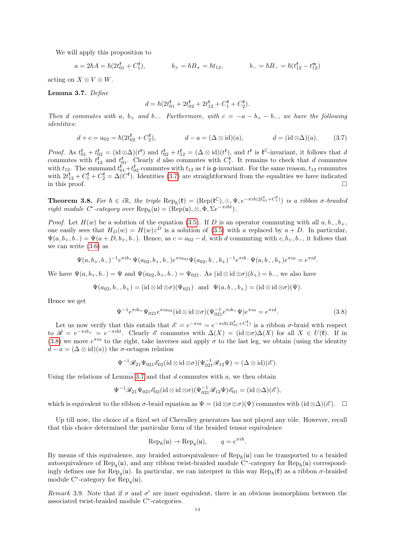We will apply this proposition to

$$
a = 2\hbar A = \hbar(2t_{01}^{\mathfrak{k}} + C_1^{\mathfrak{k}}), \qquad b_+ = \hbar B_+ = \hbar t_{12}, \qquad b_- = \hbar B_- = \hbar(t_{12}^{\mathfrak{k}} - t_{12}^{\mathfrak{m}})
$$

acting on  $X \otimes V \otimes W$ .

<span id="page-13-0"></span>Lemma 3.7. Define

<span id="page-13-1"></span>
$$
d = \hbar (2t_{01}^{\mathfrak{k}} + 2t_{02}^{\mathfrak{k}} + 2t_{12}^{\mathfrak{k}} + C_1^{\mathfrak{k}} + C_2^{\mathfrak{k}}).
$$

Then d commutes with a, b<sub>+</sub> and b<sub>−</sub>. Furthermore, with  $c = -a - b_+ - b_-$ , we have the following identities:

$$
d + c = a_{02} = \hbar(2t_{02}^{\mathfrak{k}} + C_{2}^{\mathfrak{k}}), \qquad d - a = (\Delta \otimes \text{id})(a), \qquad d = (\text{id} \otimes \Delta)(a). \qquad (3.7)
$$

*Proof.* As  $t_{01}^{\ell} + t_{02}^{\ell} = (\mathrm{id} \otimes \Delta)(t^{\ell})$  and  $t_{02}^{\ell} + t_{12}^{\ell} = (\Delta \otimes \mathrm{id})(t^{\ell})$ , and  $t^{\ell}$  is  $\ell^{\mathbb{C}}$ -invariant, it follows that d commutes with  $t_{12}^{\ell}$  and  $t_{01}^{\ell}$ . Clearly d also commutes with  $C_1^{\ell}$ . It remains to check that d commutes with  $t_{12}$ . The summand  $t_{01}^{\ell} + t_{02}^{\ell}$  commutes with  $t_{12}$  as t is g-invariant. For the same reason,  $t_{12}$  commutes with  $2t_{12}^{\ell} + C_1^{\ell} + C_2^{\ell} = \Delta(C^{\ell})$ . Identities [\(3.7\)](#page-13-1) are straightforward from the equalities we have indicated in this proof.  $\Box$ 

**Theorem 3.8.** For  $\hbar \in i\mathbb{R}$ , the triple  $\text{Rep}_{\hbar}(\mathfrak{k}) = (\text{Rep}(\mathfrak{k}^{\mathbb{C}}), \odot, \Psi, e^{-\pi i \hbar (2t_{01}^{\mathfrak{k}} + C_1^{\mathfrak{k}})})$  is a ribbon  $\sigma$ -braided right module  $C^*$ -category over  $\operatorname{Rep}_{\hbar}(\mathfrak{u}) = (\operatorname{Rep}(\mathfrak{u}), \otimes, \Phi, \Sigma e^{-\pi i \hbar t}).$ 

*Proof.* Let  $H(w)$  be a solution of the equation [\(3.5\)](#page-12-3). If D is an operator commuting with all  $a, b_-, b_+$ , one easily sees that  $H_D(w) = H(w)z^D$  is a solution of [\(3.5\)](#page-12-3) with a replaced by  $a + D$ . In particular,  $\Psi(a, b_+, b_-) = \Psi(a + D, b_+, b_-).$  Hence, as  $c = a_{02} - d$ , with d commuting with  $c, b_+, b_-,$  it follows that we can write [\(3.6\)](#page-12-4) as

$$
\Psi(a,b_+,b_-)^{-1}e^{\pi ib_+}\Psi(a_{02},b_+,b_-)e^{\pi ia_{02}}\Psi(a_{02},b_-,b_+)^{-1}e^{\pi ib_-}\Psi(a,b_-,b_+)e^{\pi ia}=e^{\pi id}.
$$

We have  $\Psi(a, b_+, b_-) = \Psi$  and  $\Psi(a_{02}, b_+, b_-) = \Psi_{021}$ . As  $(id \otimes id \otimes \sigma)(b_+) = b_-$ , we also have

$$
\Psi(a_{02},b_-,b_+) = (\mathrm{id}\otimes \mathrm{id}\otimes \sigma)(\Psi_{021}) \quad \text{and}\quad \Psi(a,b_-,b_+) = (\mathrm{id}\otimes \mathrm{id}\otimes \sigma)(\Psi).
$$

Hence we get

<span id="page-13-2"></span>
$$
\Psi^{-1}e^{\pi i b_{+}}\Psi_{021}e^{\pi i a_{02}}(\text{id}\otimes\text{id}\otimes\sigma)(\Psi_{021}^{-1}e^{\pi i b_{+}}\Psi)e^{\pi i a}=e^{\pi i d}.
$$
\n(3.8)

Let us now verify that this entails that  $\mathscr{E} = e^{-\pi i a} = e^{-\pi i \hbar (2t_{01}^{\dagger} + C_1^{\dagger})}$  is a ribbon  $\sigma$ -braid with respect to  $\mathscr{R} = e^{-\pi i b_+} = e^{-\pi i \hbar t}$ . Clearly  $\mathscr{E}$  commutes with  $\Delta(X) = (\mathrm{id} \otimes \sigma) \Delta(X)$  for all  $X \in U(\mathfrak{k})$ . If in [\(3.8\)](#page-13-2) we move  $e^{\pi i a}$  to the right, take inverses and apply  $\sigma$  to the last leg, we obtain (using the identity  $d - a = (\Delta \otimes id)(a)$  the  $\sigma$ -octagon relation

$$
\Psi^{-1}\mathscr{R}_{21}\Psi_{021}\mathscr{E}_{02}(\mathrm{id}\otimes \mathrm{id}\otimes \sigma)(\Psi_{021}^{-1}\mathscr{R}_{12}\Psi)=(\Delta\otimes \mathrm{id})(\mathscr{E}).
$$

Using the relations of Lemma [3.7](#page-13-0) and that  $d$  commutes with  $a$ , we then obtain

$$
\Psi^{-1}\mathscr{R}_{21}\Psi_{021}\mathscr{E}_{02}(\mathrm{id}\otimes \mathrm{id}\otimes \sigma)(\Psi_{021}^{-1}\mathscr{R}_{12}\Psi)\mathscr{E}_{01}=(\mathrm{id}\otimes \Delta)(\mathscr{E}),
$$

which is equivalent to the ribbon  $\sigma$ -braid equation as  $\Psi = (\mathrm{id} \otimes \sigma \otimes \sigma)(\Psi)$  commutes with  $(\mathrm{id} \otimes \Delta)(\mathscr{E})$ .

Up till now, the choice of a fixed set of Chevalley generators has not played any rôle. However, recall that this choice determined the particular form of the braided tensor equivalence

$$
\text{Rep}_{\hbar}(\mathfrak{u}) \to \text{Rep}_q(\mathfrak{u}), \qquad q = e^{\pi i \hbar}.
$$

By means of this equivalence, any braided autoequivalence of  $\text{Rep}_{\hbar}(u)$  can be transported to a braided autoequivalence of  $\text{Rep}_q(\mathfrak{u})$ , and any ribbon twist-braided module C<sup>∗</sup>-category for  $\text{Rep}_h(\mathfrak{u})$  correspondingly defines one for  $\text{Rep}_q(\mathfrak{u})$ . In particular, we can interpret in this way  $\text{Rep}_{\hbar}(\mathfrak{k})$  as a ribbon  $\sigma$ -braided module C<sup>\*</sup>-category for  $\text{Rep}_q(\mathfrak{u})$ .

<span id="page-13-3"></span>Remark 3.9. Note that if  $\sigma$  and  $\sigma'$  are inner equivalent, there is an obvious isomorphism between the associated twist-braided module C<sup>∗</sup> -categories.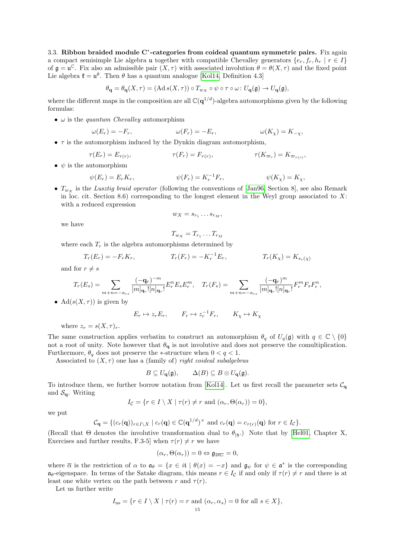3.3. Ribbon braided module C<sup>\*</sup>-categories from coideal quantum symmetric pairs. Fix again a compact semisimple Lie algebra u together with compatible Chevalley generators  $\{e_r, f_r, h_r \mid r \in I\}$ of  $\mathfrak{g} = \mathfrak{u}^{\mathbb{C}}$ . Fix also an admissible pair  $(X, \tau)$  with associated involution  $\theta = \theta(X, \tau)$  and the fixed point Lie algebra  $\mathfrak{k} = \mathfrak{u}^{\theta}$ . Then  $\theta$  has a quantum analogue [\[Kol14,](#page-36-18) Definition 4.3]

$$
\theta_{\mathbf{q}} = \theta_{\mathbf{q}}(X,\tau) = (\mathrm{Ad}\,s(X,\tau)) \circ T_{w_X} \circ \psi \circ \tau \circ \omega \colon U_{\mathbf{q}}(\mathfrak{g}) \to U_{\mathbf{q}}(\mathfrak{g}),
$$

where the different maps in the composition are all  $\mathbb{C}(q^{1/d})$ -algebra automorphisms given by the following formulas:

•  $\omega$  is the *quantum Chevalley* automorphism

$$
\omega(E_r) = -F_r, \qquad \qquad \omega(F_r) = -E_r, \qquad \qquad \omega(K_\chi) = K_{-\chi},
$$

•  $\tau$  is the automorphism induced by the Dynkin diagram automorphism.

$$
\tau(E_r) = E_{\tau(r)}, \qquad \tau(F_r) = F_{\tau(r)}, \qquad \tau(K_{\varpi_r}) = K_{\varpi_{\tau(r)}},
$$

•  $\psi$  is the automorphism

$$
\psi(E_r) = E_r K_r, \qquad \psi(F_r) = K_r^{-1} F_r, \qquad \psi(K_\chi) = K_\chi,
$$

•  $T_{w_X}$  is the Lusztig braid operator (following the conventions of [\[Jan96,](#page-36-24) Section 8], see also Remark in loc. cit. Section 8.6) corresponding to the longest element in the Weyl group associated to  $X$ : with a reduced expression

$$
w_X = s_{r_1} \dots s_{r_M},
$$

we have

$$
T_{w_X}=T_{r_1}\ldots T_{r_M}
$$

where each  $T_r$  is the algebra automorphisms determined by

$$
T_r(E_r) = -F_r K_r, \qquad T_r(F_r) = -K_r^{-1} E_r, \qquad T_r(K_\chi) = K_{s_r(\chi)}
$$

and for  $r \neq s$ 

$$
T_r(E_s) = \sum_{m+n=-a_{rs}} \frac{(-\mathbf{q}_r)^{-m}}{[m]_{\mathbf{q}_r}! [n]_{\mathbf{q}_r}!} E_r^m E_s E_r^m, \quad T_r(F_s) = \sum_{m+n=-a_{rs}} \frac{(-\mathbf{q}_r)^m}{[m]_{\mathbf{q}_r}! [n]_{\mathbf{q}_r}!} F_r^m F_s F_r^n,
$$

• Ad( $s(X, \tau)$ ) is given by

$$
E_r \mapsto z_r E_r, \qquad F_r \mapsto z_r^{-1} F_r, \qquad K_\chi \mapsto K_\chi
$$

where  $z_r = s(X, \tau)_r$ .

The same construction applies verbatim to construct an automorphism  $\theta_q$  of  $U_q(\mathfrak{g})$  with  $q \in \mathbb{C} \setminus \{0\}$ not a root of unity. Note however that  $\theta_{q}$  is not involutive and does not preserve the comultiplication. Furthermore,  $\theta_q$  does not preserve the ∗-structure when  $0 < q < 1$ .

Associated to  $(X, \tau)$  one has a (family of) right coideal subalgebras

$$
B \subseteq U_{\mathbf{q}}(\mathfrak{g}), \qquad \Delta(B) \subseteq B \otimes U_{\mathbf{q}}(\mathfrak{g}).
$$

To introduce them, we further borrow notation from [\[Kol14\]](#page-36-18). Let us first recall the parameter sets  $C_{\mathbf{q}}$ and  $\mathcal{S}_{q}$ . Writing

$$
I_{\mathcal{C}} = \{ r \in I \setminus X \mid \tau(r) \neq r \text{ and } (\alpha_r, \Theta(\alpha_r)) = 0 \},
$$

we put

$$
\mathcal{C}_{\mathbf{q}} = \{ (c_r(\mathbf{q}))_{r \in I \setminus X} \mid c_r(\mathbf{q}) \in \mathbb{C}(\mathbf{q}^{1/d})^{\times} \text{ and } c_r(\mathbf{q}) = c_{\tau(r)}(\mathbf{q}) \text{ for } r \in I_{\mathcal{C}} \}.
$$

(Recall that  $\Theta$  denotes the involutive transformation dual to  $\theta_{h}$ .) Note that by [\[Hel01,](#page-36-17) Chapter X, Exercises and further results, F.3-5] when  $\tau(r) \neq r$  we have

$$
(\alpha_r, \Theta(\alpha_r)) = 0 \Leftrightarrow \mathfrak{g}_{2\overline{\alpha_r}} = 0,
$$

where  $\overline{\alpha}$  is the restriction of  $\alpha$  to  $\mathfrak{a}_{\theta} = \{x \in it \mid \theta(x) = -x\}$  and  $\mathfrak{g}_{\psi}$  for  $\psi \in \mathfrak{a}^*$  is the corresponding  $\mathfrak{a}_{\theta}$ -eigenspace. In terms of the Satake diagram, this means  $r \in I_c$  if and only if  $\tau(r) \neq r$  and there is at least one white vertex on the path between r and  $\tau(r)$ .

Let us further write

$$
I_{\text{ns}} = \{ r \in I \setminus X \mid \tau(r) = r \text{ and } (\alpha_r, \alpha_s) = 0 \text{ for all } s \in X \},
$$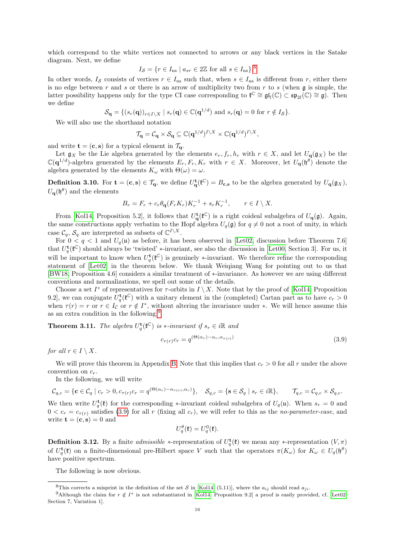which correspond to the white vertices not connected to arrows or any black vertices in the Satake diagram. Next, we define

$$
I_{\mathcal{S}} = \{ r \in I_{\text{ns}} \mid a_{sr} \in 2\mathbb{Z} \text{ for all } s \in I_{\text{ns}} \}.
$$

In other words,  $I_{\mathcal{S}}$  consists of vertices  $r \in I_{\text{ns}}$  such that, when  $s \in I_{\text{ns}}$  is different from r, either there is no edge between  $r$  and  $s$  or there is an arrow of multiplicity two from  $r$  to  $s$  (when  $\mathfrak g$  is simple, the latter possibility happens only for the type CI case corresponding to  $\mathfrak{k}^{\mathbb{C}} \cong \mathfrak{gl}_l(\mathbb{C}) \subset \mathfrak{sp}_{2l}(\mathbb{C}) \cong \mathfrak{g}$ . Then we define

$$
\mathcal{S}_{\mathbf{q}} = \{ (s_r(\mathbf{q}))_{r \in I \setminus X} \mid s_r(\mathbf{q}) \in \mathbb{C}(\mathbf{q}^{1/d}) \text{ and } s_r(\mathbf{q}) = 0 \text{ for } r \notin I_{\mathcal{S}} \}.
$$

We will also use the shorthand notation

$$
\mathcal{T}_{\mathbf{q}} = \mathcal{C}_{\mathbf{q}} \times \mathcal{S}_{\mathbf{q}} \subseteq \mathbb{C}(\mathbf{q}^{1/d})^{I \setminus X} \times \mathbb{C}(\mathbf{q}^{1/d})^{I \setminus X},
$$

and write  $\mathbf{t} = (\mathbf{c}, \mathbf{s})$  for a typical element in  $\mathcal{T}_{\mathbf{q}}$ .

Let  $g_X$  be the Lie algebra generated by the elements  $e_r, f_r, h_r$  with  $r \in X$ , and let  $U_{\mathbf{q}}(g_X)$  be the  $\mathbb{C}(\mathbf{q}^{1/d})$ -algebra generated by the elements  $E_r, F_r, K_r$  with  $r \in X$ . Moreover, let  $U_{\mathbf{q}}(\mathfrak{h}^{\theta})$  denote the algebra generated by the elements  $K_{\omega}$  with  $\Theta(\omega) = \omega$ .

**Definition 3.10.** For  $\mathbf{t} = (\mathbf{c}, \mathbf{s}) \in \mathcal{T}_{\mathbf{q}}$ , we define  $U_{\mathbf{q}}^{\mathbf{t}}(\mathbf{t}^{\mathbb{C}}) = B_{\mathbf{c}, \mathbf{s}}$  to be the algebra generated by  $U_{\mathbf{q}}(\mathfrak{g}_X)$ ,  $U_{\mathbf{q}}(\mathfrak{h}^{\theta})$  and the elements

$$
B_r = F_r + c_r \theta_{\mathbf{q}} (F_r K_r) K_r^{-1} + s_r K_r^{-1}, \qquad r \in I \setminus X.
$$

From [\[Kol14,](#page-36-18) Proposition 5.2], it follows that  $U^{\mathbf{t}}_{\mathbf{q}}(\mathfrak{k}^{\mathbb{C}})$  is a right coideal subalgebra of  $U_{\mathbf{q}}(\mathfrak{g})$ . Again, the same constructions apply verbatim to the Hopf algebra  $U_q(\mathfrak{g})$  for  $q \neq 0$  not a root of unity, in which case  $\mathcal{C}_q$ ,  $\mathcal{S}_q$  are interpreted as subsets of  $\mathbb{C}^{I\setminus X}$ .

For  $0 < q < 1$  and  $U_q(\mathfrak{u})$  as before, it has been observed in [Let 02, discussion before Theorem 7.6] that  $U_q^{\mathbf{t}}(\mathfrak{k}^{\mathbb{C}})$  should always be 'twisted' \*-invariant, see also the discussion in [\[Let00,](#page-36-8) Section 3]. For us, it will be important to know when  $U_q^{\mathbf{t}}(\mathfrak{k}^{\mathbb{C}})$  is genuinely \*-invariant. We therefore refine the corresponding statement of [\[Let02\]](#page-36-14) in the theorem below. We thank Weiqiang Wang for pointing out to us that [\[BW18,](#page-35-3) Proposition 4.6] considers a similar treatment of ∗-invariance. As however we are using different conventions and normalizations, we spell out some of the details.

Choose a set  $I^*$  of representatives for  $\tau$ -orbits in  $I \setminus X$ . Note that by the proof of [\[Kol14,](#page-36-18) Proposition 9.2, we can conjugate  $U_q^{\mathbf{t}}(\mathfrak{k}^{\mathbb{C}})$  with a unitary element in the (completed) Cartan part as to have  $c_r > 0$ when  $\tau(r) = r$  or  $r \in I_c$  or  $r \notin I^*$ , without altering the invariance under \*. We will hence assume this as an extra condition in the following.[9](#page-15-1)

<span id="page-15-3"></span>**Theorem 3.11.** The algebra  $U_q^{\mathbf{t}}(\mathfrak{k}^{\mathbb{C}})$  is  $*$ -invariant if  $s_r \in i\mathbb{R}$  and

<span id="page-15-2"></span>
$$
c_{\tau(r)}c_r = q^{(\Theta(\alpha_r) - \alpha_r, \alpha_{\tau(r)})}
$$
\n(3.9)

for all  $r \in I \setminus X$ .

We will prove this theorem in Appendix [B.](#page-26-0) Note that this implies that  $c_r > 0$  for all r under the above convention on  $c_r$ .

In the following, we will write

$$
\mathcal{C}_{q,c} = \{ \mathbf{c} \in \mathcal{C}_q \mid c_r > 0, c_{\tau(r)} c_r = q^{(\Theta(\alpha_r) - \alpha_{\tau(r)}, \alpha_r)} \}, \quad \mathcal{S}_{q,c} = \{ \mathbf{s} \in \mathcal{S}_q \mid s_r \in i\mathbb{R} \}, \qquad \mathcal{T}_{q,c} = \mathcal{C}_{q,c} \times \mathcal{S}_{q,c}.
$$

We then write  $U_q^{\mathbf{t}}(\mathbf{t})$  for the corresponding \*-invariant coideal subalgebra of  $U_q(\mathbf{u})$ . When  $s_r = 0$  and  $0 < c_r = c_{\tau(r)}$  satisfies [\(3.9\)](#page-15-2) for all r (fixing all  $c_r$ ), we will refer to this as the no-parameter-case, and write  $\mathbf{t} = (\mathbf{c}, \mathbf{s}) = 0$  and

$$
U_q^{\theta}(\mathfrak{k}) = U_q^0(\mathfrak{k}).
$$

**Definition 3.12.** By a finite *admissible* \*-representation of  $U_q^{\mathbf{t}}(\mathbf{\ell})$  we mean any \*-representation  $(V,\pi)$ of  $U_q^{\mathbf{t}}(\mathfrak{k})$  on a finite-dimensional pre-Hilbert space V such that the operators  $\pi(K_\omega)$  for  $K_\omega \in U_q(\mathfrak{h}^\theta)$ have positive spectrum.

The following is now obvious.

<span id="page-15-1"></span><span id="page-15-0"></span><sup>&</sup>lt;sup>8</sup>This corrects a misprint in the definition of the set S in [\[Kol14,](#page-36-18) (5.11)], where the  $a_{ij}$  should read  $a_{ji}$ .

<sup>&</sup>lt;sup>9</sup>Although the claim for  $r \notin I^*$  is not substantiated in [\[Kol14,](#page-36-18) Proposition 9.2] a proof is easily provided, cf. [\[Let02,](#page-36-14) Section 7, Variation 1].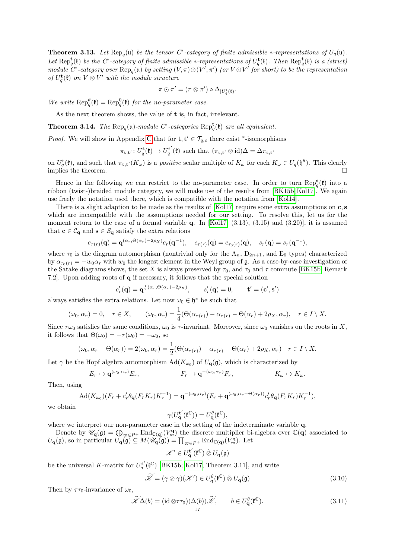**Theorem 3.13.** Let  $\text{Rep}_q(\mathfrak{u})$  be the tensor  $C^*$ -category of finite admissible  $*$ -representations of  $U_q(\mathfrak{u})$ . Let  $\text{Rep}_q^{\mathbf{t}}(\mathfrak{k})$  be the C<sup>\*</sup>-category of finite admissible \*-representations of  $U_q^{\mathbf{t}}(\mathfrak{k})$ . Then  $\text{Rep}_q^{\mathbf{t}}(\mathfrak{k})$  is a (strict) module  $\hat{C}^*$ -category over  $\text{Rep}_q(\mathfrak{u})$  by setting  $(V, \pi) \odot (V', \pi')$  (or  $V \odot V'$  for short) to be the representation of  $U_q^{\mathbf{t}}(\mathfrak{k})$  on  $V \otimes V'$  with the module structure

$$
\pi\odot\pi'=(\pi\otimes\pi')\circ\Delta_{|U_q^{\mathbf{t}}(\mathfrak{k})}.
$$

We write  $\text{Rep}_{q}^{\theta}(\mathfrak{k}) = \text{Rep}_{q}^0(\mathfrak{k})$  for the no-parameter case.

As the next theorem shows, the value of **t** is, in fact, irrelevant.

**Theorem 3.14.** The  $\text{Rep}_q(\mathfrak{u})$ -module  $C^*$ -categories  $\text{Rep}_q^{\mathbf{t}}(\mathfrak{k})$  are all equivalent.

*Proof.* We will show in Appendix [C](#page-29-0) that for  $\mathbf{t}, \mathbf{t}' \in \mathcal{T}_{q,c}$  there exist  $*$ -isomorphisms

 $\pi_{\mathbf{t},\mathbf{t}'}\colon U_q^{\mathbf{t}}(\mathfrak{k})\to U_q^{\mathbf{t}'}$  $\sigma_q^{\mathbf{t}'}(\mathfrak{k})$  such that  $(\pi_{\mathbf{t},\mathbf{t}'}\otimes\text{id})\Delta=\Delta\pi_{\mathbf{t},\mathbf{t}'}$ 

on  $U_q^{\mathbf{t}}(\mathfrak{k})$ , and such that  $\pi_{\mathbf{t},\mathbf{t}'}(K_\omega)$  is a *positive* scalar multiple of  $K_\omega$  for each  $K_\omega \in U_q(\mathfrak{h}^\theta)$ . This clearly implies the theorem.  $\Box$ 

Hence in the following we can restrict to the no-parameter case. In order to turn  $\text{Rep}_{q}^{\theta}(\mathfrak{k})$  into a ribbon (twist-)braided module category, we will make use of the results from [\[BK15b,](#page-35-0) [Kol17\]](#page-36-9). We again use freely the notation used there, which is compatible with the notation from [\[Kol14\]](#page-36-18).

There is a slight adaption to be made as the results of  $[Kol17]$  require some extra assumptions on  $c, s$ which are incompatible with the assumptions needed for our setting. To resolve this, let us for the moment return to the case of a formal variable q. In [\[Kol17,](#page-36-9)  $(3.13)$ ,  $(3.15)$  and  $(3.20)$ ], it is assumed that  $\mathbf{c} \in \mathcal{C}_{\mathbf{q}}$  and  $\mathbf{s} \in \mathcal{S}_{\mathbf{q}}$  satisfy the extra relations

$$
c_{\tau(r)}(\mathbf{q}) = \mathbf{q}^{(\alpha_r, \Theta(\alpha_r) - 2\rho_X)} c_r(\mathbf{q}^{-1}), \quad c_{\tau(r)}(\mathbf{q}) = c_{\tau_0(r)}(\mathbf{q}), \quad s_r(\mathbf{q}) = s_r(\mathbf{q}^{-1}),
$$

where  $\tau_0$  is the diagram automorphism (nontrivial only for the  $A_n$ ,  $D_{2n+1}$ , and  $E_6$  types) characterized by  $\alpha_{\tau_0(r)} = -w_0\alpha_r$  with  $w_0$  the longest element in the Weyl group of g. As a case-by-case investigation of the Satake diagrams shows, the set X is always preserved by  $\tau_0$ , and  $\tau_0$  and  $\tau$  commute [\[BK15b,](#page-35-0) Remark 7.2]. Upon adding roots of q if necessary, it follows that the special solution

$$
c'_r(\mathbf{q}) = \mathbf{q}^{\frac{1}{2}(\alpha_r, \Theta(\alpha_r) - 2\rho_X)}, \qquad s'_r(\mathbf{q}) = 0, \qquad \mathbf{t}' = (\mathbf{c}', \mathbf{s}')
$$

always satisfies the extra relations. Let now  $\omega_0 \in \mathfrak{h}^*$  be such that

$$
(\omega_0, \alpha_r) = 0, \quad r \in X, \qquad (\omega_0, \alpha_r) = \frac{1}{4}(\Theta(\alpha_{\tau(r)}) - \alpha_{\tau(r)} - \Theta(\alpha_r) + 2\rho_X, \alpha_r), \quad r \in I \setminus X.
$$

Since  $\tau\omega_0$  satisfies the same conditions,  $\omega_0$  is  $\tau$ -invariant. Moreover, since  $\omega_0$  vanishes on the roots in X, it follows that  $\Theta(\omega_0) = -\tau(\omega_0) = -\omega_0$ , so

$$
(\omega_0, \alpha_r - \Theta(\alpha_r)) = 2(\omega_0, \alpha_r) = \frac{1}{2}(\Theta(\alpha_{\tau(r)}) - \alpha_{\tau(r)} - \Theta(\alpha_r) + 2\rho_X, \alpha_r) \quad r \in I \setminus X.
$$

Let  $\gamma$  be the Hopf algebra automorphism  $\text{Ad}(K_{\omega_0})$  of  $U_q(\mathfrak{g})$ , which is characterized by

$$
E_r \mapsto \mathbf{q}^{(\omega_0, \alpha_r)} E_r, \qquad F_r \mapsto \mathbf{q}^{-(\omega_0, \alpha_r)} F_r, \qquad K_\omega \mapsto K_\omega.
$$

Then, using

$$
\operatorname{Ad}(K_{\omega_0})(F_r + c'_r \theta_{\mathbf{q}}(F_r K_r) K_r^{-1}) = \mathbf{q}^{-(\omega_0, \alpha_r)}(F_r + \mathbf{q}^{(\omega_0, \alpha_r - \Theta(\alpha_r))} c'_r \theta_{\mathbf{q}}(F_r K_r) K_r^{-1}),
$$

we obtain

$$
\gamma(U_{\mathbf{q}}^{\mathbf{t}'}(\mathfrak{k}^{\mathbb{C}}))=U_{\mathbf{q}}^{\theta}(\mathfrak{k}^{\mathbb{C}}),
$$

where we interpret our non-parameter case in the setting of the indeterminate variable q.

Denote by  $\mathscr{U}_{\mathbf{q}}(\mathfrak{g}) = \bigoplus_{\varpi \in P^+} \text{End}_{\mathbb{C}(\mathbf{q})}(V_{\varpi}^{\mathbf{q}})$  the discrete multiplier bi-algebra over  $\mathbb{C}(\mathbf{q})$  associated to  $U_{\mathbf{q}}(\mathfrak{g})$ , so in particular  $U_{\mathbf{q}}(\mathfrak{g}) \subseteq M(\mathscr{U}_{\mathbf{q}}(\mathfrak{g})) = \prod_{\varpi \in P^+} \text{End}_{\mathbb{C}(\mathbf{q})}(V_{\varpi}^{\mathbf{q}})$ . Let

$$
\mathscr{K}'\in U_{\mathbf{q}}^{\mathbf{t}'}(\mathfrak{k}^{\mathbb{C}})\mathbin{\hat{\otimes}} U_{\mathbf{q}}(\mathfrak{g})
$$

be the universal K-matrix for  $U_q^{\mathbf{t}}(\mathfrak{k}^{\mathbb{C}})$  [\[BK15b;](#page-35-0) [Kol17,](#page-36-9) Theorem 3.11], and write

<span id="page-16-0"></span>
$$
\widetilde{\mathcal{K}} = (\gamma \otimes \gamma)(\mathcal{K}') \in U_{\mathbf{q}}^{\theta}(\mathfrak{k}^{\mathbb{C}}) \hat{\otimes} U_{\mathbf{q}}(\mathfrak{g})
$$
\n(3.10)

Then by  $\tau\tau_0$ -invariance of  $\omega_0$ ,

<span id="page-16-1"></span>
$$
\widetilde{\mathscr{K}}\Delta(b) = (\mathrm{id} \otimes \tau \tau_0)(\Delta(b))\widetilde{\mathscr{K}}, \qquad b \in U_{\mathbf{q}}^{\theta}(\mathfrak{k}^{\mathbb{C}}). \tag{3.11}
$$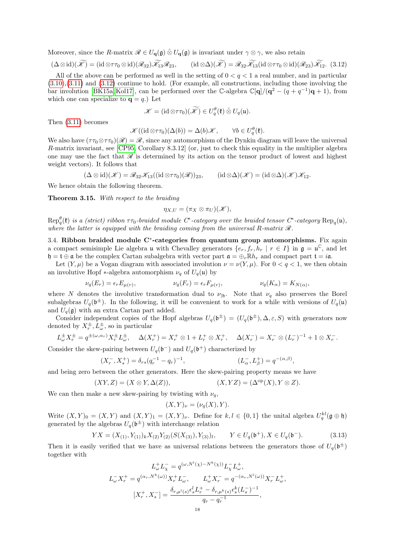Moreover, since the R-matrix  $\mathscr{R} \in U_{q}(\mathfrak{g}) \hat{\otimes} U_{q}(\mathfrak{g})$  is invariant under  $\gamma \otimes \gamma$ , we also retain

<span id="page-17-0"></span>
$$
(\Delta \otimes id)(\widetilde{\mathscr{K}}) = (id \otimes \tau \tau_0 \otimes id)(\mathscr{R}_{32})\widetilde{\mathscr{K}}_{13}\mathscr{R}_{23}, \qquad (id \otimes \Delta)(\widetilde{\mathscr{K}}) = \mathscr{R}_{32}\widetilde{\mathscr{K}}_{13}(id \otimes \tau \tau_0 \otimes id)(\mathscr{R}_{23})\widetilde{\mathscr{K}}_{12}. \tag{3.12}
$$

All of the above can be performed as well in the setting of  $0 < q < 1$  a real number, and in particular [\(3.10\)](#page-16-0),[\(3.11\)](#page-16-1) and [\(3.12\)](#page-17-0) continue to hold. (For example, all constructions, including those involving the bar involution [\[BK15a,](#page-35-5) [Kol17\]](#page-36-9), can be performed over the C-algebra  $\mathbb{C}[{\bf q}]/({\bf q}^2 - (q + q^{-1}){\bf q} + 1)$ , from which one can specialize to  $q = q$ .) Let

$$
\mathscr{K} = (\mathrm{id} \otimes \tau \tau_0)(\widetilde{\mathscr{K}}) \in U_q^{\theta}(\mathfrak{k}) \hat{\otimes} U_q(\mathfrak{u}).
$$

Then [\(3.11\)](#page-16-1) becomes

$$
\mathscr{K}((\mathrm{id}\otimes \tau\tau_0)(\Delta(b))=\Delta(b)\mathscr{K},\qquad \forall b\in U_q^{\theta}(\mathfrak{k}).
$$

We also have  $(\tau \tau_0 \otimes \tau \tau_0)(\mathscr{R}) = \mathscr{R}$ , since any automorphism of the Dynkin diagram will leave the universal R-matrix invariant, see [\[CP95,](#page-36-25) Corollary 8.3.12] (or, just to check this equality in the multiplier algebra one may use the fact that  $\mathscr R$  is determined by its action on the tensor product of lowest and highest weight vectors). It follows that

$$
(\Delta \otimes id)(\mathscr{K}) = \mathscr{R}_{32}\mathscr{K}_{13}((id \otimes \tau\tau_0)(\mathscr{R}))_{23}, \qquad (id \otimes \Delta)(\mathscr{K}) = (id \otimes \Delta)(\mathscr{K})\mathscr{K}_{12}.
$$

We hence obtain the following theorem.

Theorem 3.15. With respect to the braiding

$$
\eta_{X,U}=(\pi_X\otimes\pi_U)(\mathscr{K}),
$$

 $Rep_q^{\theta}(\mathfrak{k})$  is a (strict) ribbon  $\tau\tau_0$ -braided module  $C^*$ -category over the braided tensor  $C^*$ -category  $Rep_q(\mathfrak{u})$ , where the latter is equipped with the braiding coming from the universal R-matrix  $\mathscr R$ .

3.4. Ribbon braided module C<sup>\*</sup>-categories from quantum group automorphisms. Fix again a compact semisimple Lie algebra u with Chevalley generators  $\{e_r, f_r, h_r \mid r \in I\}$  in  $\mathfrak{g} = \mathfrak{u}^{\mathbb{C}}$ , and let  $\mathfrak{h} = \mathfrak{t} \oplus \mathfrak{a}$  be the complex Cartan subalgebra with vector part  $\mathfrak{a} = \oplus_r \mathbb{R} h_r$  and compact part  $\mathfrak{t} = i\mathfrak{a}$ .

Let  $(Y, \mu)$  be a Vogan diagram with associated involution  $\nu = \nu(Y, \mu)$ . For  $0 < q < 1$ , we then obtain an involutive Hopf  $*$ -algebra automorphism  $\nu_q$  of  $U_q(\mathfrak{u})$  by

$$
\nu_q(E_r) = \epsilon_r E_{\mu(r)}, \qquad \nu_q(F_r) = \epsilon_r F_{\mu(r)}, \qquad \nu_q(K_\alpha) = K_{N(\alpha)},
$$

where N denotes the involutive transformation dual to  $\nu_{\vert \mathfrak{h}}$ . Note that  $\nu_q$  also preserves the Borel subalgebras  $U_q(\mathfrak{b}^{\pm})$ . In the following, it will be convenient to work for a while with versions of  $U_q(\mathfrak{u})$ and  $U_q(\mathfrak{g})$  with an extra Cartan part added.

Consider independent copies of the Hopf algebras  $U_q(\mathfrak{b}^{\pm}) = (U_q(\mathfrak{b}^{\pm}), \Delta, \varepsilon, S)$  with generators now denoted by  $X_r^{\pm}$ ,  $L_{\omega}^{\pm}$ , so in particular

$$
L^{\pm}_{\omega} X^{\pm}_{r} = q^{\pm(\omega,\alpha_{r})} X^{\pm}_{r} L^{\pm}_{\omega}, \quad \Delta(X^{+}_{r}) = X^{+}_{r} \otimes 1 + L^{+}_{r} \otimes X^{+}_{r}, \quad \Delta(X^{-}_{r}) = X^{-}_{r} \otimes (L^{-}_{r})^{-1} + 1 \otimes X^{-}_{r}.
$$

Consider the skew-pairing between  $U_q(\mathfrak{b}^-)$  and  $U_q(\mathfrak{b}^+)$  characterized by

$$
(X_r^-, X_s^+) = \delta_{rs}(q_r^{-1} - q_r)^{-1}, \qquad (L_\alpha^-, L_\beta^+) = q^{-(\alpha, \beta)},
$$

and being zero between the other generators. Here the skew-pairing property means we have

$$
(XY, Z) = (X \otimes Y, \Delta(Z)), \qquad (X, YZ) = (\Delta^{\text{op}}(X), Y \otimes Z).
$$

We can then make a new skew-pairing by twisting with  $\nu_q$ ,

$$
(X,Y)_{\nu}=(\nu_q(X),Y).
$$

Write  $(X,Y)_0 = (X,Y)$  and  $(X,Y)_1 = (X,Y)_\nu$ . Define for  $k, l \in \{0,1\}$  the unital algebra  $U_q^{kl}(\mathfrak{g} \oplus \mathfrak{h})$ generated by the algebras  $U_q(\mathfrak{b}^{\pm})$  with interchange relation

<span id="page-17-1"></span>
$$
YX = (X_{(1)}, Y_{(1)})_k X_{(2)} Y_{(2)} (S(X_{(3)}), Y_{(3)})_l, \qquad Y \in U_q(\mathfrak{b}^+), X \in U_q(\mathfrak{b}^-).
$$
 (3.13)

Then it is easily verified that we have as universal relations between the generators those of  $U_q(\mathfrak{b}^{\pm})$ together with

$$
L_{\omega}^{+}L_{\chi}^{-} = q^{(\omega, N^{l}(\chi) - N^{k}(\chi))}L_{\chi}^{-}L_{\omega}^{+},
$$
  

$$
L_{\omega}^{-}X_{r}^{+} = q^{(\alpha_{r}, N^{k}(\omega))}X_{r}^{+}L_{\omega}^{-}, \qquad L_{\omega}^{+}X_{r}^{-} = q^{-(\alpha_{r}, N^{l}(\omega))}X_{r}^{-}L_{\omega}^{+},
$$
  

$$
[X_{r}^{+}, X_{s}^{-}] = \frac{\delta_{r, \mu^{l}(s)}\epsilon_{s}^{l}L_{r}^{+} - \delta_{r, \mu^{k}(s)}\epsilon_{s}^{k}(L_{s}^{-})^{-1}}{q_{r} - q_{r}^{-1}},
$$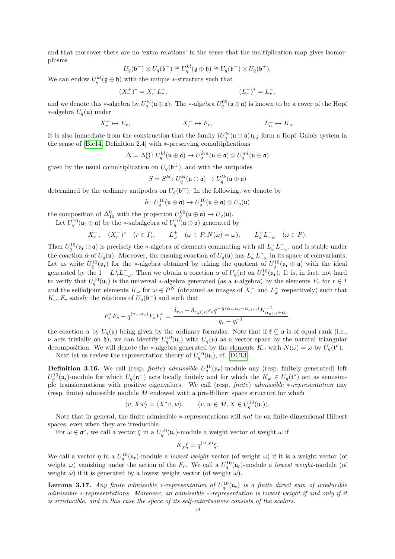and that moreover there are no 'extra relations' in the sense that the multiplication map gives isomorphisms

$$
U_q(\mathfrak{b}^+) \otimes U_q(\mathfrak{b}^-) \cong U_q^{kl}(\mathfrak{g} \oplus \mathfrak{h}) \cong U_q(\mathfrak{b}^-) \otimes U_q(\mathfrak{b}^+).
$$

We can endow  $U_q^{kl}(\mathfrak{g} \oplus \mathfrak{h})$  with the unique \*-structure such that

$$
(X_r^+)^* = X_r^- L_r^-, \qquad \qquad (L_r^+)^* = L_r^-,
$$

and we denote this \*-algebra by  $U_q^{kl}(\mathfrak{u} \oplus \mathfrak{a})$ . The \*-algebra  $U_q^{00}(\mathfrak{u} \oplus \mathfrak{a})$  is known to be a cover of the Hopf ∗-algebra Uq(u) under

$$
X_r^+ \mapsto E_r, \qquad \qquad X_r^- \mapsto F_r, \qquad \qquad L_\alpha^\pm \mapsto K_\alpha.
$$

It is also immediate from the construction that the family  $(U_q^{kl}(\mathfrak{u}\oplus\mathfrak{a}))_{k,l}$  form a Hopf–Galois system in the sense of [\[Bic14,](#page-35-6) Definition 2.4] with ∗-preserving comultiplications

$$
\Delta = \Delta_{kl}^m \colon U_q^{kl}(\mathfrak{u} \oplus \mathfrak{a}) \to U_q^{km}(\mathfrak{u} \oplus \mathfrak{a}) \otimes U_q^{ml}(\mathfrak{u} \oplus \mathfrak{a})
$$

given by the usual comultiplication on  $U_q(\mathfrak{b}^{\pm})$ , and with the antipodes

$$
S=S^{kl}\colon U_q^{kl}(\mathfrak{u}\oplus\mathfrak{a})\to U_q^{lk}(\mathfrak{u}\oplus\mathfrak{a})
$$

determined by the ordinary antipodes on  $U_q(\mathfrak{b}^{\pm})$ . In the following, we denote by

$$
\widetilde{\alpha} \colon U_q^{10}(\mathfrak{u} \oplus \mathfrak{a}) \to U_q^{10}(\mathfrak{u} \oplus \mathfrak{a}) \otimes U_q(\mathfrak{u})
$$

the composition of  $\Delta_{10}^0$  with the projection  $U_q^{00}(\mathfrak{u} \oplus \mathfrak{a}) \to U_q(\mathfrak{u})$ .

Let  $U_q^{10}(\mathfrak{u}_r \oplus \mathfrak{a})$  be the \*-subalgebra of  $U_q^{10}(\mathfrak{u} \oplus \mathfrak{a})$  generated by

$$
X_r^-, \quad (X_r^-)^* \quad (r \in I), \qquad L_\omega^\pm \quad (\omega \in P, N(\omega) = \omega), \qquad L_\omega^+ L_{-\omega}^- \quad (\omega \in P).
$$

Then  $U_q^{10}(\mathfrak{u}_r \oplus \mathfrak{a})$  is precisely the \*-algebra of elements commuting with all  $L_\omega^+ L_{-\omega}^-$ , and is stable under the coaction  $\tilde{\alpha}$  of  $U_q(\mathfrak{u})$ . Moreover, the ensuing coaction of  $U_q(\mathfrak{u})$  has  $L^+_{\omega}L^-_{-\omega}$  in its space of coinvariants. Let us write  $U_q^{10}(\mathfrak{u}_r)$  for the \*-algebra obtained by taking the quotient of  $U_q^{10}(\mathfrak{u}_r \oplus \mathfrak{a})$  with the ideal generated by the  $1 - L_{\omega}^{+} L_{-\omega}^{-}$ . Then we obtain a coaction  $\alpha$  of  $U_q(\mathfrak{u})$  on  $U_q^{10}(\mathfrak{u}_r)$ . It is, in fact, not hard to verify that  $U_q^{10}(\mathfrak{u}_r)$  is the universal \*-algebra generated (as a \*-algebra) by the elements  $F_r$  for  $r \in I$ and the selfadjoint elements  $K_{\omega}$  for  $\omega \in P^N$  (obtained as images of  $X_r^-$  and  $L_{\omega}^+$  respectively) such that  $K_{\omega}, F_r$  satisfy the relations of  $U_q(\mathfrak{b}^-)$  and such that

$$
F_r^* F_s - q^{(\alpha_r, \alpha_s)} F_s F_r^* = \frac{\delta_{r,s} - \delta_{r,\mu(s)} \epsilon_s q^{-\frac{1}{2}(\alpha_r, \alpha_s - \alpha_{\mu(r)})} K_{\alpha_{\mu(r)} + \alpha_r}^{-1}}{q_r - q_r^{-1}},
$$

the coaction  $\alpha$  by  $U_q(\mathfrak{u})$  being given by the ordinary formulas. Note that if  $\mathfrak{k} \subseteq \mathfrak{u}$  is of equal rank (i.e., ν acts trivially on h), we can identify  $U_q^{10}(\mathfrak{u}_r)$  with  $U_q(\mathfrak{u})$  as a vector space by the natural triangular decomposition. We will denote the \*-algebra generated by the elements  $K_{\omega}$  with  $N(\omega) = \omega$  by  $U_q(\mathfrak{t}^{\nu})$ .

Next let us review the representation theory of  $U_q^{10}(\mathfrak{u}_r)$ , cf. [\[DC13\]](#page-36-26).

**Definition 3.16.** We call (resp. finite) admissible  $U_q^{10}(\mu_r)$ -module any (resp. finitely generated) left  $U_q^{10}(\mathfrak{u}_r)$ -module for which  $U_q(\mathfrak{n}^-)$  acts locally finitely and for which the  $K_\omega \in U_q(\mathfrak{t}^\nu)$  act as semisimple transformations with positive eigenvalues. We call (resp. finite) admissible ∗-representation any (resp. finite) admissible module  $M$  endowed with a pre-Hilbert space structure for which

$$
\langle v, Xw \rangle = \langle X^*v, w \rangle, \qquad (v, w \in M, X \in U_q^{10}(\mathfrak{u}_r)).
$$

Note that in general, the finite admissible ∗-representations will not be on finite-dimensional Hilbert spaces, even when they are irreducible.

For  $\omega \in \mathfrak{a}^{\nu}$ , we call a vector  $\xi$  in a  $U_q^{10}(\mathfrak{u}_r)$ -module a weight vector of weight  $\omega$  if

$$
K_{\chi}\xi = q^{(\omega,\chi)}\xi.
$$

We call a vector  $\eta$  in a  $U_q^{10}(\mu_r)$ -module a *lowest weight* vector (of weight  $\omega$ ) if it is a weight vector (of weight  $\omega$ ) vanishing under the action of the  $F_r$ . We call a  $U_q^{10}(\mu_r)$ -module a lowest weight-module (of weight  $\omega$ ) if it is generated by a lowest weight vector (of weight  $\omega$ ).

**Lemma 3.17.** Any finite admissible \*-representation of  $U_q^{10}(\mathfrak{u}_r)$  is a finite direct sum of irreducible admissible ∗-representations. Moreover, an admissible ∗-representation is lowest weight if and only if it is irreducible, and in this case the space of its self-intertwiners consists of the scalars.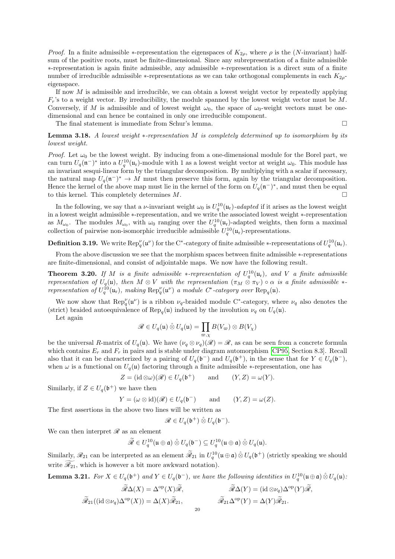*Proof.* In a finite admissible  $*$ -representation the eigenspaces of  $K_{2\rho}$ , where  $\rho$  is the (N-invariant) halfsum of the positive roots, must be finite-dimensional. Since any subrepresentation of a finite admissible ∗-representation is again finite admissible, any admissible ∗-representation is a direct sum of a finite number of irreducible admissible \*-representations as we can take orthogonal complements in each  $K_{2\rho}$ eigenspace.

If now  $M$  is admissible and irreducible, we can obtain a lowest weight vector by repeatedly applying  $F_r$ 's to a weight vector. By irreducibility, the module spanned by the lowest weight vector must be M. Conversely, if M is admissible and of lowest weight  $\omega_0$ , the space of  $\omega_0$ -weight vectors must be onedimensional and can hence be contained in only one irreducible component.

The final statement is immediate from Schur's lemma.  $\Box$ 

Lemma 3.18. A lowest weight ∗-representation M is completely determined up to isomorphism by its lowest weight.

*Proof.* Let  $\omega_0$  be the lowest weight. By inducing from a one-dimensional module for the Borel part, we can turn  $U_q(\mathfrak{n}^-)^*$  into a  $U_q^{10}(\mathfrak{u}_r)$ -module with 1 as a lowest weight vector at weight  $\omega_0$ . This module has an invariant sesqui-linear form by the triangular decomposition. By multiplying with a scalar if necessary, the natural map  $U_q(\mathfrak{n}^-)^* \to M$  must then preserve this form, again by the triangular decomposition. Hence the kernel of the above map must lie in the kernel of the form on  $U_q(\mathfrak{n}^-)^*$ , and must then be equal to this kernel. This completely determines  $M$ .

In the following, we say that a *v*-invariant weight  $\omega_0$  is  $U_q^{10}(\mathfrak{u}_r)$ -adapted if it arises as the lowest weight in a lowest weight admissible ∗-representation, and we write the associated lowest weight ∗-representation as  $M_{\omega_0}$ . The modules  $M_{\omega_0}$ , with  $\omega_0$  ranging over the  $U_q^{10}(\mathfrak{u}_r)$ -adapted weights, then form a maximal collection of pairwise non-isomorphic irreducible admissible  $U_q^{10}(\mathfrak{u}_r)$ -representations.

**Definition 3.19.** We write  $\text{Rep}_q^{\nu}(\mathfrak{u}^{\nu})$  for the C<sup>\*</sup>-category of finite admissible \*-representations of  $U_q^{10}(\mathfrak{u}_r)$ .

From the above discussion we see that the morphism spaces between finite admissible ∗-representations are finite-dimensional, and consist of adjointable maps. We now have the following result.

**Theorem 3.20.** If M is a finite admissible \*-representation of  $U_q^{10}(\mathfrak{u}_r)$ , and V a finite admissible representation of  $U_q(\mathfrak{u})$ , then  $M \otimes V$  with the representation  $(\pi_M \otimes \pi_V) \circ \alpha$  is a finite admissible  $*$ representation of  $U_q^{\{10\}}(\mathfrak{u}_r)$ , making  $\text{Rep}_q^{\nu}(\mathfrak{u}^{\nu})$  a module  $C^*$ -category over  $\text{Rep}_q(\mathfrak{u})$ .

We now show that  $\text{Rep}_q^{\nu}(u^{\nu})$  is a ribbon  $\nu_q$ -braided module C<sup>\*</sup>-category, where  $\nu_q$  also denotes the (strict) braided autoequivalence of  $\text{Rep}_q(\mathfrak{u})$  induced by the involution  $\nu_q$  on  $U_q(\mathfrak{u})$ .

Let again

$$
\mathscr{R} \in U_q(\mathfrak{u}) \hat{\otimes} U_q(\mathfrak{u}) = \prod_{\varpi, \chi} B(V_{\varpi}) \otimes B(V_{\chi})
$$

be the universal R-matrix of  $U_q(\mathfrak{u})$ . We have  $(\nu_q \otimes \nu_q)(\mathscr{R}) = \mathscr{R}$ , as can be seen from a concrete formula which contains  $E_r$  and  $F_r$  in pairs and is stable under diagram automorphism [\[CP95,](#page-36-25) Section 8.3]. Recall also that it can be characterized by a pairing of  $U_q(\mathfrak{b}^-)$  and  $U_q(\mathfrak{b}^+)$ , in the sense that for  $Y \in U_q(\mathfrak{b}^-)$ , when  $\omega$  is a functional on  $U_q(\mathfrak{u})$  factoring through a finite admissible  $\ast$ -representation, one has

$$
Z = (\mathrm{id} \otimes \omega)(\mathscr{R}) \in U_q(\mathfrak{b}^+) \quad \text{and} \quad (Y, Z) = \omega(Y).
$$

Similarly, if  $Z \in U_q(\mathfrak{b}^+)$  we have then

$$
Y = (\omega \otimes id)(\mathscr{R}) \in U_q(\mathfrak{b}^-)
$$
 and  $(Y, Z) = \omega(Z).$ 

The first assertions in the above two lines will be written as

$$
\mathscr{R} \in U_q(\mathfrak{b}^+) \hat{\otimes} U_q(\mathfrak{b}^-).
$$

We can then interpret  $\mathscr R$  as an element

$$
\widetilde{\mathscr{R}} \in U_q^{10}(\mathfrak{u} \oplus \mathfrak{a}) \hat{\otimes} U_q(\mathfrak{b}^-) \subseteq U_q^{10}(\mathfrak{u} \oplus \mathfrak{a}) \hat{\otimes} U_q(\mathfrak{u}).
$$

Similarly,  $\mathscr{R}_{21}$  can be interpreted as an element  $\widetilde{\mathscr{R}}_{21}$  in  $U_q^{10}(\mathfrak{u} \oplus \mathfrak{a}) \hat{\otimes} U_q(\mathfrak{b}^+)$  (strictly speaking we should write  $\mathcal{R}_{21}$ , which is however a bit more awkward notation).

<span id="page-19-0"></span>**Lemma 3.21.** For  $X \in U_q(\mathfrak{b}^+)$  and  $Y \in U_q(\mathfrak{b}^-)$ , we have the following identities in  $U_q^{10}(\mathfrak{u} \oplus \mathfrak{a}) \hat{\otimes} U_q(\mathfrak{u})$ .

$$
\widetilde{\mathcal{R}}\Delta(X) = \Delta^{\mathrm{op}}(X)\widetilde{\mathcal{R}}, \qquad \qquad \widetilde{\mathcal{R}}\Delta(Y) = (\mathrm{id} \otimes \nu_q)\Delta^{\mathrm{op}}(Y)\widetilde{\mathcal{R}}, \n\widetilde{\mathcal{R}}_{21}((\mathrm{id} \otimes \nu_q)\Delta^{\mathrm{op}}(X)) = \Delta(X)\widetilde{\mathcal{R}}_{21}, \qquad \qquad \widetilde{\mathcal{R}}_{21}\Delta^{\mathrm{op}}(Y) = \Delta(Y)\widetilde{\mathcal{R}}_{21}.
$$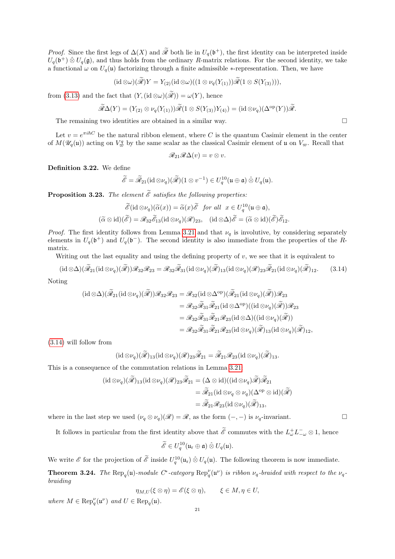*Proof.* Since the first legs of  $\Delta(X)$  and  $\widetilde{\mathscr{R}}$  both lie in  $U_q(\mathfrak{b}^+)$ , the first identity can be interpreted inside  $U_q(\mathfrak{b}^+) \hat{\otimes} U_q(\mathfrak{g})$ , and thus holds from the ordinary R-matrix relations. For the second identity, we take a functional  $\omega$  on  $U_q(\mathfrak{u})$  factorizing through a finite admissible  $\ast$ -representation. Then, we have

$$
(\mathrm{id} \otimes \omega)(\mathscr{R})Y = Y_{(2)}(\mathrm{id} \otimes \omega)((1 \otimes \nu_q(Y_{(1)}))\mathscr{R}(1 \otimes S(Y_{(3)}))),
$$

from [\(3.13\)](#page-17-1) and the fact that  $(Y, (\mathrm{id} \otimes \omega)(\widetilde{\mathscr{R}})) = \omega(Y)$ , hence

$$
\widetilde{\mathscr{R}}\Delta(Y) = (Y_{(2)} \otimes \nu_q(Y_{(1)}))\widetilde{\mathscr{R}}(1 \otimes S(Y_{(3)})Y_{(4)}) = (\mathrm{id} \otimes \nu_q)(\Delta^{\mathrm{op}}(Y))\widetilde{\mathscr{R}}.
$$

The remaining two identities are obtained in a similar way.  $\Box$ 

Let  $v = e^{\pi i \hbar C}$  be the natural ribbon element, where C is the quantum Casimir element in the center of  $M(\mathcal{U}_q(\mathfrak{u}))$  acting on  $V^q_{\overline{\omega}}$  by the same scalar as the classical Casimir element of  $\mathfrak{u}$  on  $V_{\overline{\omega}}$ . Recall that

$$
\mathscr{R}_{21}\mathscr{R}\Delta(v)=v\otimes v.
$$

Definition 3.22. We define

$$
\widetilde{\mathscr{E}}=\widetilde{\mathscr{R}}_{21}(\mathrm{id}\otimes \nu_q)(\widetilde{\mathscr{R}})(1\otimes v^{-1})\in U_q^{10}(\mathfrak{u}\oplus \mathfrak{a})\hat{\otimes} U_q(\mathfrak{u}).
$$

**Proposition 3.23.** The element  $\widetilde{\mathscr{E}}$  satisfies the following properties:

$$
\widetilde{\mathscr{E}}(\mathrm{id}\otimes\nu_q)(\widetilde{\alpha}(x)) = \widetilde{\alpha}(x)\widetilde{\mathscr{E}} \quad \text{for all} \quad x \in U_q^{10}(\mathfrak{u}\oplus\mathfrak{a}),
$$
  

$$
(\widetilde{\alpha}\otimes\mathrm{id})(\widetilde{\mathscr{E}}) = \mathscr{R}_{32}\widetilde{\mathscr{E}}_{13}(\mathrm{id}\otimes\nu_q)(\mathscr{R})_{23}, \quad (\mathrm{id}\otimes\Delta)\widetilde{\mathscr{E}} = (\widetilde{\alpha}\otimes\mathrm{id})(\widetilde{\mathscr{E}})\widetilde{\mathscr{E}}_{12}.
$$

*Proof.* The first identity follows from Lemma [3.21](#page-19-0) and that  $\nu_q$  is involutive, by considering separately elements in  $U_q(\mathfrak{b}^+)$  and  $U_q(\mathfrak{b}^-)$ . The second identity is also immediate from the properties of the Rmatrix.

Writing out the last equality and using the defining property of  $v$ , we see that it is equivalent to

<span id="page-20-0"></span>
$$
(\mathrm{id}\otimes\Delta)(\widetilde{\mathscr{R}}_{21}(\mathrm{id}\otimes\nu_q)(\widetilde{\mathscr{R}}))\mathscr{R}_{32}\mathscr{R}_{23}=\mathscr{R}_{32}\widetilde{\mathscr{R}}_{31}(\mathrm{id}\otimes\nu_q)(\widetilde{\mathscr{R}})_{13}(\mathrm{id}\otimes\nu_q)(\mathscr{R})_{23}\widetilde{\mathscr{R}}_{21}(\mathrm{id}\otimes\nu_q)(\widetilde{\mathscr{R}})_{12}.
$$
 (3.14)

Noting

$$
\begin{aligned} (\mathrm{id}\otimes\Delta)(\widetilde{\mathscr{R}}_{21}(\mathrm{id}\otimes\nu_q)(\widetilde{\mathscr{R}}))\mathscr{R}_{32}\mathscr{R}_{23} &= \mathscr{R}_{32}(\mathrm{id}\otimes\Delta^{\mathrm{op}})(\widetilde{\mathscr{R}}_{21}(\mathrm{id}\otimes\nu_q)(\widetilde{\mathscr{R}}))\mathscr{R}_{23} \\ &= \mathscr{R}_{32}\widetilde{\mathscr{R}}_{31}\widetilde{\mathscr{R}}_{21}(\mathrm{id}\otimes\Delta^{\mathrm{op}})((\mathrm{id}\otimes\nu_q)(\widetilde{\mathscr{R}}))\mathscr{R}_{23} \\ &= \mathscr{R}_{32}\widetilde{\mathscr{R}}_{31}\widetilde{\mathscr{R}}_{21}\mathscr{R}_{23}(\mathrm{id}\otimes\Delta)((\mathrm{id}\otimes\nu_q)(\widetilde{\mathscr{R}})) \\ &= \mathscr{R}_{32}\widetilde{\mathscr{R}}_{31}\widetilde{\mathscr{R}}_{21}\mathscr{R}_{23}(\mathrm{id}\otimes\nu_q)(\widetilde{\mathscr{R}})_{13}(\mathrm{id}\otimes\nu_q)(\widetilde{\mathscr{R}})_{12}, \end{aligned}
$$

[\(3.14\)](#page-20-0) will follow from

$$
(\mathrm{id} \otimes \nu_q)(\widetilde{\mathscr{R}})_{13}(\mathrm{id} \otimes \nu_q)(\mathscr{R})_{23}\widetilde{\mathscr{R}}_{21} = \widetilde{\mathscr{R}}_{21}\mathscr{R}_{23}(\mathrm{id} \otimes \nu_q)(\widetilde{\mathscr{R}})_{13}.
$$

This is a consequence of the commutation relations in Lemma [3.21:](#page-19-0)

$$
\begin{aligned} (\mathrm{id}\otimes\nu_q)(\tilde{\mathscr{R}})_{13}(\mathrm{id}\otimes\nu_q)(\mathscr{R})_{23}\tilde{\mathscr{R}}_{21} &= (\Delta\otimes\mathrm{id})((\mathrm{id}\otimes\nu_q)\tilde{\mathscr{R}})\tilde{\mathscr{R}}_{21} \\ &= \tilde{\mathscr{R}}_{21}(\mathrm{id}\otimes\nu_q\otimes\nu_q)(\Delta^{\mathrm{op}}\otimes\mathrm{id})(\tilde{\mathscr{R}}) \\ &= \tilde{\mathscr{R}}_{21}\mathscr{R}_{23}(\mathrm{id}\otimes\nu_q)(\tilde{\mathscr{R}})_{13}, \end{aligned}
$$

where in the last step we used  $(\nu_q \otimes \nu_q)(\mathscr{R}) = \mathscr{R}$ , as the form  $(-, -)$  is  $\nu_q$ -invariant.

It follows in particular from the first identity above that  $\tilde{\mathscr{E}}$  commutes with the  $L^+_\omega L^-_{-\omega} \otimes 1$ , hence

$$
\widetilde{\mathscr{E}}\in U_q^{10}(\mathfrak{u}_r\oplus\mathfrak{a})\hat{\otimes} U_q(\mathfrak{u}).
$$

We write  $\mathscr E$  for the projection of  $\tilde{\mathscr E}$  inside  $U_q^{10}(\mathfrak u_r) \hat{\otimes} U_q(\mathfrak u)$ . The following theorem is now immediate.

**Theorem 3.24.** The Rep<sub>q</sub>(u)-module C<sup>\*</sup>-category Rep<sub>q</sub><sup>'</sup>(u<sup> $\nu$ </sup>) is ribbon  $\nu_q$ -braided with respect to the  $\nu_q$ braiding

$$
\eta_{M,U}(\xi \otimes \eta) = \mathscr{E}(\xi \otimes \eta), \qquad \xi \in M, \eta \in U,
$$

where  $M \in \text{Rep}_q^{\nu}(\mathfrak{u}^{\nu})$  and  $U \in \text{Rep}_q(\mathfrak{u})$ .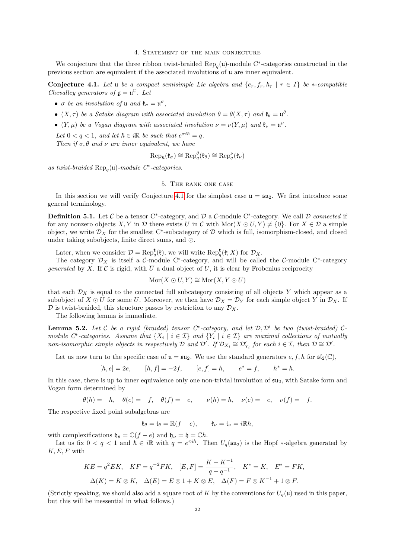### 4. Statement of the main conjecture

<span id="page-21-0"></span>We conjecture that the three ribbon twist-braided  $\text{Rep}_q(\mathfrak{u})$ -module C<sup>∗</sup>-categories constructed in the previous section are equivalent if the associated involutions of u are inner equivalent.

<span id="page-21-2"></span>Conjecture 4.1. Let u be a compact semisimple Lie algebra and  $\{e_r, f_r, h_r \mid r \in I\}$  be  $\ast$ -compatible Chevalley generators of  $\mathfrak{g} = \mathfrak{u}^{\mathbb{C}}$ . Let

- $\sigma$  be an involution of  $\mathfrak{u}$  and  $\mathfrak{k}_{\sigma} = \mathfrak{u}^{\sigma}$ ,
- $(X, \tau)$  be a Satake diagram with associated involution  $\theta = \theta(X, \tau)$  and  $\mathfrak{k}_{\theta} = \mathfrak{u}^{\theta}$ .
- $(Y, \mu)$  be a Vogan diagram with associated involution  $\nu = \nu(Y, \mu)$  and  $\mathfrak{k}_{\nu} = \mathfrak{u}^{\nu}$ .

Let  $0 < q < 1$ , and let  $\hbar \in i\mathbb{R}$  be such that  $e^{\pi i \hbar} = q$ . Then if  $\sigma$ ,  $\theta$  and  $\nu$  are inner equivalent, we have

$$
\operatorname{Rep}_{\hbar}(\mathfrak{k}_{\sigma}) \cong \operatorname{Rep}_{q}^{\theta}(\mathfrak{k}_{\theta}) \cong \operatorname{Rep}_{q}^{\nu}(\mathfrak{k}_{\nu})
$$

as twist-braided  $\text{Rep}_q(\mathfrak{u})$ -module  $C^*$ -categories.

### 5. The rank one case

<span id="page-21-1"></span>In this section we will verify Conjecture [4.1](#page-21-2) for the simplest case  $\mathfrak{u} = \mathfrak{su}_2$ . We first introduce some general terminology.

**Definition 5.1.** Let  $\mathcal{C}$  be a tensor C<sup>\*</sup>-category, and  $\mathcal{D}$  a  $\mathcal{C}$ -module C<sup>\*</sup>-category. We call  $\mathcal{D}$  connected if for any nonzero objects X, Y in D there exists U in C with  $\text{Mor}(X \odot U, Y) \neq \{0\}$ . For  $X \in \mathcal{D}$  a simple object, we write  $\mathcal{D}_X$  for the smallest C<sup>\*</sup>-subcategory of  $\mathcal D$  which is full, isomorphism-closed, and closed under taking subobjects, finite direct sums, and  $\odot$ .

Later, when we consider  $\mathcal{D} = \text{Rep}_q^{\mathbf{t}}(\mathfrak{k})$ , we will write  $\text{Rep}_q^{\mathbf{t}}(\mathfrak{k}; X)$  for  $\mathcal{D}_X$ .

The category  $\mathcal{D}_X$  is itself a C-module C<sup>\*</sup>-category, and will be called the C-module C<sup>\*</sup>-category generated by X. If C is rigid, with  $\overline{U}$  a dual object of U, it is clear by Frobenius reciprocity

$$
Mor(X \odot U, Y) \cong Mor(X, Y \odot \overline{U})
$$

that each  $\mathcal{D}_X$  is equal to the connected full subcategory consisting of all objects Y which appear as a subobject of  $X \odot U$  for some U. Moreover, we then have  $\mathcal{D}_X = \mathcal{D}_Y$  for each simple object Y in  $\mathcal{D}_X$ . If  $\mathcal D$  is twist-braided, this structure passes by restriction to any  $\mathcal D_X$ .

The following lemma is immediate.

<span id="page-21-3"></span>**Lemma 5.2.** Let C be a rigid (braided) tensor  $C^*$ -category, and let  $D, D'$  be two (twist-braided)  $C$ module C<sup>\*</sup>-categories. Assume that  $\{X_i \mid i \in \mathcal{I}\}\$  and  $\{Y_i \mid i \in \mathcal{I}\}\$  are maximal collections of mutually non-isomorphic simple objects in respectively D and D'. If  $\mathcal{D}_{X_i} \cong \mathcal{D}'_{Y_i}$  for each  $i \in \mathcal{I}$ , then  $\mathcal{D} \cong \mathcal{D}'$ .

Let us now turn to the specific case of  $\mathfrak{u} = \mathfrak{su}_2$ . We use the standard generators  $e, f, h$  for  $\mathfrak{sl}_2(\mathbb{C})$ ,

$$
[h, e] = 2e
$$
,  $[h, f] = -2f$ ,  $[e, f] = h$ ,  $e^* = f$ ,  $h^* = h$ .

In this case, there is up to inner equivalence only one non-trivial involution of  $\mathfrak{su}_2$ , with Satake form and Vogan form determined by

 $\theta(h) = -h, \quad \theta(e) = -f, \quad \theta(f) = -e, \quad \nu(h) = h, \quad \nu(e) = -e, \quad \nu(f) = -f.$ 

The respective fixed point subalgebras are

 $\mathfrak{k}_{\theta} = \mathfrak{t}_{\theta} = \mathbb{R}(f - e), \qquad \mathfrak{k}_{\nu} = \mathfrak{t}_{\nu} = i\mathbb{R}h,$ 

with complexifications  $\mathfrak{h}_{\theta} = \mathbb{C}(f - e)$  and  $\mathfrak{h}_{\nu} = \mathfrak{h} = \mathbb{C}h$ .

Let us fix  $0 < q < 1$  and  $\hbar \in i\mathbb{R}$  with  $q = e^{\pi i \hbar}$ . Then  $U_q(\mathfrak{su}_2)$  is the Hopf  $*$ -algebra generated by  $K, E, F$  with

$$
KE = q^2 EK, \quad KF = q^{-2} FK, \quad [E, F] = \frac{K - K^{-1}}{q - q^{-1}}, \quad K^* = K, \quad E^* = FK, \n\Delta(K) = K \otimes K, \quad \Delta(E) = E \otimes 1 + K \otimes E, \quad \Delta(F) = F \otimes K^{-1} + 1 \otimes F.
$$

(Strictly speaking, we should also add a square root of K by the conventions for  $U_q(\mathfrak{u})$  used in this paper, but this will be inessential in what follows.)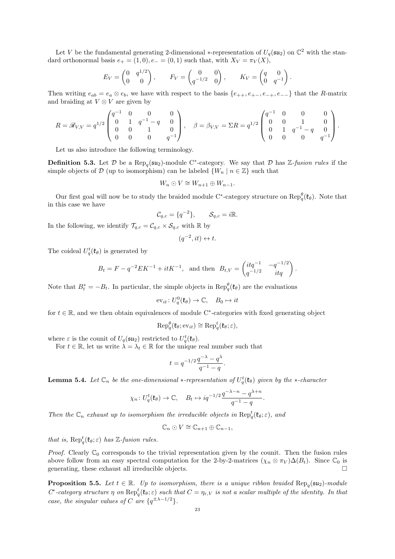Let V be the fundamental generating 2-dimensional \*-representation of  $U_q(\mathfrak{su}_2)$  on  $\mathbb{C}^2$  with the standard orthonormal basis  $e_+ = (1,0), e_- = (0,1)$  such that, with  $X_V = \pi_V(X)$ ,

$$
E_V = \begin{pmatrix} 0 & q^{1/2} \\ 0 & 0 \end{pmatrix}, \qquad F_V = \begin{pmatrix} 0 & 0 \\ q^{-1/2} & 0 \end{pmatrix}, \qquad K_V = \begin{pmatrix} q & 0 \\ 0 & q^{-1} \end{pmatrix}.
$$

Then writing  $e_{ab} = e_a \otimes e_b$ , we have with respect to the basis  $\{e_{++}, e_{+-}, e_{-+}, e_{--}\}$  that the R-matrix and braiding at  $V \otimes V$  are given by

$$
R = \mathscr{R}_{V,V} = q^{1/2} \begin{pmatrix} q^{-1} & 0 & 0 & 0 \\ 0 & 1 & q^{-1} - q & 0 \\ 0 & 0 & 1 & 0 \\ 0 & 0 & 0 & q^{-1} \end{pmatrix}, \quad \beta = \beta_{V,V} = \Sigma R = q^{1/2} \begin{pmatrix} q^{-1} & 0 & 0 & 0 \\ 0 & 0 & 1 & 0 \\ 0 & 1 & q^{-1} - q & 0 \\ 0 & 0 & 0 & q^{-1} \end{pmatrix}.
$$

Let us also introduce the following terminology.

**Definition 5.3.** Let  $\mathcal{D}$  be a Rep<sub>q</sub>( $\mathfrak{su}_2$ )-module C<sup>\*</sup>-category. We say that  $\mathcal{D}$  has Z-fusion rules if the simple objects of D (up to isomorphism) can be labeled  $\{W_n \mid n \in \mathbb{Z}\}\$  such that

$$
W_n \odot V \cong W_{n+1} \oplus W_{n-1}.
$$

Our first goal will now be to study the braided module C<sup>\*</sup>-category structure on  $\text{Rep}_{q}^{\theta}(\mathfrak{k}_{\theta})$ . Note that in this case we have

$$
\mathcal{C}_{q,c} = \{q^{-2}\}, \qquad \mathcal{S}_{q,c} = i\mathbb{R}.
$$

In the following, we identify  $\mathcal{T}_{q,c} = \mathcal{C}_{q,c} \times \mathcal{S}_{q,c}$  with  $\mathbb R$  by

 $(q^{-2}, it) \leftrightarrow t.$ 

The coideal  $U_q^t(\mathfrak{k}_{\theta})$  is generated by

$$
B_t = F - q^{-2} E K^{-1} + it K^{-1}, \text{ and then } B_{t,V} = \begin{pmatrix} itq^{-1} & -q^{-1/2} \\ q^{-1/2} & itq \end{pmatrix}.
$$

Note that  $B_t^* = -B_t$ . In particular, the simple objects in  $\text{Rep}_q^{\theta}(\mathfrak{k}_{\theta})$  are the evaluations

$$
\mathrm{ev}_{it} \colon U_q^0(\mathfrak{k}_\theta) \to \mathbb{C}, \quad B_0 \mapsto it
$$

for  $t \in \mathbb{R}$ , and we then obtain equivalences of module C<sup>\*</sup>-categories with fixed generating object

$$
\operatorname{Rep}_q^{\theta}(\mathfrak{k}_{\theta}; \mathrm{ev}_{it}) \cong \operatorname{Rep}_q^t(\mathfrak{k}_{\theta}; \varepsilon),
$$

where  $\varepsilon$  is the counit of  $U_q(\mathfrak{su}_2)$  restricted to  $U_q^t(\mathfrak{k}_{\theta})$ .

For  $t \in \mathbb{R}$ , let us write  $\lambda = \lambda_t \in \mathbb{R}$  for the unique real number such that

$$
t=q^{-1/2}\frac{q^{-\lambda}-q^\lambda}{q^{-1}-q}.
$$

**Lemma 5.4.** Let  $\mathbb{C}_n$  be the one-dimensional  $*$ -representation of  $U_q^t(\mathfrak{k}_{\theta})$  given by the  $*$ -character

$$
\chi_n: U_q^t(\mathfrak{k}_{\theta}) \to \mathbb{C}, \quad B_t \mapsto iq^{-1/2} \frac{q^{-\lambda - n} - q^{\lambda + n}}{q^{-1} - q}
$$

.

Then the  $\mathbb{C}_n$  exhaust up to isomorphism the irreducible objects in  $\text{Rep}^t_q(\mathfrak{k}_{\theta}; \varepsilon)$ , and

$$
\mathbb{C}_n \odot V \cong \mathbb{C}_{n+1} \oplus \mathbb{C}_{n-1},
$$

that is,  $\operatorname{Rep}_q^t(\mathfrak{k}_\theta; \varepsilon)$  has Z-fusion rules.

*Proof.* Clearly  $\mathbb{C}_0$  corresponds to the trivial representation given by the counit. Then the fusion rules above follow from an easy spectral computation for the 2-by-2-matrices  $(\chi_n \otimes \pi_V) \Delta(B_t)$ . Since  $\mathbb{C}_0$  is generating, these exhaust all irreducible objects.  $\Box$ 

<span id="page-22-0"></span>**Proposition 5.5.** Let  $t \in \mathbb{R}$ . Up to isomorphism, there is a unique ribbon braided  $\text{Rep}_q(\mathfrak{su}_2)$ -module C<sup>\*</sup>-category structure  $\eta$  on  $\text{Rep}^t_q(\mathfrak{k}_\theta;\varepsilon)$  such that  $C = \eta_{\varepsilon,V}$  is not a scalar multiple of the identity. In that case, the singular values of C are  $\{q^{\pm\lambda-1/2}\}.$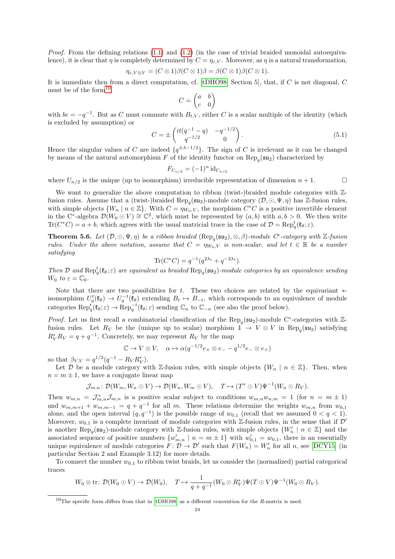*Proof.* From the defining relations  $(1.1)$  and  $(1.2)$  (in the case of trivial braided monoidal autoequivalence), it is clear that  $\eta$  is completely determined by  $C = \eta_{\varepsilon,V}$ . Moreover, as  $\eta$  is a natural transformation,

$$
\eta_{\varepsilon,V\otimes V} = (C \otimes 1)\beta(C \otimes 1)\beta = \beta(C \otimes 1)\beta(C \otimes 1).
$$

It is immediate then from a direct computation, cf. [\[tDHO98,](#page-36-27) Section 5], that, if C is not diagonal, C must be of the form<sup>[10](#page-23-0)</sup>

$$
C = \begin{pmatrix} a & b \\ c & 0 \end{pmatrix}
$$

with  $bc = -q^{-1}$ . But as C must commute with  $B_{t,V}$ , either C is a scalar multiple of the identity (which is excluded by assumption) or

<span id="page-23-1"></span>
$$
C = \pm \begin{pmatrix} it(q^{-1} - q) & -q^{-1/2} \\ q^{-1/2} & 0 \end{pmatrix}.
$$
 (5.1)

Hence the singular values of C are indeed  $\{q^{\pm\lambda-1/2}\}\$ . The sign of C is irrelevant as it can be changed by means of the natural automorphism F of the identity functor on  $\text{Rep}_q(\mathfrak{su}_2)$  characterized by

$$
F_{U_{n/2}} = (-1)^n \mathrm{id}_{U_{n/2}}
$$

where  $U_{n/2}$  is the unique (up to isomorphism) irreducible representation of dimension  $n + 1$ .

We want to generalize the above computation to ribbon (twist-)braided module categories with  $\mathbb{Z}$ fusion rules. Assume that a (twist-)braided  $\text{Rep}_q(\mathfrak{su}_2)$ -module category  $(\mathcal{D}, \odot, \Psi, \eta)$  has Z-fusion rules, with simple objects  $\{W_n \mid n \in \mathbb{Z}\}\$ . With  $C = \eta_{W_0,V}$ , the morphism  $C^*C$  is a positive invertible element in the C<sup>∗</sup>-algebra  $\mathcal{D}(W_0 \odot V) \cong \mathbb{C}^2$ , which must be represented by  $(a, b)$  with  $a, b > 0$ . We then write  $\text{Tr}(C^*C) = a + b$ , which agrees with the usual matricial trace in the case of  $\mathcal{D} = \text{Rep}_q^t(\mathfrak{k}_{\theta}; \varepsilon)$ .

<span id="page-23-2"></span>**Theorem 5.6.** Let  $(D, \odot, \Psi, \eta)$  be a ribbon braided  $(\text{Rep}_q(\mathfrak{su}_2), \otimes, \beta)$ -module  $C^*$ -category with Z-fusion rules. Under the above notation, assume that  $C = \eta_{W_0,V}$  is non-scalar, and let  $t \in \mathbb{R}$  be a number satisfying

$$
\text{Tr}(C^*C) = q^{-1}(q^{2\lambda_t} + q^{-2\lambda_t}).
$$

Then D and  $\text{Rep}_q^t(\mathfrak{k}_\theta;\varepsilon)$  are equivalent as braided  $\text{Rep}_q(\mathfrak{su}_2)$ -module categories by an equivalence sending  $W_0$  to  $\varepsilon = \mathbb{C}_0$ .

Note that there are two possibilities for t. These two choices are related by the equivariant  $*$ isomorphism  $U_q^t(\mathfrak{k}_{\theta}) \to U_q^{-t}(\mathfrak{k}_{\theta})$  extending  $B_t \mapsto B_{-t}$ , which corresponds to an equivalence of module categories  $\operatorname{Rep}_q^t(\mathfrak{k}_{\theta}; \varepsilon) \to \operatorname{Rep}_q^{-t}(\mathfrak{k}_{\theta}; \varepsilon)$  sending  $\mathbb{C}_n$  to  $\mathbb{C}_{-n}$  (see also the proof below).

*Proof.* Let us first recall a combinatorial classification of the  $\text{Rep}_q(\mathfrak{su}_2)$ -module C<sup>∗</sup>-categories with Zfusion rules. Let  $R_V$  be the (unique up to scalar) morphism  $\mathbb{1} \to V \otimes V$  in Rep<sub>q</sub>( $\mathfrak{su}_2$ ) satisfying  $R_V^* R_V = q + q^{-1}$ . Concretely, we may represent  $R_V$  by the map

$$
\mathbb{C} \to V \otimes V, \quad \alpha \mapsto \alpha (q^{-1/2} e_+ \otimes e_- - q^{1/2} e_- \otimes e_+)
$$

so that  $\beta_{V,V} = q^{1/2} (q^{-1} - R_V R_V^*)$ .

Let D be a module category with Z-fusion rules, with simple objects  $\{W_n \mid n \in \mathbb{Z}\}\.$  Then, when  $n = m \pm 1$ , we have a conjugate linear map

$$
\mathcal{J}_{m,n} \colon \mathcal{D}(W_m, W_n \odot V) \to \mathcal{D}(W_n, W_m \odot V), \quad T \mapsto (T^* \odot V)\Psi^{-1}(W_n \odot R_V).
$$

Then  $w_{m,n} = \mathcal{J}_{m,n}^* \mathcal{J}_{m,n}$  is a positive scalar subject to conditions  $w_{m,n} w_{n,m} = 1$  (for  $n = m \pm 1$ ) and  $w_{m,m+1} + w_{m,m-1} = q + q^{-1}$  for all m. These relations determine the weights  $w_{m,n}$  from  $w_{0,1}$ alone, and the open interval  $(q, q^{-1})$  is the possible range of  $w_{0,1}$  (recall that we assumed  $0 < q < 1$ ). Moreover,  $w_{0,1}$  is a complete invariant of module categories with Z-fusion rules, in the sense that if  $\mathcal{D}'$ is another Rep<sub>q</sub>( $\mathfrak{su}_2$ )-module category with Z-fusion rules, with simple objects  $\{W'_n \mid n \in \mathbb{Z}\}\$  and the associated sequence of positive numbers  $\{w'_{m,n} | n = m \pm 1\}$  with  $w'_{0,1} = w_{0,1}$ , there is an essentially unique equivalence of module categories  $F: \mathcal{D} \to \mathcal{D}'$  such that  $F(W_n) = W'_n$  for all n, see [\[DCY15\]](#page-36-28) (in particular Section 2 and Example 3.12) for more details.

To connect the number  $w_{0,1}$  to ribbon twist braids, let us consider the (normalized) partial categorical traces

$$
W_0 \otimes \operatorname{tr} : \mathcal{D}(W_0 \odot V) \to \mathcal{D}(W_0), \quad T \mapsto \frac{1}{q+q^{-1}}(W_0 \odot R_V^*) \Psi(T \odot V) \Psi^{-1}(W_0 \odot R_V).
$$

<span id="page-23-0"></span><sup>&</sup>lt;sup>10</sup>The specific form differs from that in  $[tDHO98]$  as a different convention for the R-matrix is used.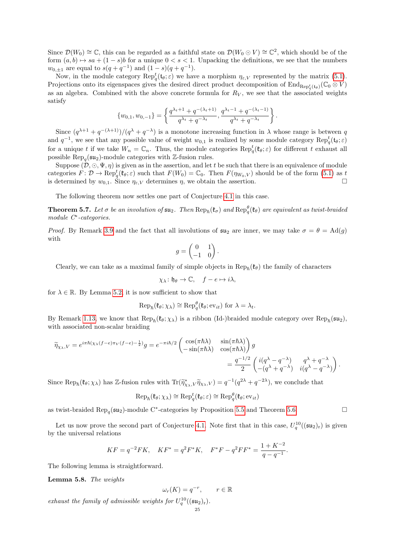Since  $\mathcal{D}(W_0) \cong \mathbb{C}$ , this can be regarded as a faithful state on  $\mathcal{D}(W_0 \odot V) \cong \mathbb{C}^2$ , which should be of the form  $(a, b) \mapsto sa + (1 - s)b$  for a unique  $0 < s < 1$ . Unpacking the definitions, we see that the numbers  $w_{0,\pm 1}$  are equal to  $s(q+q^{-1})$  and  $(1-s)(q+q^{-1})$ .

Now, in the module category  $\operatorname{Rep}_q^t(\mathfrak{t}_{\theta};\varepsilon)$  we have a morphism  $\eta_{\varepsilon,V}$  represented by the matrix [\(5.1\)](#page-23-1). Projections onto its eigenspaces gives the desired direct product decomposition of  $\text{End}_{\text{Rep}_q^t(\mathfrak{t}_{\theta})}(\mathbb{C}_0 \otimes V)$ as an algebra. Combined with the above concrete formula for  $R_V$ , we see that the associated weights satisfy

$$
\{w_{0,1}, w_{0,-1}\} = \left\{\frac{q^{\lambda_t+1} + q^{-(\lambda_t+1)}}{q^{\lambda_t} + q^{-\lambda_t}}, \frac{q^{\lambda_t-1} + q^{-(\lambda_t-1)}}{q^{\lambda_t} + q^{-\lambda_t}}\right\}.
$$

Since  $(q^{\lambda+1}+q^{-(\lambda+1)})/(q^{\lambda}+q^{-\lambda})$  is a monotone increasing function in  $\lambda$  whose range is between q and  $q^{-1}$ , we see that any possible value of weight  $w_{0,1}$  is realized by some module category  $\text{Rep}_q^t(\mathfrak{t}_{\theta};\varepsilon)$ for a unique t if we take  $W_n = \mathbb{C}_n$ . Thus, the module categories  $\text{Rep}_q^t(\mathfrak{k}_\theta; \varepsilon)$  for different t exhaust all possible  $\text{Rep}_q(\mathfrak{su}_2)$ -module categories with Z-fusion rules.

Suppose  $(D, \odot, \Psi, \eta)$  is given as in the assertion, and let t be such that there is an equivalence of module categories  $\hat{F} \colon \mathcal{D} \to \text{Rep}^t_q(\mathfrak{k}_\theta; \varepsilon)$  such that  $F(W_0) = \mathbb{C}_0$ . Then  $F(\eta_{W_0, V})$  should be of the form [\(5.1\)](#page-23-1) as t is determined by  $w_{0,1}$ . Since  $\eta_{\varepsilon,V}$  determines  $\eta$ , we obtain the assertion.

The following theorem now settles one part of Conjecture [4.1](#page-21-2) in this case.

**Theorem 5.7.** Let  $\sigma$  be an involution of  $\mathfrak{su}_2$ . Then  $\text{Rep}_{\hbar}(\mathfrak{k}_{\sigma})$  and  $\text{Rep}_{q}^{\theta}(\mathfrak{k}_{\theta})$  are equivalent as twist-braided module C<sup>∗</sup> -categories.

*Proof.* By Remark [3.9](#page-13-3) and the fact that all involutions of  $\mathfrak{su}_2$  are inner, we may take  $\sigma = \theta = \text{Ad}(q)$ with

$$
g = \begin{pmatrix} 0 & 1 \\ -1 & 0 \end{pmatrix}.
$$

Clearly, we can take as a maximal family of simple objects in  $\text{Rep}_{\hbar}(\mathfrak{k}_{\theta})$  the family of characters

$$
\chi_{\lambda} \colon \mathfrak{h}_{\theta} \to \mathbb{C}, \quad f - e \mapsto i\lambda,
$$

for  $\lambda \in \mathbb{R}$ . By Lemma [5.2,](#page-21-3) it is now sufficient to show that

$$
\operatorname{Rep}_{\hbar}(\mathfrak{k}_{\theta}; \chi_{\lambda}) \cong \operatorname{Rep}_{q}^{\theta}(\mathfrak{k}_{\theta}; \mathrm{ev}_{it}) \text{ for } \lambda = \lambda_{t}.
$$

By Remark [1.13,](#page-5-0) we know that  $\text{Rep}_{\hbar}(\mathfrak{k}_{\theta}; \chi_{\lambda})$  is a ribbon (Id-)braided module category over  $\text{Rep}_{\hbar}(\mathfrak{su}_2)$ , with associated non-scalar braiding

$$
\widetilde{\eta}_{\chi_{\lambda},V} = e^{i\pi\hbar(\chi_{\lambda}(f-e)\pi_V(f-e)-\frac{1}{2})}g = e^{-\pi i\hbar/2} \begin{pmatrix} \cos(\pi\hbar\lambda) & \sin(\pi\hbar\lambda) \\ -\sin(\pi\hbar\lambda) & \cos(\pi\hbar\lambda) \end{pmatrix} g
$$
\n
$$
= \frac{q^{-1/2}}{2} \begin{pmatrix} i(q^{\lambda}-q^{-\lambda}) & q^{\lambda}+q^{-\lambda} \\ -(q^{\lambda}+q^{-\lambda}) & i(q^{\lambda}-q^{-\lambda}) \end{pmatrix}.
$$

Since  $\text{Rep}_{\hbar}(\mathfrak{k}_{\theta}; \chi_{\lambda})$  has Z-fusion rules with  $\text{Tr}(\widetilde{\eta}_{\chi_{\lambda},V}^* \widetilde{\eta}_{\chi_{\lambda},V}) = q^{-1}(q^{2\lambda} + q^{-2\lambda})$ , we conclude that

$$
\operatorname{Rep}_{\hbar}(\mathfrak{k}_{\theta}; \chi_{\lambda}) \cong \operatorname{Rep}_{q}^{t}(\mathfrak{k}_{\theta}; \varepsilon) \cong \operatorname{Rep}_{q}^{\theta}(\mathfrak{k}_{\theta}; \mathrm{ev}_{it})
$$

as twist-braided  $\text{Rep}_q(\mathfrak{su}_2)$ -module C<sup>∗</sup>-categories by Proposition [5.5](#page-22-0) and Theorem [5.6.](#page-23-2)

Let us now prove the second part of Conjecture [4.1.](#page-21-2) Note first that in this case,  $U_q^{10}((\mathfrak{su}_2)_r)$  is given by the universal relations

$$
KF=q^{-2}FK,\quad KF^*=q^2F^*K,\quad F^*F-q^2FF^*=\frac{1+K^{-2}}{q-q^{-1}}.
$$

The following lemma is straightforward.

Lemma 5.8. The weights

$$
\omega_r(K) = q^{-r}, \qquad r \in \mathbb{R}
$$

exhaust the family of admissible weights for  $U_q^{10}((\mathfrak{su}_2)_{\rm r}).$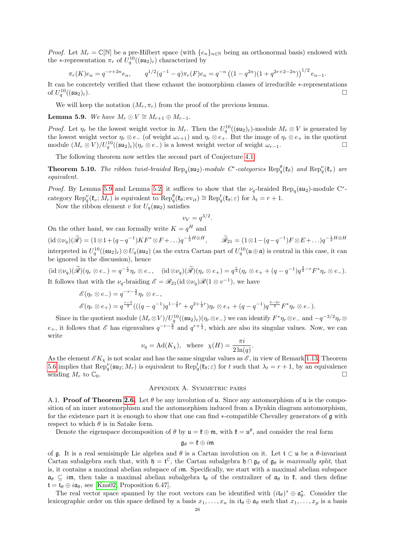*Proof.* Let  $M_r = \mathbb{C}[\mathbb{N}]$  be a pre-Hilbert space (with  $\{e_n\}_{n\in\mathbb{N}}$  being an orthonormal basis) endowed with the ∗-representation  $\pi_r$  of  $U_q^{10}((\mathfrak{su}_2)_r)$  characterized by

$$
\pi_r(K)e_n = q^{-r+2n}e_n, \qquad q^{1/2}(q^{-1}-q)\pi_r(F)e_n = q^{-n}((1-q^{2n})(1+q^{2r+2-2n}))^{1/2}e_{n-1}.
$$

It can be concretely verified that these exhaust the isomorphism classes of irreducible ∗-representations of  $U_q^{10}$  $((\mathfrak{su}_2)_r).$ 

We will keep the notation  $(M_r, \pi_r)$  from the proof of the previous lemma.

## <span id="page-25-1"></span>**Lemma 5.9.** We have  $M_r \odot V \cong M_{r+1} \oplus M_{r-1}$ .

*Proof.* Let  $\eta_r$  be the lowest weight vector in  $M_r$ . Then the  $U_q^{10}((\mathfrak{su}_2)_r)$ -module  $M_r \otimes V$  is generated by the lowest weight vector  $\eta_r \otimes e_-\;$  (of weight  $\omega_{r+1}$ ) and  $\eta_r \otimes e_+$ . But the image of  $\eta_r \otimes e_+$  in the quotient module  $(M_r \otimes V)/U_q^{10}((\mathfrak{su}_2)_r)(\eta_r \otimes e_{-})$  is a lowest weight vector of weight  $\omega_{r-1}$ .

The following theorem now settles the second part of Conjecture [4.1.](#page-21-2)

**Theorem 5.10.** The ribbon twist-braided  $\text{Rep}_q(\mathfrak{su}_2)$ -module  $C^*$ -categories  $\text{Rep}_q^{\theta}(\mathfrak{k}_{\theta})$  and  $\text{Rep}_q^{\nu}(\mathfrak{k}_{\nu})$  are equivalent.

*Proof.* By Lemma [5.9](#page-25-1) and Lemma [5.2,](#page-21-3) it suffices to show that the  $\nu_q$ -braided Rep<sub>q</sub>( $\mathfrak{su}_2$ )-module C<sup>\*</sup>category  $\operatorname{Rep}_q^{\nu}(\mathfrak{k}_{\nu}; M_r)$  is equivalent to  $\operatorname{Rep}_q^{\theta}(\mathfrak{k}_{\theta}; \text{ev}_{it}) \cong \operatorname{Rep}_q^t(\mathfrak{k}_{\theta}; \varepsilon)$  for  $\lambda_t = r + 1$ .

Now the ribbon element v for  $U_q(\mathfrak{su}_2)$  satisfies

$$
v_V = q^{3/2}.
$$

On the other hand, we can formally write  $K = q<sup>H</sup>$  and  $(id \otimes \nu_q)(\widetilde{\mathscr{R}}) = (1 \otimes 1 + (q - q^{-1})KF^* \otimes F + \dots)q^{-\frac{1}{2}H \otimes H}, \qquad \widetilde{\mathscr{R}}_{21} = (1 \otimes 1 - (q - q^{-1})F \otimes E + \dots)q^{-\frac{1}{2}H \otimes H}$ interpreted in  $U_q^{10}((\mathfrak{su}_2)_{\mathfrak{r}}) \otimes U_q(\mathfrak{su}_2)$  (as the extra Cartan part of  $U_q^{10}(\mathfrak{u} \oplus \mathfrak{a})$  is central in this case, it can be ignored in the discussion), hence

 $(\mathrm{id} \otimes \nu_q)(\widetilde{\mathscr{R}})(\eta_r \otimes e_{-}) = q^{-\frac{r}{2}} \eta_r \otimes e_{-}, \quad (\mathrm{id} \otimes \nu_q)(\widetilde{\mathscr{R}})(\eta_r \otimes e_{+}) = q^{\frac{r}{2}} (\eta_r \otimes e_{+} + (q - q^{-1}) q^{\frac{3}{2} - r} F^* \eta_r \otimes e_{-}).$ It follows that with the  $\nu_q$ -braiding  $\mathscr{E} = \mathscr{R}_{21}(\text{id} \otimes \nu_q)\mathscr{R}(1 \otimes v^{-1}),$  we have

$$
\mathscr{E}(\eta_r \otimes e_-) = q^{-r-\frac{3}{2}} \eta_r \otimes e_-, \n\mathscr{E}(\eta_r \otimes e_+) = q^{\frac{r-3}{2}} \big( ((q-q^{-1})q^{1-\frac{3}{2}r} + q^{2+\frac{1}{2}r}) \eta_r \otimes e_+ + (q-q^{-1})q^{\frac{5-3r}{2}} F^* \eta_r \otimes e_- \big).
$$

Since in the quotient module  $(M_r \otimes V)/U_q^{10}((\mathfrak{su}_2)_{r})(\eta_r \otimes e_{-})$  we can identify  $F^*\eta_r \otimes e_{-}$  and  $-q^{-3/2}\eta_r \otimes e_{-}$  $e_+$ , it follows that  $\mathscr E$  has eigenvalues  $q^{-r-\frac{3}{2}}$  and  $q^{r+\frac{1}{2}}$ , which are also its singular values. Now, we can write

$$
\nu_q = \text{Ad}(K_\chi), \text{ where } \chi(H) = \frac{\pi i}{2\ln(q)}.
$$

As the element  $\mathscr{E}K_\chi$  is not scalar and has the same singular values as  $\mathscr{E}$ , in view of Remark [1.13,](#page-5-0) Theorem [5.6](#page-23-2) implies that  $\text{Rep}_q^{\nu}(\mathfrak{su}_2; M_r)$  is equivalent to  $\text{Rep}_q^t(\mathfrak{k}_\theta; \varepsilon)$  for t such that  $\lambda_t = r + 1$ , by an equivalence sending  $M_r$  to  $\mathbb{C}_0$ .

### Appendix A. Symmetric pairs

<span id="page-25-0"></span>A.1. **Proof of Theorem [2.6.](#page-8-1)** Let  $\theta$  be any involution of u. Since any automorphism of u is the composition of an inner automorphism and the automorphism induced from a Dynkin diagram automorphism, for the existence part it is enough to show that one can find ∗-compatible Chevalley generators of g with respect to which  $\theta$  is in Satake form.

Denote the eigenspace decomposition of  $\theta$  by  $\mathfrak{u} = \mathfrak{k} \oplus \mathfrak{m}$ , with  $\mathfrak{k} = \mathfrak{u}^{\theta}$ , and consider the real form

## $\mathfrak{g}_{\theta} = \mathfrak{k} \oplus i\mathfrak{m}$

of g. It is a real semisimple Lie algebra and  $\theta$  is a Cartan involution on it. Let  $\mathfrak{t} \subset \mathfrak{u}$  be a  $\theta$ -invariant Cartan subalgebra such that, with  $\mathfrak{h} = \mathfrak{t}^{\mathbb{C}}$ , the Cartan subalgebra  $\mathfrak{h} \cap \mathfrak{g}_{\theta}$  of  $\mathfrak{g}_{\theta}$  is *maximally split*, that is, it contains a maximal abelian subspace of  $im$ . Specifically, we start with a maximal abelian subspace  $a_{\theta} \subseteq i\mathfrak{m}$ , then take a maximal abelian subalgebra  $t_{\theta}$  of the centralizer of  $a_{\theta}$  in  $\mathfrak{k}$ , and then define  $t = t_{\theta} \oplus i\mathfrak{a}_{\theta}$ , see [\[Kna02,](#page-36-19) Proposition 6.47].

The real vector space spanned by the root vectors can be identified with  $(i t_{\theta})^* \oplus \mathfrak{a}_{\theta}^*$ . Consider the lexicographic order on this space defined by a basis  $x_1, \ldots, x_n$  in  $i\mathfrak{t}_{\theta} \oplus \mathfrak{a}_{\theta}$  such that  $x_1, \ldots, x_p$  is a basis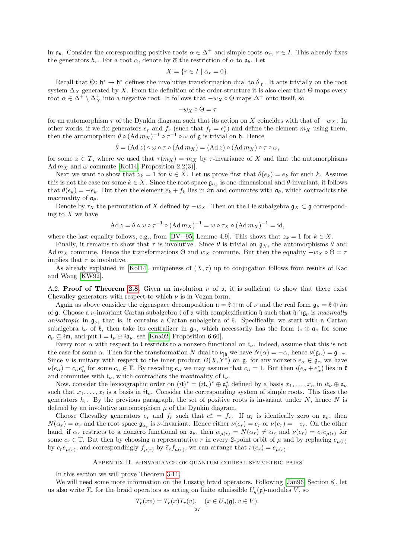in  $\mathfrak{a}_{\theta}$ . Consider the corresponding positive roots  $\alpha \in \Delta^+$  and simple roots  $\alpha_r$ ,  $r \in I$ . This already fixes the generators  $h_r$ . For a root  $\alpha$ , denote by  $\overline{\alpha}$  the restriction of  $\alpha$  to  $\mathfrak{a}_{\theta}$ . Let

$$
X = \{ r \in I \mid \overline{\alpha_r} = 0 \}.
$$

Recall that  $\Theta: \mathfrak{h}^* \to \mathfrak{h}^*$  defines the involutive transformation dual to  $\theta_{|\mathfrak{h}|}$ . It acts trivially on the root system  $\Delta_X$  generated by X. From the definition of the order structure it is also clear that Θ maps every root  $\alpha \in \Delta^+ \setminus \Delta^+_X$  into a negative root. It follows that  $-w_X \circ \Theta$  maps  $\Delta^+$  onto itself, so

$$
-w_X \circ \Theta = \tau
$$

for an automorphism  $\tau$  of the Dynkin diagram such that its action on X coincides with that of  $-w_X$ . In other words, if we fix generators  $e_r$  and  $f_r$  (such that  $f_r = e_r^*$ ) and define the element  $m_X$  using them, then the automorphism  $\theta \circ (Ad m_X)^{-1} \circ \tau^{-1} \circ \omega$  of g is trivial on h. Hence

$$
\theta = (\mathrm{Ad}\, z) \circ \omega \circ \tau \circ (\mathrm{Ad}\, m_X) = (\mathrm{Ad}\, z) \circ (\mathrm{Ad}\, m_X) \circ \tau \circ \omega,
$$

for some  $z \in T$ , where we used that  $\tau(m_X) = m_X$  by  $\tau$ -invariance of X and that the automorphisms Ad  $m_X$  and  $\omega$  commute [\[Kol14,](#page-36-18) Proposition 2.2(3)].

Next we want to show that  $z_k = 1$  for  $k \in X$ . Let us prove first that  $\theta(e_k) = e_k$  for such k. Assume this is not the case for some  $k \in X$ . Since the root space  $\mathfrak{g}_{\alpha_k}$  is one-dimensional and  $\theta$ -invariant, it follows that  $\theta(e_k) = -e_k$ . But then the element  $e_k + f_k$  lies in im and commutes with  $\mathfrak{a}_{\theta}$ , which contradicts the maximality of  $a_{\theta}$ .

Denote by  $\tau_X$  the permutation of X defined by  $-w_X$ . Then on the Lie subalgebra  $\mathfrak{g}_X \subset \mathfrak{g}$  corresponding to  $X$  we have

$$
Ad z = \theta \circ \omega \circ \tau^{-1} \circ (Ad m_X)^{-1} = \omega \circ \tau_X \circ (Ad m_X)^{-1} = id,
$$

where the last equality follows, e.g., from [\[BV+95,](#page-35-7) Lemme 4.9]. This shows that  $z_k = 1$  for  $k \in X$ .

Finally, it remains to show that  $\tau$  is involutive. Since  $\theta$  is trivial on  $\mathfrak{g}_X$ , the automorphisms  $\theta$  and Ad  $m_X$  commute. Hence the transformations  $\Theta$  and  $w_X$  commute. But then the equality  $-w_X \circ \Theta = \tau$ implies that  $\tau$  is involutive.

As already explained in [\[Kol14\]](#page-36-18), uniqueness of  $(X, \tau)$  up to conjugation follows from results of Kac and Wang [\[KW92\]](#page-36-29).

A.2. Proof of Theorem [2.8.](#page-8-2) Given an involution  $\nu$  of u, it is sufficient to show that there exist Chevalley generators with respect to which  $\nu$  is in Vogan form.

Again as above consider the eigenspace decomposition  $\mathfrak{u} = \mathfrak{k} \oplus \mathfrak{m}$  of  $\nu$  and the real form  $\mathfrak{g}_{\nu} = \mathfrak{k} \oplus i\mathfrak{m}$ of g. Choose a v-invariant Cartan subalgebra t of u with complexification h such that h∩g<sub>v</sub> is maximally anisotropic in  $\mathfrak{g}_{\nu}$ , that is, it contains a Cartan subalgebra of  $\mathfrak{k}$ . Specifically, we start with a Cartan subalgebra  $t_{\nu}$  of  $\ell$ , then take its centralizer in  $g_{\nu}$ , which necessarily has the form  $t_{\nu} \oplus a_{\nu}$  for some  $\mathfrak{a}_{\nu} \subseteq i\mathfrak{m}$ , and put  $\mathfrak{t} = \mathfrak{t}_{\nu} \oplus i\mathfrak{a}_{\nu}$ , see [\[Kna02,](#page-36-19) Proposition 6.60].

Every root  $\alpha$  with respect to t restricts to a nonzero functional on  $\mathfrak{t}_{\nu}$ . Indeed, assume that this is not the case for some  $\alpha$ . Then for the transformation N dual to  $\nu_{\vert h}$  we have  $N(\alpha) = -\alpha$ , hence  $\nu(\mathfrak{g}_{\alpha}) = \mathfrak{g}_{-\alpha}$ . Since  $\nu$  is unitary with respect to the inner product  $B(X, Y^*)$  on g, for any nonzero  $e_{\alpha} \in \mathfrak{g}_{\alpha}$  we have  $\nu(e_{\alpha}) = c_{\alpha}e_{\alpha}^*$  for some  $c_{\alpha} \in \mathbb{T}$ . By rescaling  $e_{\alpha}$  we may assume that  $c_{\alpha} = 1$ . But then  $i(e_{\alpha} + e_{\alpha}^*)$  lies in  $\mathfrak{k}$ and commutes with  $t_{\nu}$ , which contradicts the maximality of  $t_{\nu}$ .

Now, consider the lexicographic order on  $(it)^* = (it_\nu)^* \oplus \mathfrak{a}_\nu^*$  defined by a basis  $x_1, \ldots, x_n$  in  $it_\nu \oplus \mathfrak{a}_\nu$ such that  $x_1, \ldots, x_l$  is a basis in  $i t_{\nu}$ . Consider the corresponding system of simple roots. This fixes the generators  $h_r$ . By the previous paragraph, the set of positive roots is invariant under N, hence N is defined by an involutive automorphism  $\mu$  of the Dynkin diagram.

Choose Chevalley generators  $e_r$  and  $f_r$  such that  $e_r^* = f_r$ . If  $\alpha_r$  is identically zero on  $\mathfrak{a}_{\nu}$ , then  $N(\alpha_r) = \alpha_r$  and the root space  $\mathfrak{g}_{\alpha_r}$  is *v*-invariant. Hence either  $\nu(e_r) = e_r$  or  $\nu(e_r) = -e_r$ . On the other hand, if  $\alpha_r$  restricts to a nonzero functional on  $\mathfrak{a}_{\nu}$ , then  $\alpha_{\mu(r)} = N(\alpha_r) \neq \alpha_r$  and  $\nu(e_r) = c_r e_{\mu(r)}$  for some  $c_r \in \mathbb{T}$ . But then by choosing a representative r in every 2-point orbit of  $\mu$  and by replacing  $e_{\mu(r)}$ by  $c_r e_{\mu(r)}$ , and correspondingly  $f_{\mu(r)}$  by  $\bar{c}_r f_{\mu(r)}$ , we can arrange that  $\nu(e_r) = e_{\mu(r)}$ .

### Appendix B. ∗-invariance of quantum coideal symmetric pairs

<span id="page-26-0"></span>In this section we will prove Theorem [3.11.](#page-15-3)

We will need some more information on the Lusztig braid operators. Following [\[Jan96,](#page-36-24) Section 8], let us also write  $T_r$  for the braid operators as acting on finite admissible  $U_q(\mathfrak{g})$ -modules V, so

$$
T_r(xv) = T_r(x)T_r(v), \quad (x \in U_q(\mathfrak{g}), v \in V).
$$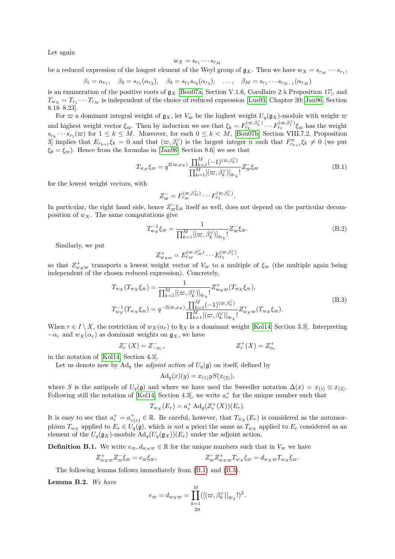Let again

$$
w_X = s_{r_1} \cdots s_{r_M}
$$

be a reduced expression of the longest element of the Weyl group of  $g_X$ . Then we have  $w_X = s_{r_M} \cdots s_{r_1}$ ,

 $\beta_1 = \alpha_{r_1}, \quad \beta_2 = s_{r_1}(\alpha_{r_2}), \quad \beta_3 = s_{r_1}s_{r_2}(\alpha_{r_3}), \quad \dots, \quad \beta_M = s_{r_1}\cdots s_{r_{M-1}}(\alpha_{r_M})$ 

is an enumeration of the positive roots of  $g_X$  [\[Bou07a,](#page-35-8) Section V.1.6, Corollaire 2 à Proposition 17], and  $T_{w_X} = T_{r_1} \cdots T_{r_M}$  is independent of the choice of reduced expression [\[Lus93,](#page-37-8) Chapter 39; [Jan96,](#page-36-24) Section 8.18–8.23].

For  $\varpi$  a dominant integral weight of  $\mathfrak{g}_X$ , let  $V_{\varpi}$  be the highest weight  $U_q(\mathfrak{g}_X)$ -module with weight  $\varpi$ and highest weight vector  $\xi_{\infty}$ . Then by induction we see that  $\xi_{k} = F_{r_k}^{(\varpi,\beta_k^{\vee})} \cdots F_{r_1}^{(\varpi,\beta_1^{\vee})} \xi_{\varpi}$  has the weight  $s_{r_k} \cdots s_{r_1}(\varpi)$  for  $1 \leq k \leq M$ . Moreover, for each  $0 \leq k < M$ , [\[Bou07b,](#page-35-9) Section VIII.7.2, Proposition 3] implies that  $E_{r_{k+1}}\xi_k=0$  and that  $(\varpi,\beta_k^{\vee})$  is the largest integer n such that  $F_{r_{k+1}}^n\xi_k\neq 0$  (we put  $\xi_0 = \xi_{\infty}$ . Hence from the formulas in [\[Jan96,](#page-36-24) Section 8.6] we see that

<span id="page-27-0"></span>
$$
T_{w_X}\xi_{\varpi} = q^{2(\varpi,\rho_X)} \frac{\prod_{k=1}^M (-1)^{(\varpi,\beta_k^\vee)}}{\prod_{k=1}^M [(\varpi,\beta_k^\vee)]_{q_{r_k}}} Z_{\varpi}^- \xi_{\varpi}
$$
(B.1)

for the lowest weight vectors, with

$$
Z_{\overline{\omega}}^{-}=F_{r_M}^{(\varpi,\beta_M^{\vee})}\cdots F_{r_1}^{(\varpi,\beta_1^{\vee})}.
$$

In particular, the right hand side, hence  $Z_{\varpi}^{-} \xi_{\varpi}$  itself as well, does not depend on the particular decomposition of  $w_X$ . The same computations give

<span id="page-27-2"></span>
$$
T_{w_X}^{-1}\xi_{\varpi} = \frac{1}{\prod_{k=1}^M [(\varpi, \beta_k^{\vee})]_{q_{r_k}}} Z_{\varpi}^{-}\xi_{\varpi}.
$$
\n(B.2)

Similarly, we put

$$
Z_{w_X\omega}^+ = E_{r_M}^{(\varpi,\beta_M^\vee)} \cdots E_{r_1}^{(\varpi,\beta_1^\vee)},
$$

so that  $Z_{w_X\varpi}^+$  transports a lowest weight vector of  $V_{\varpi}$  to a multiple of  $\xi_{\varpi}$  (the multiple again being independent of the chosen reduced expression). Concretely,

$$
T_{w_X}(T_{w_X}\xi_{\varpi}) = \frac{1}{\prod_{k=1}^M [(\varpi, \beta_k^{\vee})]_{q_{r_k}}} Z_{w_X \varpi}^+(T_{w_X}\xi_{\varpi}),
$$
  
\n
$$
T_{w_X}^{-1}(T_{w_X}\xi_{\varpi}) = q^{-2(\varpi,\rho_X)} \frac{\prod_{k=1}^M (-1)^{(\varpi, \beta_k^{\vee})}}{\prod_{k=1}^M [(\varpi, \beta_k^{\vee})]_{q_{r_k}}} Z_{w_X \varpi}^+(T_{w_X}\xi_{\varpi}).
$$
\n(B.3)

<span id="page-27-1"></span>When  $r \in I \setminus X$ , the restriction of  $w_X(\alpha_r)$  to  $\mathfrak{h}_X$  is a dominant weight [\[Kol14,](#page-36-18) Section 3.3]. Interpreting  $-\alpha_r$  and  $w_X(\alpha_r)$  as dominant weights on  $\mathfrak{g}_X$ , we have

$$
Z_r^-(X) = Z_{-\alpha_r}^-,\t\t Z_r^+(X) = Z_{\alpha_r}^+
$$

in the notation of [\[Kol14,](#page-36-18) Section 4.3].

Let us denote now by Ad<sub>q</sub> the *adjoint action* of  $U_q(\mathfrak{g})$  on itself, defined by

$$
Ad_q(x)(y) = x_{(1)} y S(x_{(2)}),
$$

where S is the antipode of  $U_q(\mathfrak{g})$  and where we have used the Sweedler notation  $\Delta(x) = x_{(1)} \otimes x_{(2)}$ . Following still the notation of [\[Kol14,](#page-36-18) Section 4.3], we write  $a_r^+$  for the unique number such that

$$
T_{w_X}(E_r) = a_r^+ \operatorname{Ad}_q(Z_r^+(X))(E_r).
$$

It is easy to see that  $a_r^+ = a_{\tau(r)}^+ \in \mathbb{R}$ . Be careful, however, that  $T_{w_X}(E_r)$  is considered as the automorphism  $T_{wX}$  applied to  $E_r \in U_q(\mathfrak{g})$ , which is not a priori the same as  $T_{wX}$  applied to  $E_r$  considered as an element of the  $U_q(\mathfrak{g}_X)$ -module  $\text{Ad}_q(U_q(\mathfrak{g}_X))(E_r)$  under the adjoint action.

**Definition B.1.** We write  $e_{\varpi}, d_{w \times \varpi} \in \mathbb{R}$  for the unique numbers such that in  $V_{\varpi}$  we have

$$
Z_{w_X\varpi}^+ Z_{\varpi}^- \xi_{\varpi} = e_{\varpi} \xi_{\varpi}, \qquad \qquad Z_{\varpi}^- Z_{w_X\varpi}^+ T_{w_X} \xi_{\varpi} = d_{w_X\varpi} T_{w_X} \xi_{\varpi}.
$$

The following lemma follows immediately from [\(B.1\)](#page-27-0) and [\(B.3\)](#page-27-1).

Lemma B.2. We have

$$
e_{\varpi} = d_{w_X \varpi} = \prod_{\substack{k=1\\28}}^{M} ([(\varpi, \beta_k^{\vee})]_{q_{r_k}}!)^2.
$$

M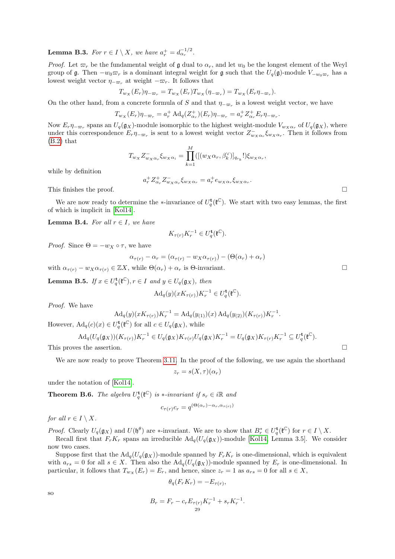<span id="page-28-1"></span>**Lemma B.3.** For  $r \in I \setminus X$ , we have  $a_r^+ = d_{\alpha_r}^{-1/2}$ .

*Proof.* Let  $\varpi_r$  be the fundamental weight of g dual to  $\alpha_r$ , and let  $w_0$  be the longest element of the Weyl group of g. Then  $-w_0 \varpi_r$  is a dominant integral weight for g such that the  $U_q(\mathfrak{g})$ -module  $V_{-w_0 \varpi_r}$  has a lowest weight vector  $\eta_{-\varpi_r}$  at weight  $-\varpi_r$ . It follows that

$$
T_{w_X}(E_r)\eta_{-\varpi_r} = T_{w_X}(E_r)T_{w_X}(\eta_{-\varpi_r}) = T_{w_X}(E_r\eta_{-\varpi_r}).
$$

On the other hand, from a concrete formula of S and that  $\eta_{-\varpi_r}$  is a lowest weight vector, we have

$$
T_{w_X}(E_r)\eta_{-\varpi_r} = a_r^+ \operatorname{Ad}_q(Z^+_{\alpha_r})(E_r)\eta_{-\varpi_r} = a_r^+ Z^+_{\alpha_r} E_r \eta_{-\varpi_r}
$$

Now  $E_r \eta_{-\varpi_r}$  spans an  $U_q(\mathfrak{g}_X)$ -module isomorphic to the highest weight-module  $V_{w_X \alpha_r}$  of  $U_q(\mathfrak{g}_X)$ , where under this correspondence  $E_r \eta_{-\varpi_r}$  is sent to a lowest weight vector  $Z_{w_X \alpha_r}^- \xi_{w_X \alpha_r}$ . Then it follows from [\(B.2\)](#page-27-2) that

$$
T_{w_X} Z_{w_X \alpha_r}^- \xi_{w_X \alpha_i} = \prod_{k=1}^M ([(w_X \alpha_r, \beta_k^{\vee})]_{q_{r_k}}!) \xi_{w_X \alpha_r},
$$

while by definition

$$
a_r^+ Z^+_{\alpha_r} Z^-_{w_X \alpha_r} \xi_{w_X \alpha_r} = a_r^+ e_{w_X \alpha_r} \xi_{w_X \alpha_r}.
$$
 This finishes the proof.

.

We are now ready to determine the \*-invariance of  $U_q^{\mathbf{t}}(\mathfrak{k}^{\mathbb{C}})$ . We start with two easy lemmas, the first of which is implicit in [\[Kol14\]](#page-36-18).

**Lemma B.4.** For all  $r \in I$ , we have

$$
K_{\tau(r)}K_r^{-1} \in U_q^{\mathbf{t}}(\mathfrak{k}^{\mathbb{C}}).
$$

*Proof.* Since  $\Theta = -w_X \circ \tau$ , we have

$$
\alpha_{\tau(r)} - \alpha_r = (\alpha_{\tau(r)} - w_X \alpha_{\tau(r)}) - (\Theta(\alpha_r) + \alpha_r)
$$

with  $\alpha_{\tau(r)} - w_X \alpha_{\tau(r)} \in \mathbb{Z}X$ , while  $\Theta(\alpha_r) + \alpha_r$  is  $\Theta$ -invariant.

<span id="page-28-0"></span>**Lemma B.5.** If  $x \in U_q^{\mathbf{t}}(\mathfrak{k}^{\mathbb{C}}), r \in I$  and  $y \in U_q(\mathfrak{g}_X)$ , then

$$
\mathrm{Ad}_q(y)(xK_{\tau(r)})K_r^{-1} \in U_q^{\mathbf{t}}(\mathfrak{k}^{\mathbb{C}}).
$$

Proof. We have

$$
Ad_q(y)(xK_{\tau(r)})K_r^{-1} = Ad_q(y_{(1)})(x) Ad_q(y_{(2)})(K_{\tau(r)})K_r^{-1}.
$$

However,  $\operatorname{Ad}_q(c)(x) \in U_q^{\mathbf{t}}(\mathfrak{k}^{\mathbb{C}})$  for all  $c \in U_q(\mathfrak{g}_X)$ , while

$$
\mathrm{Ad}_q(U_q(\mathfrak{g}_X))(K_{\tau(r)})K_r^{-1}\in U_q(\mathfrak{g}_X)K_{\tau(r)}U_q(\mathfrak{g}_X)K_r^{-1}=U_q(\mathfrak{g}_X)K_{\tau(r)}K_r^{-1}\subseteq U_q^{\mathbf{t}}(\mathfrak{k}^{\mathbb{C}}).
$$

This proves the assertion.

We are now ready to prove Theorem [3.11.](#page-15-3) In the proof of the following, we use again the shorthand

$$
z_r = s(X, \tau)(\alpha_r)
$$

under the notation of [\[Kol14\]](#page-36-18).

<span id="page-28-2"></span>**Theorem B.6.** The algebra  $U_q^{\mathbf{t}}(\mathfrak{k}^{\mathbb{C}})$  is  $*$ -invariant if  $s_r \in i\mathbb{R}$  and

$$
c_{\tau(r)}c_r = q^{(\Theta(\alpha_r) - \alpha_r, \alpha_{\tau(r)})}
$$

for all  $r \in I \setminus X$ .

*Proof.* Clearly  $U_q(\mathfrak{g}_X)$  and  $U(\mathfrak{h}^\theta)$  are \*-invariant. We are to show that  $B_r^* \in U_q^{\mathbf{t}}(\mathfrak{k}^{\mathbb{C}})$  for  $r \in I \setminus X$ .

Recall first that  $F_rK_r$  spans an irreducible  $\text{Ad}_q(U_q(\mathfrak{g}_X))$ -module [\[Kol14,](#page-36-18) Lemma 3.5]. We consider now two cases.

Suppose first that the  $\text{Ad}_q(U_q(\mathfrak{g}_X))$ -module spanned by  $F_rK_r$  is one-dimensional, which is equivalent with  $a_{rs} = 0$  for all  $s \in X$ . Then also the  $\text{Ad}_q(U_q(\mathfrak{g}_X))$ -module spanned by  $E_r$  is one-dimensional. In particular, it follows that  $T_{w_X}(E_r) = E_r$ , and hence, since  $z_r = 1$  as  $a_{rs} = 0$  for all  $s \in X$ ,

$$
\theta_q(F_r K_r) = -E_{\tau(r)},
$$

so

$$
B_r = F_r - c_r E_{\tau(r)} K_r^{-1} + s_r K_r^{-1}.
$$
  
29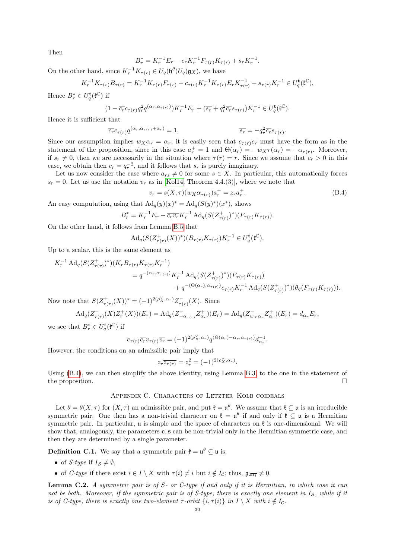Then

$$
B_r^* = K_r^{-1} E_r - \overline{c_r} K_r^{-1} F_{\tau(r)} K_{\tau(r)} + \overline{s_r} K_r^{-1}.
$$

On the other hand, since  $K_r^{-1} K_{\tau(r)} \in U_q(\mathfrak{h}^{\theta}) U_q(\mathfrak{g}_X)$ , we have

$$
K_r^{-1} K_{\tau(r)} B_{\tau(r)} = K_r^{-1} K_{\tau(r)} F_{\tau(r)} - c_{\tau(r)} K_r^{-1} K_{\tau(r)} E_r K_{\tau(r)}^{-1} + s_{\tau(r)} K_r^{-1} \in U_q^{\mathbf{t}}(\mathfrak{k}^{\mathbb{C}}).
$$

Hence  $B_r^* \in U_q^{\mathbf{t}}(\mathfrak{k}^{\mathbb{C}})$  if

$$
(1 - \overline{c_r}c_{\tau(r)}q_r^2 q^{(\alpha_r, \alpha_{\tau(r)})})K_r^{-1}E_r + (\overline{s_r} + q_r^2 \overline{c_r}s_{\tau(r)})K_r^{-1} \in U_q^{\mathbf{t}}(\mathfrak{k}^{\mathbb{C}}).
$$

Hence it is sufficient that

$$
\overline{c_r}c_{\tau(r)}q^{(\alpha_r,\alpha_{\tau(r)}+\alpha_r)} = 1, \qquad \overline{s_r} = -q_r^2\overline{c_r}s_{\tau(r)}.
$$

Since our assumption implies  $w_X \alpha_r = \alpha_r$ , it is easily seen that  $c_{\tau(r)}\overline{c_r}$  must have the form as in the statement of the proposition, since in this case  $a_r^+ = 1$  and  $\Theta(\alpha_r) = -w_X\tau(\alpha_r) = -\alpha_{\tau(r)}$ . Moreover, if  $s_r \neq 0$ , then we are necessarily in the situation where  $\tau(r) = r$ . Since we assume that  $c_r > 0$  in this case, we obtain then  $c_r = q_r^{-2}$ , and it follows that  $s_r$  is purely imaginary.

Let us now consider the case where  $a_{rs} \neq 0$  for some  $s \in X$ . In particular, this automatically forces  $s_r = 0$ . Let us use the notation  $v_r$  as in [\[Kol14,](#page-36-18) Theorem 4.4.(3)], where we note that

<span id="page-29-1"></span>
$$
v_r = s(X, \tau)(w_X \alpha_{\tau(r)}) a_r^+ = \overline{z_r} a_r^+.
$$
\n(B.4)

An easy computation, using that  $\operatorname{Ad}_q(y)(x)^* = \operatorname{Ad}_q(S(y)^*)(x^*)$ , shows

$$
B_r^* = K_r^{-1} E_r - \overline{c_r v_r} K_r^{-1} \operatorname{Ad}_q(S(Z_{\tau(r)}^+)^*) (F_{\tau(r)} K_{\tau(r)}).
$$

On the other hand, it follows from Lemma [B.5](#page-28-0) that

$$
\mathrm{Ad}_q(S(Z_{\tau(r)}^+(X))^*)(B_{\tau(r)}K_{\tau(r)})K_r^{-1}\in U_q^{\mathbf{t}}({\mathfrak k}^{\mathbb C}).
$$

Up to a scalar, this is the same element as

$$
K_r^{-1} \operatorname{Ad}_q(S(Z_{\tau(r)}^+)^*)(K_r B_{\tau(r)} K_{\tau(r)} K_r^{-1})
$$
  
=  $q^{-(\alpha_r, \alpha_{\tau(r)})} K_r^{-1} \operatorname{Ad}_q(S(Z_{\tau(r)}^+)^*)(F_{\tau(r)} K_{\tau(r)})$   
+  $q^{-(\Theta(\alpha_r), \alpha_{\tau(r)})} c_{\tau(r)} K_r^{-1} \operatorname{Ad}_q(S(Z_{\tau(r)}^+)^*)(\theta_q(F_{\tau(r)} K_{\tau(r)}))).$ 

Now note that  $S(Z_{\tau(r)}^+(X))^* = (-1)^{2(\rho_X^{\vee}, \alpha_r)} Z_{\tau(r)}^-(X)$ . Since

$$
\mathrm{Ad}_q(Z_{\tau(r)}^-(X)Z_r^+(X))(E_r) = \mathrm{Ad}_q(Z_{-\alpha_{\tau(r)}}^- Z_{\alpha_r}^+)(E_r) = \mathrm{Ad}_q(Z_{w_X\alpha_r}^- Z_{\alpha_r}^+)(E_r) = d_{\alpha_r}E_r,
$$

we see that  $B_r^* \in U_q^{\mathbf{t}}(\mathfrak{k}^{\mathbb{C}})$  if

$$
c_{\tau(r)}\overline{c_r}v_{\tau(r)}\overline{v_r}=(-1)^{2(\rho_X^\vee,\alpha_r)}q^{(\Theta(\alpha_r)-\alpha_r,\alpha_{\tau(r)})}d_{\alpha_r}^{-1}.
$$

However, the conditions on an admissible pair imply that

$$
z_r \overline{z_{\tau(r)}} = z_r^2 = (-1)^{2(\rho_X^{\vee}, \alpha_r)}.
$$

Using [\(B.4\)](#page-29-1), we can then simplify the above identity, using Lemma [B.3,](#page-28-1) to the one in the statement of the proposition.  $\Box$ 

## Appendix C. Characters of Letzter–Kolb coideals

<span id="page-29-0"></span>Let  $\theta = \theta(X, \tau)$  for  $(X, \tau)$  an admissible pair, and put  $\mathfrak{k} = \mathfrak{u}^{\theta}$ . We assume that  $\mathfrak{k} \subseteq \mathfrak{u}$  is an irreducible symmetric pair. One then has a non-trivial character on  $\mathfrak{k} = \mathfrak{u}^{\theta}$  if and only if  $\mathfrak{k} \subseteq \mathfrak{u}$  is a Hermitian symmetric pair. In particular,  $\mu$  is simple and the space of characters on  $\mathfrak k$  is one-dimensional. We will show that, analogously, the parameters  $c, s$  can be non-trivial only in the Hermitian symmetric case, and then they are determined by a single parameter.

**Definition C.1.** We say that a symmetric pair  $\mathfrak{k} = \mathfrak{u}^{\theta} \subseteq \mathfrak{u}$  is;

- of *S*-type if  $I_s \neq \emptyset$ ,
- of C-type if there exist  $i \in I \setminus X$  with  $\tau(i) \neq i$  but  $i \notin I_c$ ; thus,  $\mathfrak{g}_{2\overline{\alpha_i}} \neq 0$ .

**Lemma C.2.** A symmetric pair is of  $S$ - or C-type if and only if it is Hermitian, in which case it can not be both. Moreover, if the symmetric pair is of S-type, there is exactly one element in  $I<sub>S</sub>$ , while if it is of C-type, there is exactly one two-element  $\tau$ -orbit  $\{i, \tau(i)\}$  in  $I \setminus X$  with  $i \notin I_c$ .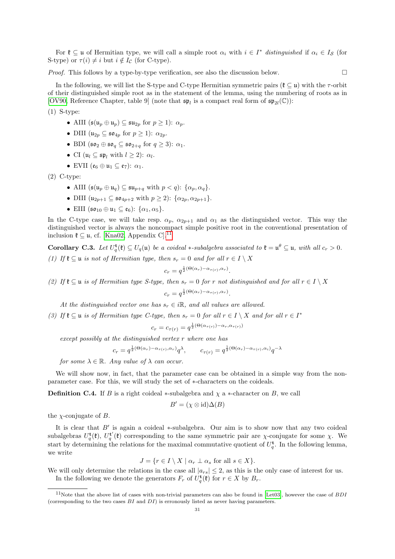For  $\mathfrak{k} \subseteq \mathfrak{u}$  of Hermitian type, we will call a simple root  $\alpha_i$  with  $i \in I^*$  distinguished if  $\alpha_i \in I_{\mathcal{S}}$  (for S-type) or  $\tau(i) \neq i$  but  $i \notin I_{\mathcal{C}}$  (for C-type).

*Proof.* This follows by a type-by-type verification, see also the discussion below.  $\square$ 

In the following, we will list the S-type and C-type Hermitian symmetric pairs ( $\mathfrak{k} \subseteq \mathfrak{u}$ ) with the  $\tau$ -orbit of their distinguished simple root as in the statement of the lemma, using the numbering of roots as in [\[OV90,](#page-37-9) Reference Chapter, table 9] (note that  $\mathfrak{sp}_l$  is a compact real form of  $\mathfrak{sp}_{2l}(\mathbb{C})$ ):

(1) S-type:

- AIII  $(\mathfrak{s}(\mathfrak{u}_n \oplus \mathfrak{u}_n) \subseteq \mathfrak{s}\mathfrak{u}_{2n}$  for  $p \geq 1$ ):  $\alpha_n$ .
- DIII  $(\mathfrak{u}_{2p} \subseteq \mathfrak{so}_{4p}$  for  $p \geq 1$ ):  $\alpha_{2p}$ .
- BDI  $(\mathfrak{so}_2 \oplus \mathfrak{so}_q \subseteq \mathfrak{so}_{2+q}$  for  $q \geq 3)$ :  $\alpha_1$ .
- CI  $(\mathfrak{u}_l \subseteq \mathfrak{sp}_l \text{ with } l \geq 2)$ :  $\alpha_l$ .
- EVII  $(\mathfrak{e}_6 \oplus \mathfrak{u}_1 \subseteq \mathfrak{e}_7)$ :  $\alpha_1$ .

(2) C-type:

- AIII  $(\mathfrak{s}(\mathfrak{u}_n \oplus \mathfrak{u}_q) \subseteq \mathfrak{s} \mathfrak{u}_{n+q}$  with  $p < q$ :  $\{\alpha_n, \alpha_q\}$ .
- DIII  $(u_{2n+1} \subseteq \mathfrak{so}_{4n+2}$  with  $p \ge 2$ ):  $\{\alpha_{2p}, \alpha_{2p+1}\}.$
- EIII  $(\mathfrak{so}_{10} \oplus \mathfrak{u}_1 \subseteq \mathfrak{e}_6)$ :  $\{\alpha_1, \alpha_5\}.$

In the C-type case, we will take resp.  $\alpha_p$ ,  $\alpha_{2p+1}$  and  $\alpha_1$  as the distinguished vector. This way the distinguished vector is always the noncompact simple positive root in the conventional presentation of inclusion  $\mathfrak{k} \subseteq \mathfrak{u}$ , cf. [\[Kna02,](#page-36-19) Appendix C].<sup>[11](#page-30-0)</sup>

**Corollary C.3.** Let  $U_q^{\mathbf{t}}(\mathfrak{k}) \subseteq U_q(\mathfrak{u})$  be a coideal  $*$ -subalgebra associated to  $\mathfrak{k} = \mathfrak{u}^{\theta} \subseteq \mathfrak{u}$ , with all  $c_r > 0$ .

(1) If  $\mathfrak{k} \subseteq \mathfrak{u}$  is not of Hermitian type, then  $s_r = 0$  and for all  $r \in I \setminus X$ 

$$
c_r = q^{\frac{1}{2}(\Theta(\alpha_r) - \alpha_{\tau(r)}, \alpha_r)}.
$$

(2) If  $\mathfrak{k} \subseteq \mathfrak{u}$  is of Hermitian type S-type, then  $s_r = 0$  for r not distinguished and for all  $r \in I \setminus X$ 

$$
c_r = q^{\frac{1}{2}(\Theta(\alpha_r) - \alpha_{\tau(r)}, \alpha_r)}.
$$

At the distinguished vector one has  $s_r \in i\mathbb{R}$ , and all values are allowed.

(3) If  $\mathfrak{k} \subseteq \mathfrak{u}$  is of Hermitian type C-type, then  $s_r = 0$  for all  $r \in I \setminus X$  and for all  $r \in I^*$ 

$$
c_r = c_{\tau(r)} = q^{\frac{1}{2}(\Theta(\alpha_{\tau(r)}) - \alpha_r, \alpha_{\tau(r)})}
$$

except possibly at the distinguished vertex r where one has

$$
c_r = q^{\frac{1}{2}(\Theta(\alpha_r) - \alpha_{\tau(r)}, \alpha_r)} q^{\lambda}, \qquad c_{\tau(r)} = q^{\frac{1}{2}(\Theta(\alpha_r) - \alpha_{\tau(r)}, \alpha_i)} q^{-\lambda}
$$

for some  $\lambda \in \mathbb{R}$ . Any value of  $\lambda$  can occur.

We will show now, in fact, that the parameter case can be obtained in a simple way from the nonparameter case. For this, we will study the set of ∗-characters on the coideals.

**Definition C.4.** If B is a right coideal  $*$ -subalgebra and  $\chi$  a  $*$ -character on B, we call

$$
B' = (\chi \otimes \mathrm{id}) \Delta(B)
$$

the  $\chi$ -conjugate of B.

It is clear that  $B'$  is again a coideal  $*$ -subalgebra. Our aim is to show now that any two coideal subalgebras  $U_q^{\mathbf{t}}(\mathfrak{k})$ ,  $U_q^{\mathbf{t'}}(\mathfrak{k})$  corresponding to the same symmetric pair are  $\chi$ -conjugate for some  $\chi$ . We start by determining the relations for the maximal commutative quotient of  $U_q^{\mathbf{t}}$ . In the following lemma, we write

 $J = \{r \in I \setminus X \mid \alpha_r \perp \alpha_s \text{ for all } s \in X\}.$ 

We will only determine the relations in the case all  $|a_{rs}| \leq 2$ , as this is the only case of interest for us. In the following we denote the generators  $F_r$  of  $U_q^{\mathbf{t}}(\mathfrak{k})$  for  $r \in X$  by  $B_r$ .

<span id="page-30-0"></span> $11$ Note that the above list of cases with non-trivial parameters can also be found in [\[Let03\]](#page-37-10), however the case of  $BDI$ (corresponding to the two cases BI and DI) is erronously listed as never having parameters.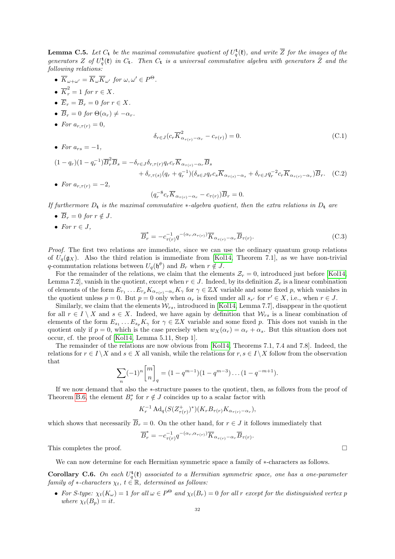**Lemma C.5.** Let  $C_t$  be the maximal commutative quotient of  $U_q^{\mathbf{t}}(\mathfrak{k})$ , and write  $\overline{Z}$  for the images of the generators Z of  $U_q^{\mathbf{t}}(\mathfrak{k})$  in  $C_{\mathbf{t}}$ . Then  $C_{\mathbf{t}}$  is a universal commutative algebra with generators  $\bar{Z}$  and the following relations:

- $\overline{K}_{\omega+\omega'} = \overline{K}_{\omega} \overline{K}_{\omega'}$  for  $\omega, \omega' \in P^{\Theta}$ .
- $\overline{K}_r^2 = 1$  for  $r \in X$ .
- $\overline{E}_r = \overline{B}_r = 0$  for  $r \in X$ .
- $\overline{B}_r = 0$  for  $\Theta(\alpha_r) \neq -\alpha_r$ .
- For  $a_{r,\tau(r)} = 0$ ,

<span id="page-31-0"></span>
$$
\delta_{r \in J} (c_r \overline{K}_{\alpha_{\tau(r)} - \alpha_r}^2 - c_{\tau(r)}) = 0.
$$
\n(C.1)

• For  $a_{rs} = -1$ ,

$$
(1 - q_r)(1 - q_r^{-1})\overline{B}_r^2 \overline{B}_s = -\delta_{r \in J} \delta_{r, \tau(r)} q_r c_r \overline{K}_{\alpha_{\tau(r)} - \alpha_r} \overline{B}_s
$$
  
+  $\delta_{r, \tau(s)} (q_r + q_r^{-1})(\delta_{s \in J} q_r c_s \overline{K}_{\alpha_{\tau(s)} - \alpha_s} + \delta_{r \in J} q_r^{-2} c_r \overline{K}_{\alpha_{\tau(r)} - \alpha_r}) \overline{B}_r.$  (C.2)

• For  $a_{r,\tau(r)} = -2$ ,

<span id="page-31-2"></span>
$$
(q_r^{-8}c_r\overline{K}_{\alpha_{\tau(r)}-\alpha_r} - c_{\tau(r)})\overline{B}_r = 0.
$$

If furthermore  $D_t$  is the maximal commutative \*-algebra quotient, then the extra relations in  $D_t$  are

- $\overline{B}_r = 0$  for  $r \notin J$ .
- For  $r \in J$ ,

<span id="page-31-1"></span>
$$
\overline{B}_r^* = -c_{\tau(r)}^{-1} q^{-(\alpha_r, \alpha_{\tau(r)})} \overline{K}_{\alpha_{\tau(r)} - \alpha_r} \overline{B}_{\tau(r)}.
$$
\n(C.3)

Proof. The first two relations are immediate, since we can use the ordinary quantum group relations of  $U_q(\mathfrak{g}_X)$ . Also the third relation is immediate from [\[Kol14,](#page-36-18) Theorem 7.1], as we have non-trivial q-commutation relations between  $U_q(\mathfrak{h}^{\theta})$  and  $B_r$  when  $r \notin J$ .

For the remainder of the relations, we claim that the elements  $\mathcal{Z}_r = 0$ , introduced just before [\[Kol14,](#page-36-18) Lemma 7.2, vanish in the quotient, except when  $r \in J$ . Indeed, by its definition  $\mathcal{Z}_r$  is a linear combination of elements of the form  $E_{r_1} \dots E_{r_p} K_{\alpha_{\tau(r)}-\alpha_r} K_\gamma$  for  $\gamma \in \mathbb{Z} X$  variable and some fixed p, which vanishes in the quotient unless  $p = 0$ . But  $p = 0$  only when  $\alpha_r$  is fixed under all  $s_{r'}$  for  $r' \in X$ , i.e., when  $r \in J$ .

Similarly, we claim that the elements  $W_{rs}$ , introduced in [\[Kol14,](#page-36-18) Lemma 7.7], disappear in the quotient for all  $r \in I \setminus X$  and  $s \in X$ . Indeed, we have again by definition that  $W_{rs}$  is a linear combination of elements of the form  $E_{s_1} \ldots E_{s_p} K_\gamma$  for  $\gamma \in \mathbb{Z} X$  variable and some fixed p. This does not vanish in the quotient only if  $p = 0$ , which is the case precisely when  $w_X(\alpha_r) = \alpha_r + \alpha_s$ . But this situation does not occur, cf. the proof of [\[Kol14,](#page-36-18) Lemma 5.11, Step 1].

The remainder of the relations are now obvious from [\[Kol14,](#page-36-18) Theorems 7.1, 7.4 and 7.8]. Indeed, the relations for  $r \in I \setminus X$  and  $s \in X$  all vanish, while the relations for  $r, s \in I \setminus X$  follow from the observation that

$$
\sum_{n} (-1)^n \begin{bmatrix} m \\ n \end{bmatrix}_q = (1 - q^{m-1})(1 - q^{m-3}) \dots (1 - q^{-m+1}).
$$

If we now demand that also the ∗-structure passes to the quotient, then, as follows from the proof of Theorem [B.6,](#page-28-2) the element  $B_r^*$  for  $r \notin J$  coincides up to a scalar factor with

$$
K_r^{-1} \operatorname{Ad}_q(S(Z_{\tau(r)}^+)^*) (K_r B_{\tau(r)} K_{\alpha_{\tau(r)}-\alpha_r}),
$$

which shows that necessarily  $\overline{B}_r = 0$ . On the other hand, for  $r \in J$  it follows immediately that

$$
\overline{B}_r^* = -c_{\tau(r)}^{-1} q^{-(\alpha_r, \alpha_{\tau(r)})} \overline{K}_{\alpha_{\tau(r)}-\alpha_r} \overline{B}_{\tau(r)}.
$$

This completes the proof.  $\Box$ 

We can now determine for each Hermitian symmetric space a family of ∗-characters as follows.

**Corollary C.6.** On each  $U_q^{\mathbf{t}}(\mathfrak{k})$  associated to a Hermitian symmetric space, one has a one-parameter family of ∗-characters  $\chi_t$ ,  $t \in \mathbb{R}$ , determined as follows:

• For S-type:  $\chi_t(K_\omega) = 1$  for all  $\omega \in P^\Theta$  and  $\chi_t(B_r) = 0$  for all r except for the distinguished vertex p where  $\chi_t(B_p) = it$ .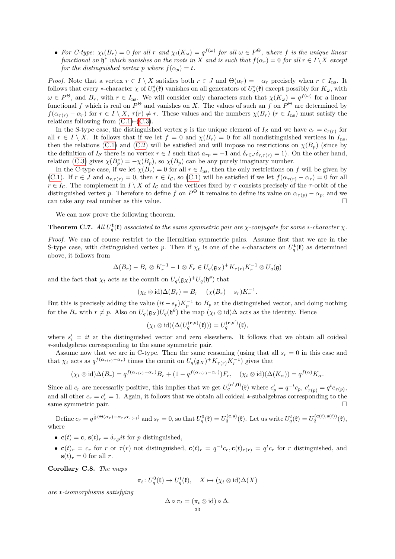• For C-type:  $\chi_t(B_r) = 0$  for all r and  $\chi_t(K_\omega) = q^{f(\omega)}$  for all  $\omega \in P^\Theta$ , where f is the unique linear functional on  $\mathfrak{h}^*$  which vanishes on the roots in X and is such that  $f(\alpha_r) = 0$  for all  $r \in I \setminus X$  except for the distinguished vertex p where  $f(\alpha_p) = t$ .

*Proof.* Note that a vertex  $r \in I \setminus X$  satisfies both  $r \in J$  and  $\Theta(\alpha_r) = -\alpha_r$  precisely when  $r \in I_{\text{ns}}$ . It follows that every \*-character  $\chi$  of  $U_q^{\mathbf{t}}(\mathfrak{k})$  vanishes on all generators of  $U_q^{\mathbf{t}}(\mathfrak{k})$  except possibly for  $K_\omega$ , with  $\omega \in P^{\Theta}$ , and  $B_r$ , with  $r \in I_{\text{ns}}$ . We will consider only characters such that  $\chi(K_{\omega}) = q^{f(\omega)}$  for a linear functional f which is real on  $P^{\Theta}$  and vanishes on X. The values of such an f on  $P^{\Theta}$  are determined by  $f(\alpha_{\tau(r)} - \alpha_r)$  for  $r \in I \setminus X$ ,  $\tau(r) \neq r$ . These values and the numbers  $\chi(B_r)$  ( $r \in I_{ns}$ ) must satisfy the relations following from  $(C.1)$ – $(C.3)$ .

In the S-type case, the distinguished vertex p is the unique element of  $I_{\mathcal{S}}$  and we have  $c_r = c_{\tau(r)}$  for all  $r \in I \setminus X$ . It follows that if we let  $f = 0$  and  $\chi(B_r) = 0$  for all nondistinguished vertices in  $I_{\text{ns}}$ , then the relations [\(C.1\)](#page-31-0) and [\(C.2\)](#page-31-2) will be satisfied and will impose no restrictions on  $\chi(B_p)$  (since by the definition of  $I_{\mathcal{S}}$  there is no vertex  $r \in I$  such that  $a_{rp} = -1$  and  $\delta_{r \in J} \delta_{r,\tau(r)} = 1$ . On the other hand, relation [\(C.3\)](#page-31-1) gives  $\chi(B_p^*) = -\chi(B_p)$ , so  $\chi(B_p)$  can be any purely imaginary number.

In the C-type case, if we let  $\chi(B_r) = 0$  for all  $r \in I_{\text{ns}}$ , then the only restrictions on f will be given by [\(C.1\)](#page-31-0). If  $r \in J$  and  $a_{r,\tau(r)} = 0$ , then  $r \in I_c$ , so (C.1) will be satisfied if we let  $f(a_{\tau(r)} - a_r) = 0$  for all  $r \in I_c$ . The complement in  $I \setminus X$  of  $I_c$  and the vertices fixed by  $\tau$  consists precisely of the  $\tau$ -orbit of the distinguished vertex p. Therefore to define f on  $P^{\Theta}$  it remains to define its value on  $\alpha_{\tau(p)} - \alpha_p$ , and we can take any real number as this value.

We can now prove the following theorem.

**Theorem C.7.** All  $U_q^{\mathbf{t}}(\mathfrak{k})$  associated to the same symmetric pair are  $\chi$ -conjugate for some  $*$ -character  $\chi$ .

Proof. We can of course restrict to the Hermitian symmetric pairs. Assume first that we are in the S-type case, with distinguished vertex p. Then if  $\chi_t$  is one of the \*-characters on  $U_q^{\mathbf{t}}(\mathbf{\hat{t}})$  as determined above, it follows from

$$
\Delta(B_r) - B_r \otimes K_r^{-1} - 1 \otimes F_r \in U_q(\mathfrak{g}_X)^+ K_{\tau(r)} K_r^{-1} \otimes U_q(\mathfrak{g})
$$

and the fact that  $\chi_t$  acts as the counit on  $U_q(\mathfrak{g}_X)^+U_q(\mathfrak{h}^\theta)$  that

$$
(\chi_t \otimes id)\Delta(B_r) = B_r + (\chi(B_r) - s_r)K_r^{-1}.
$$

But this is precisely adding the value  $(it - s_p)K_p^{-1}$  to  $B_p$  at the distinguished vector, and doing nothing for the  $B_r$  with  $r \neq p$ . Also on  $U_q(\mathfrak{g}_X)U_q(\mathfrak{h}^\theta)$  the map  $(\chi_t \otimes id)\Delta$  acts as the identity. Hence

$$
(\chi_t \otimes id)(\Delta(U_q^{(\mathbf{c},\mathbf{s})}(\mathfrak{k}))) = U_q^{(\mathbf{c},\mathbf{s}')}(\mathfrak{k}),
$$

where  $s_i' = it$  at the distinguished vector and zero elsewhere. It follows that we obtain all coideal ∗-subalgebras corresponding to the same symmetric pair.

Assume now that we are in C-type. Then the same reasoning (using that all  $s_r = 0$  in this case and that  $\chi_t$  acts as  $q^{f(\alpha_{\tau(r)}-\alpha_r)}$  times the counit on  $U_q(\mathfrak{g}_X)^+K_{\tau(r)}K_r^{-1}$  gives that

$$
(\chi_t \otimes id)\Delta(B_r) = q^{f(\alpha_{\tau(r)} - \alpha_r)}B_r + (1 - q^{f(\alpha_{\tau(r)} - \alpha_r)})F_r, \quad (\chi_t \otimes id)(\Delta(K_\alpha)) = q^{f(\alpha)}K_\alpha.
$$

Since all  $c_r$  are necessarily positive, this implies that we get  $U_q^{(c',0)}(\mathfrak{k})$  where  $c'_p = q^{-t}c_p$ ,  $c'_{\tau(p)} = q^t c_{\tau(p)}$ , and all other  $c_r = c'_r = 1$ . Again, it follows that we obtain all coideal \*-subalgebras corresponding to the same symmetric pair.

Define  $c_r = q^{\frac{1}{2}(\Theta(\alpha_r) - \alpha_r, \alpha_{\tau(r)})}$  and  $s_r = 0$ , so that  $U_q^0(\mathfrak{k}) = U_q^{(\mathbf{c}, \mathbf{s})}(\mathfrak{k})$ . Let us write  $U_q^t(\mathfrak{k}) = U_q^{(\mathbf{c}, t), (\mathfrak{s}, (t))}(\mathfrak{k})$ , where

- $\mathbf{c}(t) = \mathbf{c}, \, \mathbf{s}(t)_r = \delta_{r,p} \, it$  for p distinguished,
- $\mathbf{c}(t)_r = c_r$  for r or  $\tau(r)$  not distinguished,  $\mathbf{c}(t)_r = q^{-t}c_r$ ,  $\mathbf{c}(t)_{\tau(r)} = q^t c_r$  for r distinguished, and  $\mathbf{s}(t)_r = 0$  for all r.

Corollary C.8. The maps

$$
\pi_t \colon U_q^0(\mathfrak{k}) \to U_q^t(\mathfrak{k}), \quad X \mapsto (\chi_t \otimes \mathrm{id}) \Delta(X)
$$

are ∗-isomorphisms satisfying

$$
\Delta \circ \pi_t = (\pi_t \otimes id) \circ \Delta.
$$
  
33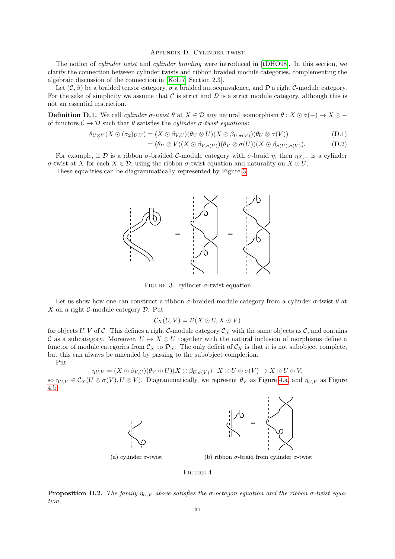### Appendix D. Cylinder twist

The notion of *cylinder twist* and *cylinder braiding* were introduced in [\[tDHO98\]](#page-36-27). In this section, we clarify the connection between cylinder twists and ribbon braided module categories, complementing the algebraic discussion of the connection in [\[Kol17,](#page-36-9) Section 2.3].

Let  $(C, \beta)$  be a braided tensor category,  $\sigma$  a braided autoequivalence, and D a right C-module category. For the sake of simplicity we assume that  $\mathcal C$  is strict and  $\mathcal D$  is a strict module category, although this is not an essential restriction.

**Definition D.1.** We call *cylinder*  $\sigma$ -twist  $\theta$  at  $X \in \mathcal{D}$  any natural isomorphism  $\theta : X \odot \sigma(-) \rightarrow X \odot$ of functors  $C \to \mathcal{D}$  such that  $\theta$  satisfies the *cylinder*  $\sigma$ -twist equations:

$$
\theta_{U\otimes V}(X\odot(\sigma_2)_{U,V})=(X\odot\beta_{V,U})(\theta_V\otimes U)(X\odot\beta_{U,\sigma(V)})(\theta_U\otimes\sigma(V))
$$
\n(D.1)

$$
= (\theta_U \otimes V)(X \odot \beta_{V,\sigma(U)}) (\theta_V \otimes \sigma(U))(X \odot \beta_{\sigma(U),\sigma(V)}).
$$
 (D.2)

For example, if D is a ribbon  $\sigma$ -braided C-module category with  $\sigma$ -braid  $\eta$ , then  $\eta_{X,-}$  is a cylinder σ-twist at X for each  $X \in \mathcal{D}$ , using the ribbon σ-twist equation and naturality on  $X \odot U$ .

<span id="page-33-0"></span>These equalities can be diagrammatically represented by Figure [3.](#page-33-0)



FIGURE 3. cylinder  $\sigma$ -twist equation

Let us show how one can construct a ribbon  $\sigma$ -braided module category from a cylinder  $\sigma$ -twist  $\theta$  at X on a right  $\mathcal{C}$ -module category  $\mathcal{D}$ . Put

$$
\mathcal{C}_X(U,V)=\mathcal{D}(X\odot U,X\odot V)
$$

for objects U, V of C. This defines a right C-module category  $\mathcal{C}_X$  with the same objects as C, and contains C as a subcategory. Moreover,  $U \mapsto X \odot U$  together with the natural inclusion of morphisms define a functor of module categories from  $\mathcal{C}_X$  to  $\mathcal{D}_X$ . The only deficit of  $\mathcal{C}_X$  is that it is not subobject complete, but this can always be amended by passing to the subobject completion.

Put

$$
\eta_{U,V}=(X\odot\beta_{V,U})(\theta_V\odot U)(X\odot\beta_{U,\sigma(V)}):X\odot U\otimes \sigma(V)\rightarrow X\odot U\otimes V,
$$

<span id="page-33-1"></span>so  $\eta_{U,V} \in \mathcal{C}_X(U \otimes \sigma(V), U \otimes V)$ . Diagrammatically, we represent  $\theta_V$  as Figure [4.a,](#page-33-1) and  $\eta_{U,V}$  as Figure [4.b.](#page-33-1)





(a) cylinder  $\sigma$ -twist

(b) ribbon  $\sigma$ -braid from cylinder  $\sigma$ -twist

Figure 4

**Proposition D.2.** The family  $\eta_{UV}$  above satisfies the σ-octagon equation and the ribbon σ-twist equation.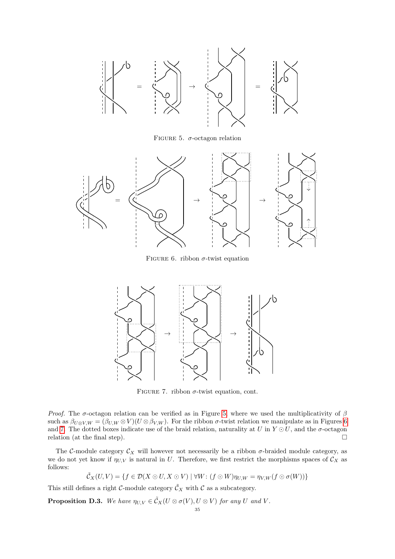<span id="page-34-0"></span>

FIGURE 5.  $\sigma$ -octagon relation

<span id="page-34-1"></span>

FIGURE 6. ribbon  $\sigma$ -twist equation

<span id="page-34-2"></span>

FIGURE 7. ribbon  $\sigma$ -twist equation, cont.

Proof. The  $\sigma$ -octagon relation can be verified as in Figure [5,](#page-34-0) where we used the multiplicativity of  $\beta$ such as  $\beta_{U\otimes V,W} = (\beta_{U,W} \otimes V)(U \otimes \beta_{V,W})$ . For the ribbon  $\sigma$ -twist relation we manipulate as in Figures [6](#page-34-1) and [7.](#page-34-2) The dotted boxes indicate use of the braid relation, naturality at U in  $Y \odot U$ , and the  $\sigma$ -octagon relation (at the final step).  $\Box$ 

The C-module category  $\mathcal{C}_X$  will however not necessarily be a ribbon  $\sigma$ -braided module category, as we do not yet know if  $\eta_{U,V}$  is natural in U. Therefore, we first restrict the morphisms spaces of  $\mathcal{C}_X$  as follows:

$$
\tilde{\mathcal{C}}_X(U,V) = \{ f \in \mathcal{D}(X \odot U, X \odot V) \mid \forall W : (f \odot W)\eta_{U,W} = \eta_{V,W}(f \odot \sigma(W)) \}
$$

This still defines a right C-module category  $\tilde{\mathcal{C}}_X$  with C as a subcategory.

**Proposition D.3.** We have  $\eta_{U,V} \in \tilde{C}_X(U \otimes \sigma(V), U \otimes V)$  for any U and V.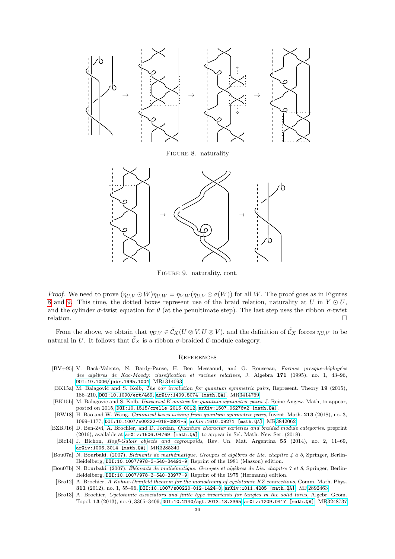<span id="page-35-10"></span>

Figure 9. naturality, cont.

<span id="page-35-11"></span>*Proof.* We need to prove  $(\eta_{U,V} \odot W)\eta_{U,W} = \eta_{V,W}(\eta_{U,V} \odot \sigma(W))$  for all W. The proof goes as in Figures [8](#page-35-10) and [9.](#page-35-11) This time, the dotted boxes represent use of the braid relation, naturality at U in  $Y \odot U$ , and the cylinder  $\sigma$ -twist equation for  $\theta$  (at the penultimate step). The last step uses the ribbon  $\sigma$ -twist  $relation.$ 

From the above, we obtain that  $\eta_{U,V} \in \tilde{C}_X(U \otimes V, U \otimes V)$ , and the definition of  $\tilde{C}_X$  forces  $\eta_{U,V}$  to be natural in U. It follows that  $\tilde{\mathcal{C}}_X$  is a ribbon  $\sigma$ -braided C-module category.

#### **REFERENCES**

- <span id="page-35-7"></span>[BV+95] V. Back-Valente, N. Bardy-Panse, H. Ben Messaoud, and G. Rousseau, Formes presque-déployées des alg`ebres de Kac-Moody: classification et racines relatives, J. Algebra 171 (1995), no. 1, 43–96, [DOI:10.1006/jabr.1995.1004](http://dx.doi.org/10.1006/jabr.1995.1004). M[R1314093](http://www.ams.org/mathscinet-getitem?mr=1314093)
- <span id="page-35-5"></span>[BK15a] M. Balagović and S. Kolb, The bar involution for quantum symmetric pairs, Represent. Theory 19 (2015), 186–210, [DOI:10.1090/ert/469](http://dx.doi.org/10.1090/ert/469), [arXiv:1409.5074 \[math.QA\]](http://arxiv.org/abs/1409.5074). M[R3414769](http://www.ams.org/mathscinet-getitem?mr=3414769)
- <span id="page-35-0"></span>[BK15b] M. Balagovic and S. Kolb, Universal K-matrix for quantum symmetric pairs, J. Reine Angew. Math, to appear, posted on 2015, [DOI:10.1515/crelle-2016-0012](http://dx.doi.org/10.1515/crelle-2016-0012), [arXiv:1507.06276v2 \[math.QA\]](http://arxiv.org/abs/1507.06276v2).
- <span id="page-35-3"></span>[BW18] H. Bao and W. Wang, Canonical bases arising from quantum symmetric pairs, Invent. Math. 213 (2018), no. 3, 1099–1177, [DOI:10.1007/s00222-018-0801-5](http://dx.doi.org/10.1007/s00222-018-0801-5), [arXiv:1610.09271 \[math.QA\]](http://arxiv.org/abs/1610.09271). M[R3842062](http://www.ams.org/mathscinet-getitem?mr=3842062)
- <span id="page-35-4"></span>[BZBJ16] D. Ben-Zvi, A. Brochier, and D. Jordan, Quantum character varieties and braided module categories. preprint (2016), available at [arXiv:1606.04769 \[math.QA\]](http://arxiv.org/abs/1606.04769), to appear in Sel. Math. New Ser. (2018).
- <span id="page-35-6"></span>[Bic14] J. Bichon, Hopf-Galois objects and cogroupoids, Rev. Un. Mat. Argentina 55 (2014), no. 2, 11–69, [arXiv:1006.3014 \[math.QA\]](http://arxiv.org/abs/1006.3014). M[R3285340](http://www.ams.org/mathscinet-getitem?mr=3285340)
- <span id="page-35-8"></span>[Bou07a] N. Bourbaki. (2007). Éléments de mathématique. Groupes et algèbres de Lie. chapitre 4 à 6, Springer, Berlin-Heidelberg, [DOI:10.1007/978-3-540-34491-9](http://dx.doi.org/10.1007/978-3-540-34491-9). Reprint of the 1981 (Masson) edition.
- <span id="page-35-9"></span>[Bou07b] N. Bourbaki. (2007). Éléments de mathématique. Groupes et algèbres de Lie. chapitre 7 et 8, Springer, Berlin-Heidelberg, [DOI:10.1007/978-3-540-33977-9](http://dx.doi.org/10.1007/978-3-540-33977-9). Reprint of the 1975 (Hermann) edition.
- <span id="page-35-2"></span>[Bro12] A. Brochier, A Kohno-Drinfeld theorem for the monodromy of cyclotomic KZ connections, Comm. Math. Phys. 311 (2012), no. 1, 55–96, [DOI:10.1007/s00220-012-1424-0](http://dx.doi.org/10.1007/s00220-012-1424-0), [arXiv:1011.4285 \[math.QA\]](http://arxiv.org/abs/1011.4285). M[R2892463](http://www.ams.org/mathscinet-getitem?mr=2892463)
- <span id="page-35-1"></span>[Bro13] A. Brochier, Cyclotomic associators and finite type invariants for tangles in the solid torus, Algebr. Geom. Topol. 13 (2013), no. 6, 3365–3409, [DOI:10.2140/agt.2013.13.3365](http://dx.doi.org/10.2140/agt.2013.13.3365), [arXiv:1209.0417 \[math.QA\]](http://arxiv.org/abs/1209.0417). M[R3248737](http://www.ams.org/mathscinet-getitem?mr=3248737)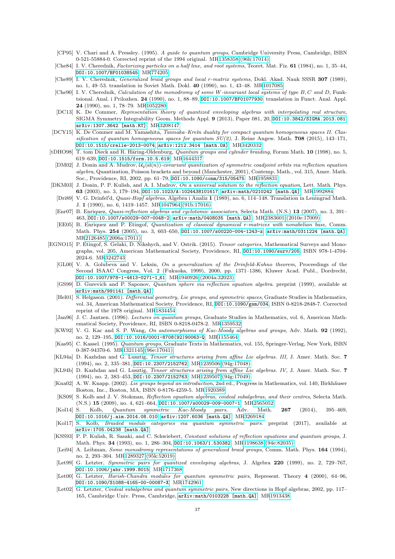- <span id="page-36-25"></span>[CP95] V. Chari and A. Pressley. (1995). A guide to quantum groups, Cambridge University Press, Cambridge, ISBN 0-521-55884-0. Corrected reprint of the 1994 original. M[R1358358 \(96h:17014\)](http://www.ams.org/mathscinet-getitem?mr=1358358)
- <span id="page-36-1"></span>[Che84] I. V. Cherednik, Factorizing particles on a half line, and root systems, Teoret. Mat. Fiz. 61 (1984), no. 1, 35–44, [DOI:10.1007/BF01038545](http://dx.doi.org/10.1007/BF01038545). M[R774205](http://www.ams.org/mathscinet-getitem?mr=774205)
- <span id="page-36-22"></span>[Che89] I. V. Cherednik, Generalized braid groups and local r-matrix systems, Dokl. Akad. Nauk SSSR 307 (1989), no. 1, 49–53. translation in Soviet Math. Dokl. 40 (1990), no. 1, 43–48. M[R1017085](http://www.ams.org/mathscinet-getitem?mr=1017085)
- <span id="page-36-10"></span>[Che90] I. V. Cherednik, Calculation of the monodromy of some W-invariant local systems of type B, C and D, Funktsional. Anal. i Prilozhen. 24 (1990), no. 1, 88–89, [DOI:10.1007/BF01077930](http://dx.doi.org/10.1007/BF01077930). translation in Funct. Anal. Appl. 24 (1990), no. 1, 78–79. M[R1052280](http://www.ams.org/mathscinet-getitem?mr=1052280)
- <span id="page-36-26"></span>[DC13] K. De Commer, Representation theory of quantized enveloping algebras with interpolating real structure, SIGMA Symmetry Integrability Geom. Methods Appl. 9 (2013), Paper 081, 20, [DOI:10.3842/SIGMA.2013.081](http://dx.doi.org/10.3842/SIGMA.2013.081), [arXiv:1307.3642 \[math.RT\]](http://arxiv.org/abs/1307.3642). M[R3208147](http://www.ams.org/mathscinet-getitem?mr=3208147)
- <span id="page-36-28"></span>[DCY15] K. De Commer and M. Yamashita, Tannaka–Kreĭn duality for compact quantum homogeneous spaces II. Classification of quantum homogeneous spaces for quantum  $SU(2)$ , J. Reine Angew. Math. 708 (2015), 143-171, [DOI:10.1515/crelle-2013-0074](http://dx.doi.org/10.1515/crelle-2013-0074), [arXiv:1212.3414 \[math.OA\]](http://arxiv.org/abs/1212.3414). M[R3420332](http://www.ams.org/mathscinet-getitem?mr=3420332)
- <span id="page-36-27"></span><span id="page-36-4"></span>[tDHO98] T. tom Dieck and R. Häring-Oldenburg, Quantum groups and cylinder braiding, Forum Math. 10 (1998), no. 5, 619–639, [DOI:10.1515/form.10.5.619](http://dx.doi.org/10.1515/form.10.5.619). M[R1644317](http://www.ams.org/mathscinet-getitem?mr=1644317)
	- [DM02] J. Donin and A. Mudrov,  $\mathcal{U}_q(\textbf{s} | (n))$ -covariant quantization of symmetric coadjoint orbits via reflection equation algebra, Quantization, Poisson brackets and beyond (Manchester, 2001), Contemp. Math., vol. 315, Amer. Math. Soc., Providence, RI, 2002, pp. 61–79, [DOI:10.1090/conm/315/05475](http://dx.doi.org/10.1090/conm/315/05475). M[R1958831](http://www.ams.org/mathscinet-getitem?mr=1958831)
- <span id="page-36-13"></span><span id="page-36-5"></span><span id="page-36-0"></span>[DKM03] J. Donin, P. P. Kulish, and A. I. Mudrov, On a universal solution to the reflection equation, Lett. Math. Phys. 63 (2003), no. 3, 179–194, [DOI:10.1023/A:1024438101617](http://dx.doi.org/10.1023/A:1024438101617), [arXiv:math/0210242 \[math.QA\]](http://arxiv.org/abs/math/0210242). M[R1992884](http://www.ams.org/mathscinet-getitem?mr=1992884)
	- [Dri89] V. G. Drinfel'd, Quasi-Hopf algebras, Algebra i Analiz 1 (1989), no. 6, 114-148. Translation in Leningrad Math. J. 1 (1990), no. 6, 1419–1457. M[R1047964 \(91b:17016\)](http://www.ams.org/mathscinet-getitem?mr=1047964)
	- [Enr07] B. Enriquez, Quasi-reflection algebras and cyclotomic associators, Selecta Math. (N.S.) 13 (2007), no. 3, 391– 463, [DOI:10.1007/s00029-007-0048-2](http://dx.doi.org/10.1007/s00029-007-0048-2), [arXiv:math/0408035 \[math.QA\]](http://arxiv.org/abs/math/0408035). M[R2383601 \(2010e:17009\)](http://www.ams.org/mathscinet-getitem?mr=2383601)
	- [EE05] B. Enriquez and P. Etingof, Quantization of classical dynamical r-matrices with nonabelian base, Comm. Math. Phys. 254 (2005), no. 3, 603-650, [DOI:10.1007/s00220-004-1243-z](http://dx.doi.org/10.1007/s00220-004-1243-z), [arXiv:math/0311224 \[math.QA\]](http://arxiv.org/abs/math/0311224). M[R2126485 \(2006a:17011\)](http://www.ams.org/mathscinet-getitem?mr=2126485)
- <span id="page-36-29"></span><span id="page-36-24"></span><span id="page-36-23"></span><span id="page-36-21"></span><span id="page-36-20"></span><span id="page-36-19"></span><span id="page-36-18"></span><span id="page-36-17"></span><span id="page-36-16"></span><span id="page-36-15"></span><span id="page-36-14"></span><span id="page-36-12"></span><span id="page-36-11"></span><span id="page-36-9"></span><span id="page-36-8"></span><span id="page-36-7"></span><span id="page-36-6"></span><span id="page-36-3"></span><span id="page-36-2"></span>[EGNO15] P. Etingof, S. Gelaki, D. Nikshych, and V. Ostrik. (2015). Tensor categories, Mathematical Surveys and Monographs, vol. 205, American Mathematical Society, Providence, RI, [DOI:10.1090/surv/205](http://dx.doi.org/10.1090/surv/205), ISBN 978-1-4704- 2024-6. M[R3242743](http://www.ams.org/mathscinet-getitem?mr=3242743)
	- [GL00] V. A. Golubeva and V. Leksin, On a generalization of the Drinfeld-Kohno theorem, Proceedings of the Second ISAAC Congress, Vol. 2 (Fukuoka, 1999), 2000, pp. 1371–1386, Kluwer Acad. Publ., Dordrecht, [DOI:10.1007/978-1-4613-0271-1](http://dx.doi.org/10.1007/978-1-4613-0271-1_61) 61. M[R1940926 \(2004a:32023\)](http://www.ams.org/mathscinet-getitem?mr=1940926)
	- [GS99] D. Gurevich and P. Saponov, Quantum sphere via reflection equation algebra. preprint (1999), available at [arXiv:math/991141 \[math.QA\]](http://arxiv.org/abs/math/991141).
	- [Hel01] S. Helgason. (2001). Differential geometry, Lie groups, and symmetric spaces, Graduate Studies in Mathematics, vol. 34, American Mathematical Society, Providence, RI, [DOI:10.1090/gsm/034](http://dx.doi.org/10.1090/gsm/034), ISBN 0-8218-2848-7. Corrected reprint of the 1978 original. M[R1834454](http://www.ams.org/mathscinet-getitem?mr=1834454)
	- [Jan96] J. C. Jantzen. (1996). Lectures on quantum groups, Graduate Studies in Mathematics, vol. 6, American Mathematical Society, Providence, RI, ISBN 0-8218-0478-2. M[R1359532](http://www.ams.org/mathscinet-getitem?mr=1359532)
	- [KW92] V. G. Kac and S. P. Wang, On automorphisms of Kac-Moody algebras and groups, Adv. Math. 92 (1992), no. 2, 129–195, [DOI:10.1016/0001-8708\(92\)90063-Q](http://dx.doi.org/10.1016/0001-8708(92)90063-Q). M[R1155464](http://www.ams.org/mathscinet-getitem?mr=1155464)
	- [Kas95] C. Kassel. (1995). Quantum groups, Graduate Texts in Mathematics, vol. 155, Springer-Verlag, New York, ISBN 0-387-94370-6. M[R1321145 \(96e:17041\)](http://www.ams.org/mathscinet-getitem?mr=1321145)
	- [KL94a] D. Kazhdan and G. Lusztig, Tensor structures arising from affine Lie algebras. III, J. Amer. Math. Soc. 7 (1994), no. 2, 335–381, [DOI:10.2307/2152762](http://dx.doi.org/10.2307/2152762). M[R1239506 \(94g:17048\)](http://www.ams.org/mathscinet-getitem?mr=1239506)
	- [KL94b] D. Kazhdan and G. Lusztig, Tensor structures arising from affine Lie algebras. IV, J. Amer. Math. Soc. 7 (1994), no. 2, 383–453, [DOI:10.2307/2152763](http://dx.doi.org/10.2307/2152763). M[R1239507 \(94g:17049\)](http://www.ams.org/mathscinet-getitem?mr=1239507)
	- [Kna02] A. W. Knapp. (2002). Lie groups beyond an introduction, 2nd ed., Progress in Mathematics, vol. 140, Birkhäuser Boston, Inc., Boston, MA, ISBN 0-8176-4259-5. M[R1920389](http://www.ams.org/mathscinet-getitem?mr=1920389)
	- [KS09] S. Kolb and J. V. Stokman, Reflection equation algebras, coideal subalgebras, and their centres, Selecta Math. (N.S.) 15 (2009), no. 4, 621–664, [DOI:10.1007/s00029-009-0007-1](http://dx.doi.org/10.1007/s00029-009-0007-1). M[R2565052](http://www.ams.org/mathscinet-getitem?mr=2565052)
	- [Kol14] S. Kolb, Quantum symmetric Kac-Moody pairs, Adv. Math. 267 (2014), 395–469, [DOI:10.1016/j.aim.2014.08.010](http://dx.doi.org/10.1016/j.aim.2014.08.010), [arXiv:1207.6036 \[math.QA\]](http://arxiv.org/abs/1207.6036). M[R3269184](http://www.ams.org/mathscinet-getitem?mr=3269184)
	- [Kol17] S. Kolb, Braided module categories via quantum symmetric pairs. preprint (2017), available at [arXiv:1705.04238 \[math.QA\]](https://arxiv.org/abs/1705.04238).
	- [KSS93] P. P. Kulish, R. Sasaki, and C. Schwiebert, Constant solutions of reflection equations and quantum groups, J. Math. Phys. 34 (1993), no. 1, 286–304, [DOI:10.1063/1.530382](http://dx.doi.org/10.1063/1.530382). M[R1198638 \(94e:82035\)](http://www.ams.org/mathscinet-getitem?mr=1198638)
	- [Lei94] A. Leibman, Some monodromy representations of generalized braid groups, Comm. Math. Phys. 164 (1994), no. 2, 293–304. M[R1289327 \(95k:52019\)](http://www.ams.org/mathscinet-getitem?mr=1289327)
	- [Let99] G. Letzter, Symmetric pairs for quantized enveloping algebras, J. Algebra 220 (1999), no. 2, 729–767, [DOI:10.1006/jabr.1999.8015](http://dx.doi.org/10.1006/jabr.1999.8015). M[R1717368](http://www.ams.org/mathscinet-getitem?mr=1717368)
	- [Let00] G. Letzter, Harish-Chandra modules for quantum symmetric pairs, Represent. Theory 4 (2000), 64–96, [DOI:10.1090/S1088-4165-00-00087-X](http://dx.doi.org/10.1090/S1088-4165-00-00087-X). M[R1742961](http://www.ams.org/mathscinet-getitem?mr=1742961)
	- [Let02] G. Letzter, Coideal subalgebras and quantum symmetric pairs, New directions in Hopf algebras, 2002, pp. 117– 165, Cambridge Univ. Press, Cambridge, [arXiv:math/0103228 \[math.QA\]](http://arxiv.org/abs/math/0103228). M[R1913438](http://www.ams.org/mathscinet-getitem?mr=1913438)